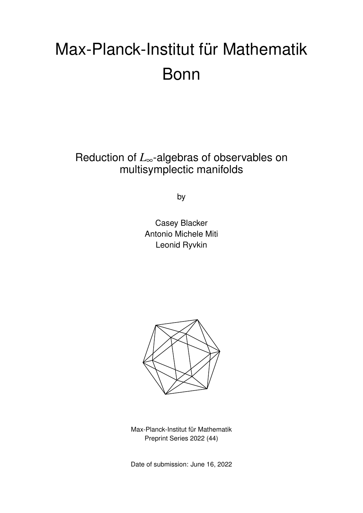# Max-Planck-Institut für Mathematik Bonn

Reduction of *L*∞-algebras of observables on multisymplectic manifolds

by

Casey Blacker Antonio Michele Miti Leonid Ryvkin



Max-Planck-Institut für Mathematik Preprint Series 2022 (44)

Date of submission: June 16, 2022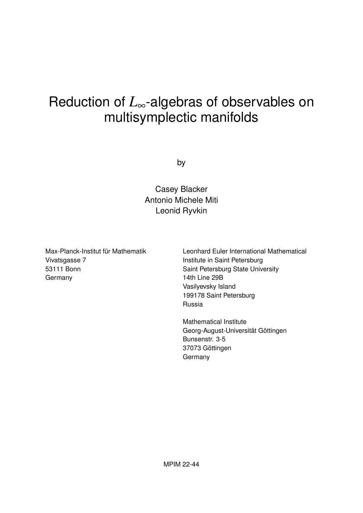# Reduction of *L*∞-algebras of observables on multisymplectic manifolds

by

Casey Blacker Antonio Michele Miti Leonid Ryvkin

Max-Planck-Institut für Mathematik Vivatsgasse 7 53111 Bonn Germany

Leonhard Euler International Mathematical Institute in Saint Petersburg Saint Petersburg State University 14th Line 29B Vasilyevsky Island 199178 Saint Petersburg Russia

Mathematical Institute Georg-August-Universität Göttingen Bunsenstr. 3-5 37073 Göttingen Germany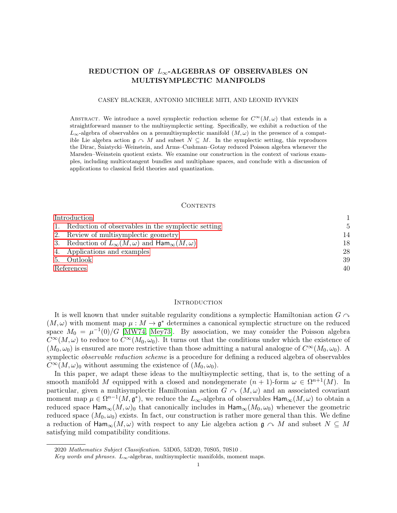## REDUCTION OF  $L_{\infty}$ -ALGEBRAS OF OBSERVABLES ON MULTISYMPLECTIC MANIFOLDS

#### CASEY BLACKER, ANTONIO MICHELE MITI, AND LEONID RYVKIN

ABSTRACT. We introduce a novel symplectic reduction scheme for  $C^{\infty}(M,\omega)$  that extends in a straightforward manner to the multisymplectic setting. Specifically, we exhibit a reduction of the  $L_{\infty}$ -algebra of observables on a premultisymplectic manifold  $(M,\omega)$  in the presence of a compatible Lie algebra action  $\mathfrak{g} \cap M$  and subset  $N \subseteq M$ . In the symplectic setting, this reproduces the Dirac, Śniatycki–Weinstein, and Arms–Cushman–Gotay reduced Poisson algebra whenever the Marsden–Weinstein quotient exists. We examine our construction in the context of various examples, including multicotangent bundles and multiphase spaces, and conclude with a discussion of applications to classical field theories and quantization.

#### CONTENTS

| Introduction |                                                                            |    |
|--------------|----------------------------------------------------------------------------|----|
|              | 1. Reduction of observables in the symplectic setting                      | 5  |
|              | 2. Review of multisymplectic geometry                                      | 14 |
|              | 3. Reduction of $L_{\infty}(M,\omega)$ and $\text{Ham}_{\infty}(M,\omega)$ | 18 |
|              | 4. Applications and examples                                               | 28 |
|              | 5. Outlook                                                                 | 39 |
| References   |                                                                            | 40 |

#### <span id="page-2-0"></span>**INTRODUCTION**

It is well known that under suitable regularity conditions a symplectic Hamiltonian action  $G \cap$  $(M, \omega)$  with moment map  $\mu : M \to \mathfrak{g}^*$  determines a canonical symplectic structure on the reduced space  $M_0 = \mu^{-1}(0)/G$  [\[MW74,](#page-43-0) [Mey73\]](#page-43-1). By association, we may consider the Poisson algebra  $C^{\infty}(M,\omega)$  to reduce to  $C^{\infty}(M_0,\omega_0)$ . It turns out that the conditions under which the existence of  $(M_0, \omega_0)$  is ensured are more restrictive than those admitting a natural analogue of  $C^{\infty}(M_0, \omega_0)$ . A symplectic *observable reduction scheme* is a procedure for defining a reduced algebra of observables  $C^{\infty}(M,\omega)$ <sub>0</sub> without assuming the existence of  $(M_0,\omega_0)$ .

In this paper, we adapt these ideas to the multisymplectic setting, that is, to the setting of a smooth manifold M equipped with a closed and nondegenerate  $(n + 1)$ -form  $\omega \in \Omega^{n+1}(M)$ . In particular, given a multisymplectic Hamiltonian action  $G \sim (M, \omega)$  and an associated covariant moment map  $\mu \in \Omega^{n-1}(M, \mathfrak{g}^*)$ , we reduce the  $L_{\infty}$ -algebra of observables  $\text{Ham}_{\infty}(M, \omega)$  to obtain a reduced space  $\text{Ham}_{\infty}(M,\omega)_{0}$  that canonically includes in  $\text{Ham}_{\infty}(M_{0},\omega_{0})$  whenever the geometric reduced space  $(M_0, \omega_0)$  exists. In fact, our construction is rather more general than this. We define a reduction of  $\text{Ham}_{\infty}(M,\omega)$  with respect to any Lie algebra action  $\mathfrak{g} \cap M$  and subset  $N \subseteq M$ satisfying mild compatibility conditions.

<sup>2020</sup> Mathematics Subject Classification. 53D05, 53D20, 70S05, 70S10 .

Key words and phrases.  $L_{\infty}$ -algebras, multisymplectic manifolds, moment maps.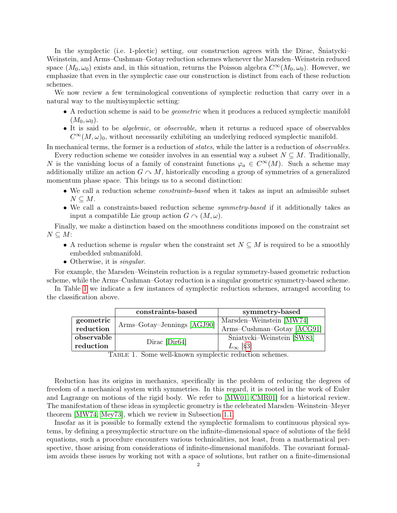In the symplectic (i.e. 1-plectic) setting, our construction agrees with the Dirac, Śniatycki– Weinstein, and Arms–Cushman–Gotay reduction schemes whenever the Marsden–Weinstein reduced space  $(M_0, \omega_0)$  exists and, in this situation, returns the Poisson algebra  $C^{\infty}(M_0, \omega_0)$ . However, we emphasize that even in the symplectic case our construction is distinct from each of these reduction schemes.

We now review a few terminological conventions of symplectic reduction that carry over in a natural way to the multisymplectic setting:

- A reduction scheme is said to be geometric when it produces a reduced symplectic manifold  $(M_0, \omega_0).$
- It is said to be *algebraic*, or *observable*, when it returns a reduced space of observables  $C^{\infty}(M,\omega)$ , without necessarily exhibiting an underlying reduced symplectic manifold.

In mechanical terms, the former is a reduction of states, while the latter is a reduction of observables. Every reduction scheme we consider involves in an essential way a subset  $N \subseteq M$ . Traditionally,

N is the vanishing locus of a family of constraint functions  $\varphi_a \in C^{\infty}(M)$ . Such a scheme may additionally utilize an action  $G \cap M$ , historically encoding a group of symmetries of a generalized momentum phase space. This brings us to a second distinction:

- We call a reduction scheme *constraints-based* when it takes as input an admissible subset  $N \subseteq M$ .
- We call a constraints-based reduction scheme symmetry-based if it additionally takes as input a compatible Lie group action  $G \cap (M, \omega)$ .

Finally, we make a distinction based on the smoothness conditions imposed on the constraint set  $N \subseteq M$ :

- A reduction scheme is regular when the constraint set  $N \subseteq M$  is required to be a smoothly embedded submanifold.
- Otherwise, it is *singular*.

For example, the Marsden–Weinstein reduction is a regular symmetry-based geometric reduction scheme, while the Arms–Cushman–Gotay reduction is a singular geometric symmetry-based scheme.

In Table [1](#page-3-0) we indicate a few instances of symplectic reduction schemes, arranged according to the classification above.

|            | constraints-based           | symmetry-based             |
|------------|-----------------------------|----------------------------|
| geometric  | Arms-Gotay-Jennings [AGJ90] | Marsden-Weinstein [MW74]   |
| reduction  |                             | Arms-Cushman-Gotay [ACG91] |
| observable | $Dirac$ [Dir $64$ ]         | Šniatycki–Weinstein [ŚW83] |
| reduction  |                             | $L_{\infty}$ [§3]          |

<span id="page-3-0"></span>Table 1. Some well-known symplectic reduction schemes.

Reduction has its origins in mechanics, specifically in the problem of reducing the degrees of freedom of a mechanical system with symmetries. In this regard, it is rooted in the work of Euler and Lagrange on motions of the rigid body. We refer to [\[MW01,](#page-43-3) [CMR01\]](#page-42-1) for a historical review. The manifestation of these ideas in symplectic geometry is the celebrated Marsden–Weinstein–Meyer theorem [\[MW74,](#page-43-0) [Mey73\]](#page-43-1), which we review in Subsection [1.1.](#page-8-0)

Insofar as it is possible to formally extend the symplectic formalism to continuous physical systems, by defining a presymplectic structure on the infinite-dimensional space of solutions of the field equations, such a procedure encounters various technicalities, not least, from a mathematical perspective, those arising from considerations of infinite-dimensional manifolds. The covariant formalism avoids these issues by working not with a space of solutions, but rather on a finite-dimensional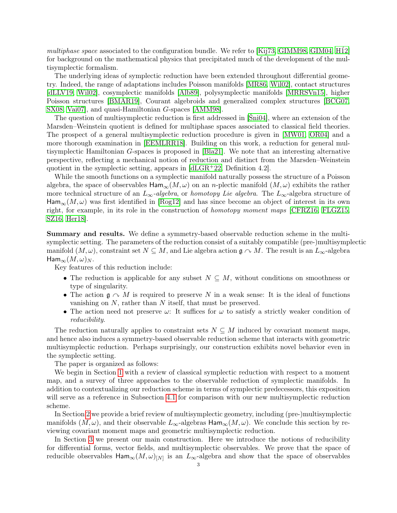multiphase space associated to the configuration bundle. We refer to [\[Kij73,](#page-43-4) [GIMM98,](#page-42-2) [GIM04,](#page-42-3) H $12$ ] for background on the mathematical physics that precipitated much of the development of the multisymplectic formalism.

The underlying ideas of symplectic reduction have been extended throughout differential geometry. Indeed, the range of adaptations includes Poisson manifolds [\[MR86,](#page-43-5) [Wil02\]](#page-44-0), contact structures [\[dLLV19,](#page-42-5) [Wil02\]](#page-44-0), cosymplectic manifolds [\[Alb89\]](#page-41-3), polysymplectic manifolds [\[MRRSVn15\]](#page-43-6), higher Poisson structures [\[BMAR19\]](#page-42-6), Courant algebroids and generalized complex structures [\[BCG07,](#page-42-7) [SX08,](#page-44-1) [Vai07\]](#page-44-2), and quasi-Hamiltonian G-spaces [\[AMM98\]](#page-41-4).

The question of multisymplectic reduction is first addressed in [\[Śni04\]](#page-43-7), where an extension of the Marsden–Weinstein quotient is defined for multiphase spaces associated to classical field theories. The prospect of a general multisymplectic reduction procedure is given in [\[MW01,](#page-43-3) [OR04\]](#page-43-8) and a more thorough examination in [\[EEMLRR18\]](#page-42-8). Building on this work, a reduction for general multisymplectic Hamiltonian G-spaces is proposed in [\[Bla21\]](#page-42-9). We note that an interesting alternative perspective, reflecting a mechanical notion of reduction and distinct from the Marsden–Weinstein quotient in the symplectic setting, appears in [\[dLGR](#page-42-10)+22, Definition 4.2].

While the smooth functions on a symplectic manifold naturally possess the structure of a Poisson algebra, the space of observables  $\text{Ham}_{\infty}(M,\omega)$  on an *n*-plectic manifold  $(M,\omega)$  exhibits the rather more technical structure of an  $L_{\infty}$ -algebra, or homotopy Lie algebra. The  $L_{\infty}$ -algebra structure of  $\text{Ham}_{\infty}(M,\omega)$  was first identified in [\[Rog12\]](#page-43-9) and has since become an object of interest in its own right, for example, in its role in the construction of homotopy moment maps [\[CFRZ16,](#page-42-11) [FLGZ15,](#page-42-12) [SZ16,](#page-44-3) [Her18\]](#page-43-10).

Summary and results. We define a symmetry-based observable reduction scheme in the multisymplectic setting. The parameters of the reduction consist of a suitably compatible (pre-)multisymplectic manifold  $(M, \omega)$ , constraint set  $N \subseteq M$ , and Lie algebra action  $\mathfrak{g} \cap M$ . The result is an  $L_{\infty}$ -algebra  $\mathsf{Ham}_{\infty}(M,\omega)_N$ .

Key features of this reduction include:

- The reduction is applicable for any subset  $N \subseteq M$ , without conditions on smoothness or type of singularity.
- The action  $\mathfrak{g} \curvearrowright M$  is required to preserve N in a weak sense: It is the ideal of functions vanishing on N, rather than N itself, that must be preserved.
- The action need not preserve  $\omega$ : It suffices for  $\omega$  to satisfy a strictly weaker condition of reducibility.

The reduction naturally applies to constraint sets  $N \subseteq M$  induced by covariant moment maps, and hence also induces a symmetry-based observable reduction scheme that interacts with geometric multisymplectic reduction. Perhaps surprisingly, our construction exhibits novel behavior even in the symplectic setting.

The paper is organized as follows:

We begin in Section [1](#page-6-0) with a review of classical symplectic reduction with respect to a moment map, and a survey of three approaches to the observable reduction of symplectic manifolds. In addition to contextualizing our reduction scheme in terms of symplectic predecessors, this exposition will serve as a reference in Subsection [4.1](#page-29-1) for comparison with our new multisymplectic reduction scheme.

In Section [2](#page-15-0) we provide a brief review of multisymplectic geometry, including (pre-)multisymplectic manifolds  $(M, \omega)$ , and their observable  $L_{\infty}$ -algebras  $\text{Ham}_{\infty}(M, \omega)$ . We conclude this section by reviewing covariant moment maps and geometric multisymplectic reduction.

In Section [3](#page-19-0) we present our main construction. Here we introduce the notions of reducibility for differential forms, vector fields, and multisymplectic observables. We prove that the space of reducible observables  $\textsf{Ham}_{\infty}(M,\omega)_{[N]}$  is an  $L_{\infty}$ -algebra and show that the space of observables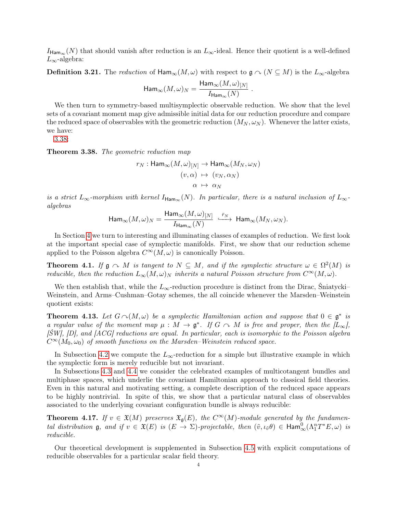$I_{\text{Ham}_{\infty}}(N)$  that should vanish after reduction is an  $L_{\infty}$ -ideal. Hence their quotient is a well-defined  $L_{\infty}$ -algebra:

<span id="page-5-1"></span>**Definition 3.21.** The reduction of  $\text{Ham}_{\infty}(M,\omega)$  with respect to  $\mathfrak{g} \cap (N \subseteq M)$  is the  $L_{\infty}$ -algebra

$$
\mathsf{Ham}_\infty(M,\omega)_N=\frac{\mathsf{Ham}_\infty(M,\omega)_{[N]}}{I_{\mathsf{Ham}_\infty}(N)}\;.
$$

We then turn to symmetry-based multisymplectic observable reduction. We show that the level sets of a covariant moment map give admissible initial data for our reduction procedure and compare the reduced space of observables with the geometric reduction  $(M_N, \omega_N)$ . Whenever the latter exists, we have:

[3.38:](#page-5-0)

<span id="page-5-0"></span>Theorem 3.38. The geometric reduction map

$$
r_N: \text{Ham}_{\infty}(M, \omega)_{[N]} \to \text{Ham}_{\infty}(M_N, \omega_N)
$$

$$
(v, \alpha) \mapsto (v_N, \alpha_N)
$$

$$
\alpha \mapsto \alpha_N
$$

is a strict  $L_{\infty}$ -morphism with kernel  $I_{\text{Ham}_{\infty}}(N)$ . In particular, there is a natural inclusion of  $L_{\infty}$ algebras

$$
\text{Ham}_{\infty}(M,\omega)_N=\frac{\text{Ham}_{\infty}(M,\omega)_{[N]}}{I_{\text{Ham}_{\infty}}(N)}\ \stackrel{\bar{r}_N}{\longrightarrow}\ \text{Ham}_{\infty}(M_N,\omega_N).
$$

In Section [4](#page-29-0) we turn to interesting and illuminating classes of examples of reduction. We first look at the important special case of symplectic manifolds. First, we show that our reduction scheme applied to the Poisson algebra  $C^{\infty}(M,\omega)$  is canonically Poisson.

**Theorem 4.1.** If  $\mathfrak{g} \sim M$  is tangent to  $N \subseteq M$ , and if the symplectic structure  $\omega \in \Omega^2(M)$  is reducible, then the reduction  $L_{\infty}(M, \omega)_N$  inherits a natural Poisson structure from  $C^{\infty}(M, \omega)$ .

We then establish that, while the  $L_{\infty}$ -reduction procedure is distinct from the Dirac, Sniatycki– Weinstein, and Arms–Cushman–Gotay schemes, the all coincide whenever the Marsden–Weinstein quotient exists:

<span id="page-5-2"></span>**Theorem 4.13.** Let  $G \cap (M, \omega)$  be a symplectic Hamiltonian action and suppose that  $0 \in \mathfrak{g}^*$  is a regular value of the moment map  $\mu : M \to \mathfrak{g}^*$ . If  $G \cap M$  is free and proper, then the  $\lbrack L_{\infty}\rbrack$ ,  $[\text{SW}]$ ,  $[D]$ , and  $[ACG]$  reductions are equal. In particular, each is isomorphic to the Poisson algebra  $C^{\infty}(M_0, \omega_0)$  of smooth functions on the Marsden–Weinstein reduced space.

In Subsection [4.2](#page-36-0) we compute the  $L_{\infty}$ -reduction for a simple but illustrative example in which the symplectic form is merely reducible but not invariant.

In Subsections [4.3](#page-37-0) and [4.4](#page-38-0) we consider the celebrated examples of multicotangent bundles and multiphase spaces, which underlie the covariant Hamiltonian approach to classical field theories. Even in this natural and motivating setting, a complete description of the reduced space appears to be highly nontrivial. In spite of this, we show that a particular natural class of observables associated to the underlying covariant configuration bundle is always reducible:

**Theorem 4.17.** If  $v \in \mathfrak{X}(M)$  preserves  $\mathfrak{X}_{\mathfrak{g}}(E)$ , the  $C^{\infty}(M)$ -module generated by the fundamental distribution **g**, and if  $v \in \mathfrak{X}(E)$  is  $(E \to \Sigma)$ -projectable, then  $(\tilde{v}, \iota_{\tilde{v}} \theta) \in \text{Ham}_{\infty}^0(\Lambda_1^n T^*E, \omega)$  is reducible.

Our theoretical development is supplemented in Subsection [4.5](#page-39-0) with explicit computations of reducible observables for a particular scalar field theory.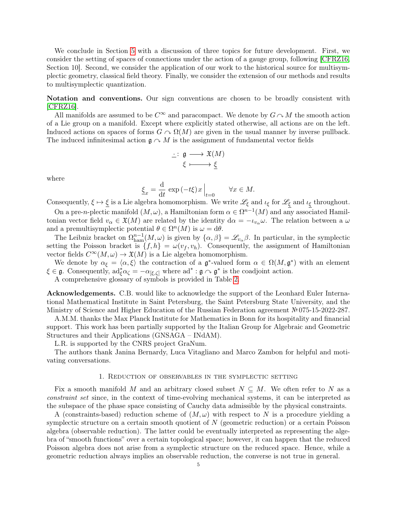We conclude in Section [5](#page-40-0) with a discussion of three topics for future development. First, we consider the setting of spaces of connections under the action of a gauge group, following [\[CFRZ16,](#page-42-11) Section 10]. Second, we consider the application of our work to the historical source for multisymplectic geometry, classical field theory. Finally, we consider the extension of our methods and results to multisymplectic quantization.

Notation and conventions. Our sign conventions are chosen to be broadly consistent with [\[CFRZ16\]](#page-42-11).

All manifolds are assumed to be  $C^{\infty}$  and paracompact. We denote by  $G \cap M$  the smooth action of a Lie group on a manifold. Except where explicitly stated otherwise, all actions are on the left. Induced actions on spaces of forms  $G \sim \Omega(M)$  are given in the usual manner by inverse pullback. The induced infinitesimal action  $\mathfrak{g} \curvearrowright M$  is the assignment of fundamental vector fields

$$
\begin{array}{c} \cdot : \; {\mathfrak g} \longrightarrow \mathfrak{X}(M) \\ \xi \longmapsto \underline{\xi} \end{array}
$$

where

$$
\underline{\xi}_x = \frac{\mathrm{d}}{\mathrm{d}t} \, \exp\left(-t\xi\right)x \Big|_{t=0} \qquad \forall x \in M.
$$

Consequently,  $\xi \mapsto \xi$  is a Lie algebra homomorphism. We write  $\mathscr{L}_{\xi}$  and  $\iota_{\xi}$  for  $\mathscr{L}_{\xi}$  and  $\iota_{\xi}$  throughout.

On a pre-n-plectic manifold  $(M, \omega)$ , a Hamiltonian form  $\alpha \in \Omega^{n-1}(M)$  and any associated Hamiltonian vector field  $v_\alpha \in \mathfrak{X}(M)$  are related by the identity  $d\alpha = -\iota_{v_\alpha}\omega$ . The relation between a  $\omega$ and a premultisymplectic potential  $\theta \in \Omega^n(M)$  is  $\omega = d\theta$ .

The Leibniz bracket on  $\Omega_{\text{ham}}^{n-1}(M,\omega)$  is given by  $\{\alpha,\beta\}=\mathscr{L}_{v_{\alpha}}\beta$ . In particular, in the symplectic setting the Poisson bracket is  $\{f, h\} = \omega(v_f, v_h)$ . Consequently, the assignment of Hamiltonian vector fields  $C^{\infty}(M,\omega) \to \mathfrak{X}(M)$  is a Lie algebra homomorphism.

We denote by  $\alpha_{\xi} = \langle \alpha, \xi \rangle$  the contraction of a  $\mathfrak{g}^*$ -valued form  $\alpha \in \Omega(M, \mathfrak{g}^*)$  with an element  $\xi \in \mathfrak{g}$ . Consequently,  $ad^*_{\xi} \alpha_{\zeta} = -\alpha_{\left[\xi,\zeta\right]}$  where  $ad^* : \mathfrak{g} \cap \mathfrak{g}^*$  is the coadjoint action.

A comprehensive glossary of symbols is provided in Table [2.](#page-7-0)

Acknowledgements. C.B. would like to acknowledge the support of the Leonhard Euler International Mathematical Institute in Saint Petersburg, the Saint Petersburg State University, and the Ministry of Science and Higher Education of the Russian Federation agreement №075-15-2022-287.

A.M.M. thanks the Max Planck Institute for Mathematics in Bonn for its hospitality and financial support. This work has been partially supported by the Italian Group for Algebraic and Geometric Structures and their Applications (GNSAGA – INdAM).

L.R. is supported by the CNRS project GraNum.

The authors thank Janina Bernardy, Luca Vitagliano and Marco Zambon for helpful and motivating conversations.

#### 1. Reduction of observables in the symplectic setting

<span id="page-6-0"></span>Fix a smooth manifold M and an arbitrary closed subset  $N \subseteq M$ . We often refer to N as a constraint set since, in the context of time-evolving mechanical systems, it can be interpreted as the subspace of the phase space consisting of Cauchy data admissible by the physical constraints.

A (constraints-based) reduction scheme of  $(M, \omega)$  with respect to N is a procedure yielding a symplectic structure on a certain smooth quotient of N (geometric reduction) or a certain Poisson algebra (observable reduction). The latter could be eventually interpreted as representing the algebra of "smooth functions" over a certain topological space; however, it can happen that the reduced Poisson algebra does not arise from a symplectic structure on the reduced space. Hence, while a geometric reduction always implies an observable reduction, the converse is not true in general.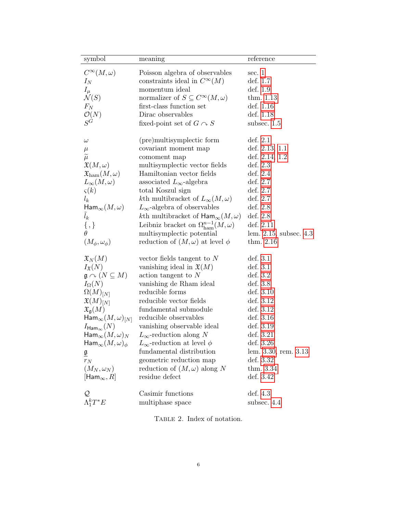| symbol                                          | meaning                                                                       | reference                |
|-------------------------------------------------|-------------------------------------------------------------------------------|--------------------------|
|                                                 |                                                                               |                          |
| $C^{\infty}(M,\omega)$                          | Poisson algebra of observables                                                | sec. 1                   |
| $I_N$                                           | constraints ideal in $C^{\infty}(M)$<br>momentum ideal                        | def. 1.7<br>def. 1.9     |
| $I_\mu \over {\cal N}(S)$                       |                                                                               |                          |
| $F_N$                                           | normalizer of $S \subseteq C^{\infty}(M, \omega)$<br>first-class function set | thm. $1.13$<br>def. 1.16 |
|                                                 | Dirac observables                                                             | def. 1.18                |
| $\mathcal{O}(N)$<br>$S^{\dot G}$                |                                                                               |                          |
|                                                 | fixed-point set of $G \cap S$                                                 | subsec. $1.5$            |
| $\omega$                                        | (pre) multisymplectic form                                                    | def. 2.1                 |
| $\mu$                                           | covariant moment map                                                          | def. $2.13, 1.1$         |
| $\widetilde{\mu}$                               | comoment map                                                                  | def. $2.14, 1.2$         |
| $\mathfrak{X}(M,\omega)$                        | multisymplectic vector fields                                                 | def. $2.3$               |
| $\mathfrak{X}_\mathrm{ham}(M,\omega)$           | Hamiltonian vector fields                                                     | def. $2.4$               |
|                                                 | associated $L_{\infty}$ -algebra                                              | def. 2.7                 |
| $L_{\infty}(M,\omega)$                          | total Koszul sign                                                             | def. 2.7                 |
| $\varsigma(k)$                                  | kth multibracket of $L_{\infty}(M, \omega)$                                   | def. 2.7                 |
| $l_k$<br>$\mathsf{Ham}_\infty(M,\omega)$        | $L_{\infty}$ -algebra of observables                                          | def. $2.8$               |
|                                                 |                                                                               |                          |
| $l_k$                                           | kth multibracket of $\text{Ham}_{\infty}(M,\omega)$                           | def. 2.8                 |
| $\{ ,\}$                                        | Leibniz bracket on $\Omega_{\text{ham}}^{n-1}(M,\omega)$                      | def. 2.11                |
|                                                 | multisymplectic potential                                                     | lem. 2.15, subsec. 4.3   |
| $(M_\phi, \omega_\phi)$                         | reduction of $(M, \omega)$ at level $\phi$                                    | thm. $2.16$              |
| $\mathfrak{X}_N(M)$                             | vector fields tangent to N                                                    | def. 3.1                 |
| $I_{\mathfrak{X}}(N)$                           | vanishing ideal in $\mathfrak{X}(M)$                                          | def. $3.1$               |
| $\mathfrak{g} \curvearrowright (N \subseteq M)$ | $\alpha$ action tangent to N                                                  | def. $3.2$               |
| $I_{\Omega}(N)$                                 | vanishing de Rham ideal                                                       | def. 3.8                 |
| $\Omega(M)_{[N]}$                               | reducible forms                                                               | def. $3.10$              |
|                                                 | reducible vector fields                                                       | def. 3.12                |
| $\mathfrak{X}(M)_{[N]}$                         | fundamental submodule                                                         | def. 3.12                |
| $\mathfrak{X}_{\mathfrak{g}}(M)$                |                                                                               | def. 3.16                |
| $\mathsf{Ham}_\infty(M,\omega)_{[N]}$           | reducible observables                                                         |                          |
| $I_{\mathsf{Ham}_{\infty}}(N)$                  | vanishing observable ideal                                                    | def. 3.19                |
| $\mathsf{Ham}_\infty(M,\omega)_N$               | $L_{\infty}$ -reduction along N                                               | def. 3.21                |
| $\mathsf{Ham}_\infty(M,\omega)_{\phi}$          | $L_{\infty}$ -reduction at level $\phi$                                       | def. 3.26                |
| $\underline{\mathfrak{g}}$                      | fundamental distribution                                                      | lem. 3.30, rem. 3.13     |
| $r_N$                                           | geometric reduction map                                                       | def. 3.32                |
| $(M_N,\omega_N)$                                | reduction of $(M, \omega)$ along N                                            | thm. 3.34                |
| $[{\sf Ham}_\infty, R]$                         | residue defect                                                                | def. 3.42                |
|                                                 | Casimir functions                                                             | def. $4.3$               |
| $\Lambda_1^k T^* E$                             | multiphase space                                                              | subsec. 4.4              |
|                                                 |                                                                               |                          |

<span id="page-7-0"></span>TABLE 2. Index of notation.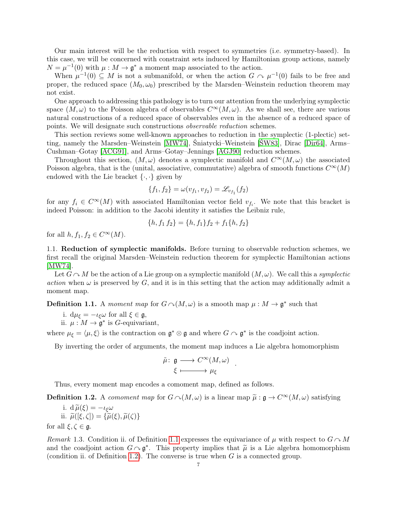Our main interest will be the reduction with respect to symmetries (i.e. symmetry-based). In this case, we will be concerned with constraint sets induced by Hamiltonian group actions, namely  $N = \mu^{-1}(0)$  with  $\mu : M \to \mathfrak{g}^*$  a moment map associated to the action.

When  $\mu^{-1}(0) \subseteq M$  is not a submanifold, or when the action  $G \cap \mu^{-1}(0)$  fails to be free and proper, the reduced space  $(M_0, \omega_0)$  prescribed by the Marsden–Weinstein reduction theorem may not exist.

One approach to addressing this pathology is to turn our attention from the underlying symplectic space  $(M, \omega)$  to the Poisson algebra of observables  $C^{\infty}(M, \omega)$ . As we shall see, there are various natural constructions of a reduced space of observables even in the absence of a reduced space of points. We will designate such constructions observable reduction schemes.

This section reviews some well-known approaches to reduction in the symplectic (1-plectic) setting, namely the Marsden–Weinstein [\[MW74\]](#page-43-0), Śniatycki–Weinstein [\[ŚW83\]](#page-43-2), Dirac [\[Dir64\]](#page-42-0), Arms– Cushman–Gotay [\[ACG91\]](#page-41-2), and Arms–Gotay–Jennings [\[AGJ90\]](#page-41-1) reduction schemes.

Throughout this section,  $(M, \omega)$  denotes a symplectic manifold and  $C^{\infty}(M, \omega)$  the associated Poisson algebra, that is the (unital, associative, commutative) algebra of smooth functions  $C^{\infty}(M)$ endowed with the Lie bracket  $\{\cdot,\cdot\}$  given by

$$
\{f_1, f_2\} = \omega(v_{f_1}, v_{f_2}) = \mathcal{L}_{v_{f_1}}(f_2)
$$

for any  $f_i \in C^{\infty}(M)$  with associated Hamiltonian vector field  $v_{f_i}$ . We note that this bracket is indeed Poisson: in addition to the Jacobi identity it satisfies the Leibniz rule,

$$
\{h, f_1 f_2\} = \{h, f_1\}f_2 + f_1\{h, f_2\}
$$

for all  $h, f_1, f_2 \in C^{\infty}(M)$ .

<span id="page-8-0"></span>1.1. Reduction of symplectic manifolds. Before turning to observable reduction schemes, we first recall the original Marsden–Weinstein reduction theorem for symplectic Hamiltonian actions [\[MW74\]](#page-43-0).

Let  $G \cap M$  be the action of a Lie group on a symplectic manifold  $(M, \omega)$ . We call this a symplectic action when  $\omega$  is preserved by G, and it is in this setting that the action may additionally admit a moment map.

<span id="page-8-1"></span>**Definition 1.1.** A moment map for  $G \cap (M,\omega)$  is a smooth map  $\mu : M \to \mathfrak{g}^*$  such that

i.  $d\mu_{\xi} = -\iota_{\xi}\omega$  for all  $\xi \in \mathfrak{g}$ ,

ii.  $\mu : M \to \mathfrak{g}^*$  is G-equivariant,

where  $\mu_{\xi} = \langle \mu, \xi \rangle$  is the contraction on  $\mathfrak{g}^* \otimes \mathfrak{g}$  and where  $G \cap \mathfrak{g}^*$  is the coadjoint action.

By inverting the order of arguments, the moment map induces a Lie algebra homomorphism

$$
\tilde{\mu} \colon \mathfrak{g} \longrightarrow C^{\infty}(M, \omega) \n\xi \longmapsto \mu_{\xi}
$$

.

Thus, every moment map encodes a comoment map, defined as follows.

<span id="page-8-2"></span>**Definition 1.2.** A comoment map for  $G \cap (M, \omega)$  is a linear map  $\tilde{\mu}: \mathfrak{g} \to C^{\infty}(M, \omega)$  satisfying

i. 
$$
d\widetilde{\mu}(\xi) = -\iota_{\xi}\omega
$$
  
ii.  $\widetilde{\mu}([\xi, \zeta]) = {\widetilde{\mu}(\xi), \widetilde{\mu}(\zeta)}$ 

for all  $\xi, \zeta \in \mathfrak{g}$ .

Remark 1.3. Condition ii. of Definition [1.1](#page-8-1) expresses the equivariance of  $\mu$  with respect to  $G \cap M$ and the coadjoint action  $G \nightharpoonup \mathfrak{g}^*$ . This property implies that  $\tilde{\mu}$  is a Lie algebra homomorphism (condition ii of Definition 1.2). The converse is true when  $G$  is a connected group (condition ii. of Definition [1.2\)](#page-8-2). The converse is true when  $G$  is a connected group.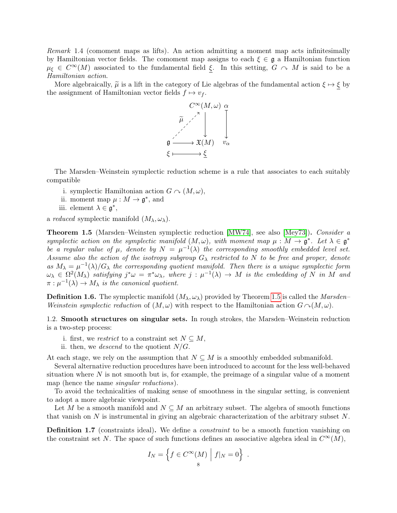<span id="page-9-2"></span>Remark 1.4 (comoment maps as lifts). An action admitting a moment map acts infinitesimally by Hamiltonian vector fields. The comoment map assigns to each  $\xi \in \mathfrak{g}$  a Hamiltonian function  $\mu_{\xi} \in C^{\infty}(M)$  associated to the fundamental field  $\xi$ . In this setting,  $G \cap M$  is said to be a Hamiltonian action.

More algebraically,  $\tilde{\mu}$  is a lift in the category of Lie algebras of the fundamental action  $\xi \mapsto \xi$  by the assignment of Hamiltonian vector fields  $f \mapsto v_f$ .



The Marsden–Weinstein symplectic reduction scheme is a rule that associates to each suitably compatible

- i. symplectic Hamiltonian action  $G \sim (M, \omega)$ ,
- ii. moment map  $\mu : M \to \mathfrak{g}^*$ , and
- iii. element  $\lambda \in \mathfrak{g}^*,$

a *reduced* symplectic manifold  $(M_\lambda, \omega_\lambda)$ .

<span id="page-9-1"></span>**Theorem 1.5** (Marsden–Weinsten symplectic reduction [\[MW74\]](#page-43-0), see also [\[Mey73\]](#page-43-1)). Consider a symplectic action on the symplectic manifold  $(M, \omega)$ , with moment map  $\mu : M \to \mathfrak{g}^*$ . Let  $\lambda \in \mathfrak{g}^*$ be a regular value of  $\mu$ , denote by  $N = \mu^{-1}(\lambda)$  the corresponding smoothly embedded level set. Assume also the action of the isotropy subgroup  $G_{\lambda}$  restricted to N to be free and proper, denote as  $M_{\lambda} = \mu^{-1}(\lambda)/G_{\lambda}$  the corresponding quotient manifold. Then there is a unique symplectic form  $\omega_{\lambda} \in \Omega^2(M_{\lambda})$  satisfying  $j^*\omega = \pi^*\omega_{\lambda}$ , where  $j : \mu^{-1}(\lambda) \to M$  is the embedding of N in M and  $\pi : \mu^{-1}(\lambda) \to M_{\lambda}$  is the canonical quotient.

**Definition 1.6.** The symplectic manifold  $(M_\lambda, \omega_\lambda)$  provided by Theorem [1.5](#page-9-1) is called the *Marsden*– Weinstein symplectic reduction of  $(M, \omega)$  with respect to the Hamiltonian action  $G \cap (M, \omega)$ .

1.2. Smooth structures on singular sets. In rough strokes, the Marsden–Weinstein reduction is a two-step process:

- i. first, we restrict to a constraint set  $N \subseteq M$ ,
- ii. then, we descend to the quotient  $N/G$ .

At each stage, we rely on the assumption that  $N \subseteq M$  is a smoothly embedded submanifold.

Several alternative reduction procedures have been introduced to account for the less well-behaved situation where  $N$  is not smooth but is, for example, the preimage of a singular value of a moment map (hence the name singular reductions).

To avoid the technicalities of making sense of smoothness in the singular setting, is convenient to adopt a more algebraic viewpoint.

Let M be a smooth manifold and  $N \subseteq M$  an arbitrary subset. The algebra of smooth functions that vanish on  $N$  is instrumental in giving an algebraic characterization of the arbitrary subset  $N$ .

<span id="page-9-0"></span>Definition 1.7 (constraints ideal). We define a *constraint* to be a smooth function vanishing on the constraint set N. The space of such functions defines an associative algebra ideal in  $C^{\infty}(M)$ ,

$$
I_N = \left\{ f \in C^{\infty}(M) \mid f|_N = 0 \right\} .
$$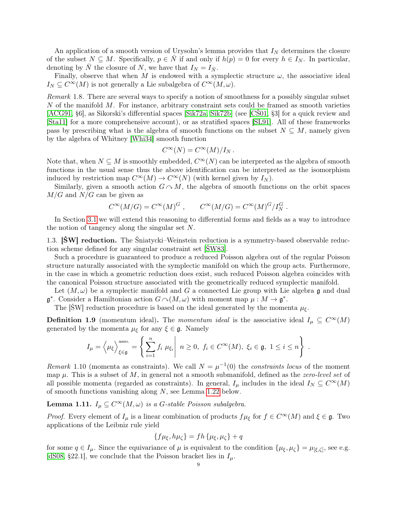An application of a smooth version of Urysohn's lemma provides that  $I<sub>N</sub>$  determines the closure of the subset  $N \subseteq M$ . Specifically,  $p \in N$  if and only if  $h(p) = 0$  for every  $h \in I_N$ . In particular, denoting by  $\overline{N}$  the closure of N, we have that  $I_N = I_{\overline{N}}$ .

Finally, observe that when M is endowed with a symplectic structure  $\omega$ , the associative ideal  $I_N \subseteq C^{\infty}(M)$  is not generally a Lie subalgebra of  $C^{\infty}(M, \omega)$ .

<span id="page-10-2"></span>Remark 1.8. There are several ways to specify a notion of smoothness for a possibly singular subset  $N$  of the manifold  $M$ . For instance, arbitrary constraint sets could be framed as smooth varieties [\[ACG91,](#page-41-2) §6], as Sikorski's differential spaces [\[Sik72a,](#page-43-11) [Sik72b\]](#page-43-12) (see [\[CŚ01,](#page-42-13) §3] for a quick review and [\[Sta11\]](#page-43-13) for a more comprehensive account), or as stratified spaces [\[SL91\]](#page-43-14). All of these frameworks pass by prescribing what is the algebra of smooth functions on the subset  $N \subseteq M$ , namely given by the algebra of Whitney [\[Whi34\]](#page-44-4) smooth function

$$
C^{\infty}(N) = C^{\infty}(M)/I_N.
$$

Note that, when  $N \subseteq M$  is smoothly embedded,  $C^{\infty}(N)$  can be interpreted as the algebra of smooth functions in the usual sense thus the above identification can be interpreted as the isomorphism induced by restriction map  $C^{\infty}(M) \to C^{\infty}(N)$  (with kernel given by  $I_N$ ).

Similarly, given a smooth action  $G \cap M$ , the algebra of smooth functions on the orbit spaces  $M/G$  and  $N/G$  can be given as

$$
C^{\infty}(M/G) = C^{\infty}(M)^G , \qquad C^{\infty}(M/G) = C^{\infty}(M)^G / I_N^G .
$$

In Section [3.1](#page-19-1) we will extend this reasoning to differential forms and fields as a way to introduce the notion of tangency along the singular set N.

1.3. [ŚW] reduction. The Śniatycki–Weinstein reduction is a symmetry-based observable reduction scheme defined for any singular constraint set [\[ŚW83\]](#page-43-2).

Such a procedure is guaranteed to produce a reduced Poisson algebra out of the regular Poisson structure naturally associated with the symplectic manifold on which the group acts. Furthermore, in the case in which a geometric reduction does exist, such reduced Poisson algebra coincides with the canonical Poisson structure associated with the geometrically reduced symplectic manifold.

Let  $(M, \omega)$  be a symplectic manifold and G a connected Lie group with Lie algebra g and dual  $\mathfrak{g}^*$ . Consider a Hamiltonian action  $G \cap (M, \omega)$  with moment map  $\mu : M \to \mathfrak{g}^*$ .

The [ŚW] reduction procedure is based on the ideal generated by the momenta  $\mu_{\xi}$ .

<span id="page-10-0"></span>**Definition 1.9** (momentum ideal). The momentum ideal is the associative ideal  $I_\mu \subseteq C^\infty(M)$ generated by the momenta  $\mu_{\xi}$  for any  $\xi \in \mathfrak{g}$ . Namely

$$
I_{\mu} = \left\langle \mu_{\xi} \right\rangle_{\xi \in \mathfrak{g}}^{\mathrm{assoc.}} = \left\{ \left. \sum_{i=1}^{n} f_i \mu_{\xi_i} \right| \ n \geq 0, \ f_i \in C^{\infty}(M), \ \xi_i \in \mathfrak{g}, \ 1 \leq i \leq n \right\} \ .
$$

Remark 1.10 (momenta as constraints). We call  $N = \mu^{-1}(0)$  the constraints locus of the moment map  $\mu$ . This is a subset of M, in general not a smooth submanifold, defined as the *zero-level set* of all possible momenta (regarded as constraints). In general,  $I_\mu$  includes in the ideal  $I_N \subseteq C^\infty(M)$ of smooth functions vanishing along N, see Lemma [1.22](#page-12-1) below.

<span id="page-10-1"></span>**Lemma 1.11.**  $I_\mu \subseteq C^\infty(M, \omega)$  is a G-stable Poisson subalgebra.

*Proof.* Every element of  $I_\mu$  is a linear combination of products  $f\mu_\xi$  for  $f \in C^\infty(M)$  and  $\xi \in \mathfrak{g}$ . Two applications of the Leibniz rule yield

$$
\{f\mu_{\xi},h\mu_{\zeta}\}=fh\{\mu_{\xi},\mu_{\zeta}\}+q
$$

for some  $q \in I_\mu$ . Since the equivariance of  $\mu$  is equivalent to the condition  $\{\mu_{\xi}, \mu_{\zeta}\} = \mu_{[\xi,\zeta]},$  see e.g. [\[dS08,](#page-42-14) §22.1], we conclude that the Poisson bracket lies in  $I_{\mu}$ .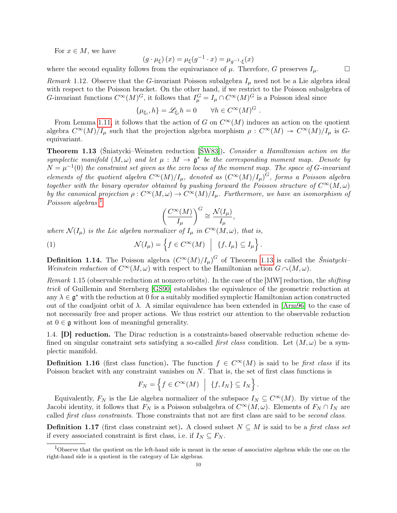For  $x \in M$ , we have

$$
(g \cdot \mu_{\xi})(x) = \mu_{\xi}(g^{-1} \cdot x) = \mu_{g^{-1} \cdot \xi}(x)
$$

where the second equality follows from the equivariance of  $\mu$ . Therefore, G preserves  $I_{\mu}$ .  $\Box$ 

Remark 1.12. Observe that the G-invariant Poisson subalgebra  $I_{\mu}$  need not be a Lie algebra ideal with respect to the Poisson bracket. On the other hand, if we restrict to the Poisson subalgebra of G-invariant functions  $C^{\infty}(M)^G$ , it follows that  $I_{\mu}^G = I_{\mu} \cap C^{\infty}(M)^G$  is a Poisson ideal since

$$
\{\mu_{\xi_i}, h\} = \mathscr{L}_{\xi_i} h = 0 \qquad \forall h \in C^\infty(M)^G.
$$

From Lemma [1.11,](#page-10-1) it follows that the action of G on  $C^{\infty}(M)$  induces an action on the quotient algebra  $C^{\infty}(M)/I_{\mu}$  such that the projection algebra morphism  $\rho: C^{\infty}(M) \twoheadrightarrow C^{\infty}(M)/I_{\mu}$  is Gequivariant.

<span id="page-11-0"></span>Theorem 1.13 (Śniatycki–Weinsten reduction [\[ŚW83\]](#page-43-2)). Consider a Hamiltonian action on the symplectic manifold  $(M, \omega)$  and let  $\mu : M \to \mathfrak{g}^*$  be the corresponding moment map. Denote by  $N = \mu^{-1}(0)$  the constraint set given as the zero locus of the moment map. The space of G-invariant elements of the quotient algebra  $C^{\infty}(M)/I_{\mu}$ , denoted as  $(C^{\infty}(M)/I_{\mu})^G$ , forms a Poisson algebra together with the binary operator obtained by pushing forward the Poisson structure of  $C^{\infty}(M,\omega)$ by the canonical projection  $\rho: C^{\infty}(M, \omega) \to C^{\infty}(M)/I_{\mu}$ . Furthermore, we have an isomorphism of Poisson algebras<sup>[1](#page-11-2)</sup>

$$
\left(\frac{C^{\infty}(M)}{I_{\mu}}\right)^{G} \cong \frac{\mathcal{N}(I_{\mu})}{I_{\mu}},
$$

where  $\mathcal{N}(I_{\mu})$  is the Lie algebra normalizer of  $I_{\mu}$  in  $C^{\infty}(M,\omega)$ , that is,

(1) 
$$
\mathcal{N}(I_{\mu}) = \left\{ f \in C^{\infty}(M) \mid \{f, I_{\mu}\} \subseteq I_{\mu} \right\}.
$$

**Definition 1.14.** The Poisson algebra  $(C^{\infty}(M)/I_{\mu})^G$  of Theorem [1.13](#page-11-0) is called the Sniatycki– Weinstein reduction of  $C^{\infty}(M,\omega)$  with respect to the Hamiltonian action  $G \cap (M,\omega)$ .

Remark 1.15 (observable reduction at nonzero orbits). In the case of the [MW] reduction, the *shifting* trick of Guillemin and Sternberg [\[GS90\]](#page-42-15) establishes the equivalence of the geometric reduction at any  $\lambda \in \mathfrak{g}^*$  with the reduction at 0 for a suitably modified symplectic Hamiltonian action constructed out of the coadjoint orbit of  $\lambda$ . A similar equivalence has been extended in [\[Arm96\]](#page-42-16) to the case of not necessarily free and proper actions. We thus restrict our attention to the observable reduction at  $0 \in \mathfrak{g}$  without loss of meaningful generality.

1.4. [D] reduction. The Dirac reduction is a constraints-based observable reduction scheme defined on singular constraint sets satisfying a so-called *first class* condition. Let  $(M, \omega)$  be a symplectic manifold.

<span id="page-11-1"></span>**Definition 1.16** (first class function). The function  $f \in C^{\infty}(M)$  is said to be first class if its Poisson bracket with any constraint vanishes on N. That is, the set of first class functions is

$$
F_N = \left\{ f \in C^{\infty}(M) \mid \{f, I_N\} \subseteq I_N \right\}.
$$

Equivalently,  $F_N$  is the Lie algebra normalizer of the subspace  $I_N \subseteq C^{\infty}(M)$ . By virtue of the Jacobi identity, it follows that  $F_N$  is a Poisson subalgebra of  $C^{\infty}(M,\omega)$ . Elements of  $F_N \cap I_N$  are called first class constraints. Those constraints that not are first class are said to be second class.

**Definition 1.17** (first class constraint set). A closed subset  $N \subseteq M$  is said to be a first class set if every associated constraint is first class, i.e. if  $I_N \subseteq F_N$ .

<span id="page-11-2"></span><sup>1</sup>Observe that the quotient on the left-hand side is meant in the sense of associative algebras while the one on the right-hand side is a quotient in the category of Lie algebras.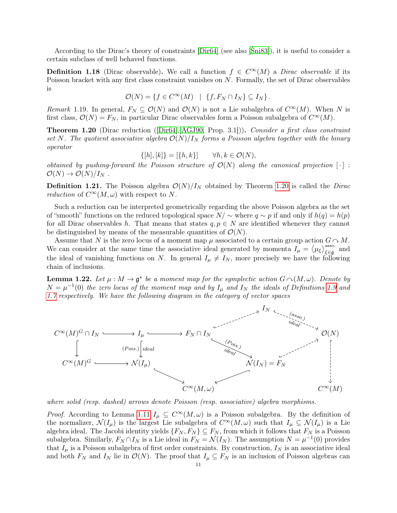According to the Dirac's theory of constraints [\[Dir64\]](#page-42-0) (see also [\[Śni83\]](#page-43-15)), it is useful to consider a certain subclass of well behaved functions.

<span id="page-12-0"></span>**Definition 1.18** (Dirac observable). We call a function  $f \in C^{\infty}(M)$  a *Dirac observable* if its Poisson bracket with any first class constraint vanishes on N. Formally, the set of Dirac observables is

$$
\mathcal{O}(N) = \{ f \in C^{\infty}(M) \mid \{ f, F_N \cap I_N \} \subseteq I_N \}.
$$

Remark 1.19. In general,  $F_N \subseteq \mathcal{O}(N)$  and  $\mathcal{O}(N)$  is not a Lie subalgebra of  $C^{\infty}(M)$ . When N is first class,  $\mathcal{O}(N) = F_N$ , in particular Dirac observables form a Poisson subalgebra of  $C^{\infty}(M)$ .

<span id="page-12-2"></span>Theorem 1.20 (Dirac reduction ([\[Dir64\]](#page-42-0),[\[AGJ90,](#page-41-1) Prop. 3.1])). Consider a first class constraint set N. The quotient associative algebra  $\mathcal{O}(N)/I_N$  forms a Poisson algebra together with the binary operator

$$
\{[h], [k]\} = [\{h, k\}] \qquad \forall h, k \in \mathcal{O}(N),
$$

obtained by pushing-forward the Poisson structure of  $\mathcal{O}(N)$  along the canonical projection  $[\cdot]$ :  $\mathcal{O}(N) \rightarrow \mathcal{O}(N)/I_N$ .

**Definition 1.21.** The Poisson algebra  $\mathcal{O}(N)/I_N$  obtained by Theorem [1.20](#page-12-2) is called the *Dirac reduction* of  $C^{\infty}(M,\omega)$  with respect to N.

Such a reduction can be interpreted geometrically regarding the above Poisson algebra as the set of "smooth" functions on the reduced topological space  $N/\sim$  where  $q\sim p$  if and only if  $h(q) = h(p)$ for all Dirac observables h. That means that states  $q, p \in N$  are identified whenever they cannot be distinguished by means of the measurable quantities of  $\mathcal{O}(N)$ .

Assume that N is the zero locus of a moment map  $\mu$  associated to a certain group action  $G \cap M$ . We can consider at the same time the associative ideal generated by momenta  $I_{\mu} = \langle \mu_{\xi} \rangle_{\xi \in \mathfrak{g}}^{\text{assoc.}}$  and the ideal of vanishing functions on N. In general  $I_{\mu} \neq I_N$ , more precisely we have the following chain of inclusions.

<span id="page-12-1"></span>**Lemma 1.22.** Let  $\mu : M \to \mathfrak{g}^*$  be a moment map for the symplectic action  $G \cap (M, \omega)$ . Denote by  $N = \mu^{-1}(0)$  the zero locus of the moment map and by  $I_{\mu}$  and  $I_N$  the ideals of Definitions [1.9](#page-10-0) and [1.7](#page-9-0) respectively. We have the following diagram in the category of vector spaces



where solid (resp. dashed) arrows denote Poisson (resp. associative) algebra morphisms.

*Proof.* According to Lemma [1.11](#page-10-1)  $I_\mu \subseteq C^\infty(M, \omega)$  is a Poisson subalgebra. By the definition of the normalizer,  $\mathcal{N}(I_\mu)$  is the largest Lie subalgebra of  $C^\infty(M,\omega)$  such that  $I_\mu \subseteq \mathcal{N}(I_\mu)$  is a Lie algebra ideal. The Jacobi identity yields  $\{F_N, F_N\} \subseteq F_N$ , from which it follows that  $F_N$  is a Poisson subalgebra. Similarly,  $F_N \cap I_N$  is a Lie ideal in  $F_N = \mathcal{N}(I_N)$ . The assumption  $N = \mu^{-1}(0)$  provides that  $I_{\mu}$  is a Poisson subalgebra of first order constraints. By construction,  $I_N$  is an associative ideal and both  $F_N$  and  $I_N$  lie in  $\mathcal{O}(N)$ . The proof that  $I_\mu \subseteq F_N$  is an inclusion of Poisson algebras can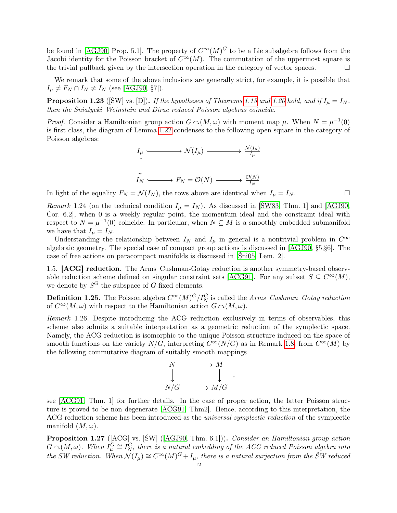be found in [\[AGJ90,](#page-41-1) Prop. 5.1]. The property of  $C^{\infty}(M)^G$  to be a Lie subalgebra follows from the Jacobi identity for the Poisson bracket of  $C^{\infty}(M)$ . The commutation of the uppermost square is the trivial pullback given by the intersection operation in the category of vector spaces.  $\Box$ 

We remark that some of the above inclusions are generally strict, for example, it is possible that  $I_{\mu} \neq F_N \cap I_N \neq I_N$  (see [\[AGJ90,](#page-41-1) §7]).

**Proposition 1.23** ([SW] vs. [D]). If the hypotheses of Theorems [1.13](#page-11-0) and [1.20](#page-12-2) hold, and if  $I_{\mu} = I_N$ , then the Śniatycki–Weinstein and Dirac reduced Poisson algebras coincide.

*Proof.* Consider a Hamiltonian group action  $G \cap (M, \omega)$  with moment map  $\mu$ . When  $N = \mu^{-1}(0)$ is first class, the diagram of Lemma [1.22](#page-12-1) condenses to the following open square in the category of Poisson algebras:

$$
I_{\mu} \xrightarrow{\qquad} \mathcal{N}(I_{\mu}) \longrightarrow \frac{\mathcal{N}(I_{\mu})}{I_{\mu}}
$$
  

$$
\downarrow
$$
  

$$
I_{N} \longrightarrow F_{N} = \mathcal{O}(N) \longrightarrow \frac{\mathcal{O}(N)}{I_{N}}
$$

In light of the equality  $F_N = \mathcal{N}(I_N)$ , the rows above are identical when  $I_\mu = I_N$ .

Remark 1.24 (on the technical condition  $I_{\mu} = I_N$ ). As discussed in [SW83, Thm. 1] and [\[AGJ90,](#page-41-1) Cor. 6.2], when 0 is a weekly regular point, the momentum ideal and the constraint ideal with respect to  $N = \mu^{-1}(0)$  coincide. In particular, when  $N \subseteq M$  is a smoothly embedded submanifold we have that  $I_{\mu} = I_N$ .

Understanding the relationship between  $I_N$  and  $I_\mu$  in general is a nontrivial problem in  $C^\infty$ algebraic geometry. The special case of compact group actions is discussed in [\[AGJ90,](#page-41-1) §5,§6]. The case of free actions on paracompact manifolds is discussed in [\[Śni05,](#page-43-16) Lem. 2].

<span id="page-13-0"></span>1.5. [ACG] reduction. The Arms–Cushman-Gotay reduction is another symmetry-based observ-able reduction scheme defined on singular constraint sets [\[ACG91\]](#page-41-2). For any subset  $S \subseteq C^{\infty}(M)$ , we denote by  $S^G$  the subspace of G-fixed elements.

<span id="page-13-2"></span>**Definition 1.25.** The Poisson algebra  $C^{\infty}(M)^G/I^G_N$  is called the Arms–Cushman–Gotay reduction of  $C^{\infty}(M,\omega)$  with respect to the Hamiltonian action  $G \cap (M,\omega)$ .

Remark 1.26. Despite introducing the ACG reduction exclusively in terms of observables, this scheme also admits a suitable interpretation as a geometric reduction of the symplectic space. Namely, the ACG reduction is isomorphic to the unique Poisson structure induced on the space of smooth functions on the variety  $N/G$ , interpreting  $C^{\infty}(N/G)$  as in Remark [1.8,](#page-10-2) from  $C^{\infty}(M)$  by the following commutative diagram of suitably smooth mappings



see [\[ACG91,](#page-41-2) Thm. 1] for further details. In the case of proper action, the latter Poisson structure is proved to be non degenerate [\[ACG91,](#page-41-2) Thm2]. Hence, according to this interpretation, the ACG reduction scheme has been introduced as the universal symplectic reduction of the symplectic manifold  $(M, \omega)$ .

<span id="page-13-1"></span>Proposition 1.27 ([ACG] vs. [ŚW] ([\[AGJ90,](#page-41-1) Thm. 6.1])). Consider an Hamiltonian group action  $G \cap (M, \omega)$ . When  $I_{\mu}^G \cong I_N^G$ , there is a natural embedding of the ACG reduced Poisson algebra into the SW reduction. When  $\mathcal{N}(I_{\mu}) \cong C^{\infty}(M)^{G} + I_{\mu}$ , there is a natural surjection from the SW reduced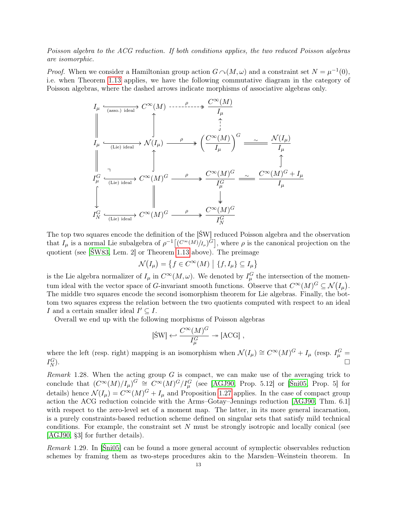Poisson algebra to the ACG reduction. If both conditions applies, the two reduced Poisson algebras are isomorphic.

*Proof.* When we consider a Hamiltonian group action  $G \cap (M, \omega)$  and a constraint set  $N = \mu^{-1}(0)$ , i.e. when Theorem [1.13](#page-11-0) applies, we have the following commutative diagram in the category of Poisson algebras, where the dashed arrows indicate morphisms of associative algebras only.

$$
I_{\mu} \xrightarrow{\text{(assoc.) ideal}} C^{\infty}(M) \xrightarrow{\text{---}} \xrightarrow{\rho} \xrightarrow{\text{C}^{\infty}(M)}
$$
\n
$$
\parallel \qquad \qquad \downarrow
$$
\n
$$
I_{\mu} \xrightarrow{\text{(Lie) ideal}} \mathcal{N}(I_{\mu}) \xrightarrow{\rho} \left( \frac{C^{\infty}(M)}{I_{\mu}} \right)^{G} \xrightarrow{\sim} \frac{\mathcal{N}(I_{\mu})}{I_{\mu}}
$$
\n
$$
\parallel \qquad \qquad \downarrow
$$
\n
$$
I_{\mu}^{G} \xrightarrow{\text{(Lie) ideal}} C^{\infty}(M)^{G} \xrightarrow{\rho} \xrightarrow{\text{C}^{\infty}(M)^{G}} \xrightarrow{\sim} \frac{C^{\infty}(M)^{G} + I_{\mu}}{I_{\mu}^{G}}
$$
\n
$$
\downarrow
$$
\n
$$
I_{N}^{G} \xrightarrow{\text{(Lie) ideal}} C^{\infty}(M)^{G} \xrightarrow{\rho} \xrightarrow{\text{C}^{\infty}(M)^{G}} \frac{I_{N}^{G}}{I_{N}^{G}}
$$

The top two squares encode the definition of the [ŚW] reduced Poisson algebra and the observation that  $I_\mu$  is a normal Lie subalgebra of  $\rho^{-1}\left[\left(\frac{C^{\infty}(M)}{I_\mu}\right)^{\tilde{G}}\right]$ , where  $\rho$  is the canonical projection on the quotient (see [\[ŚW83,](#page-43-2) Lem. 2] or Theorem [1.13](#page-11-0) above). The preimage

$$
\mathcal{N}(I_{\mu}) = \{ f \in C^{\infty}(M) \mid \{ f, I_{\mu} \} \subseteq I_{\mu} \}
$$

is the Lie algebra normalizer of  $I_\mu$  in  $C^\infty(M,\omega)$ . We denoted by  $I_\mu^G$  the intersection of the momentum ideal with the vector space of G-invariant smooth functions. Observe that  $C^{\infty}(M)^G \subseteq \mathcal{N}(I_{\mu})$ . The middle two squares encode the second isomorphism theorem for Lie algebras. Finally, the bottom two squares express the relation between the two quotients computed with respect to an ideal I and a certain smaller ideal  $I' \subseteq I$ .

Overall we end up with the following morphisms of Poisson algebras

$$
[\text{SW}] \leftrightarrow \frac{C^{\infty}(M)^G}{I_{\mu}^G} \twoheadrightarrow [\text{ACG}] ,
$$

where the left (resp. right) mapping is an isomorphism when  $\mathcal{N}(I_\mu) \cong C^\infty(M)^G + I_\mu$  (resp.  $I_\mu^G =$  $I_N^G$  $\Box_N^G$ ).

*Remark* 1.28. When the acting group  $G$  is compact, we can make use of the averaging trick to conclude that  $(C^{\infty}(M)/I_{\mu})^G \cong C^{\infty}(M)^G/I_{\mu}^G$  (see [\[AGJ90,](#page-41-1) Prop. 5.12] or [\[Śni05,](#page-43-16) Prop. 5] for details) hence  $\mathcal{N}(I_{\mu}) = C^{\infty}(M)^{G} + I_{\mu}$  and Proposition [1.27](#page-13-1) applies. In the case of compact group action the ACG reduction coincide with the Arms–Gotay–Jennings reduction [\[AGJ90,](#page-41-1) Thm. 6.1] with respect to the zero-level set of a moment map. The latter, in its more general incarnation, is a purely constraints-based reduction scheme defined on singular sets that satisfy mild technical conditions. For example, the constraint set  $N$  must be strongly isotropic and locally conical (see [\[AGJ90,](#page-41-1) §3] for further details).

Remark 1.29. In [\[Śni05\]](#page-43-16) can be found a more general account of symplectic observables reduction schemes by framing them as two-steps procedures akin to the Marsden–Weinstein theorem. In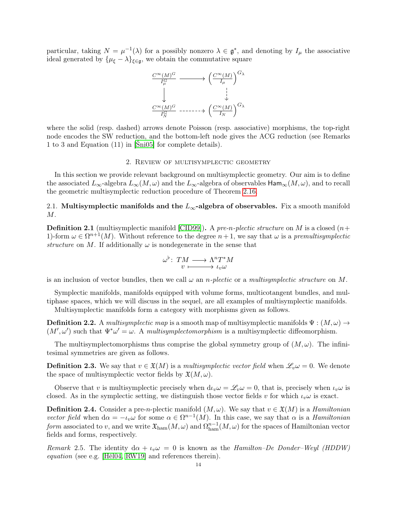particular, taking  $N = \mu^{-1}(\lambda)$  for a possibly nonzero  $\lambda \in \mathfrak{g}^*$ , and denoting by  $I_\mu$  the associative ideal generated by  $\{\mu_{\xi} - \lambda\}_{\xi \in \mathfrak{g}}$ , we obtain the commutative square



where the solid (resp. dashed) arrows denote Poisson (resp. associative) morphisms, the top-right node encodes the SW reduction, and the bottom-left node gives the ACG reduction (see Remarks 1 to 3 and Equation (11) in [\[Śni05\]](#page-43-16) for complete details).

#### 2. Review of multisymplectic geometry

<span id="page-15-0"></span>In this section we provide relevant background on multisymplectic geometry. Our aim is to define the associated  $L_{\infty}$ -algebra  $L_{\infty}(M,\omega)$  and the  $L_{\infty}$ -algebra of observables  $\text{Ham}_{\infty}(M,\omega)$ , and to recall the geometric multisymplectic reduction procedure of Theorem [2.16.](#page-18-3)

### 2.1. Multisymplectic manifolds and the  $L_{\infty}$ -algebra of observables. Fix a smooth manifold M.

<span id="page-15-1"></span>**Definition 2.1** (multisymplectic manifold [\[CID99\]](#page-42-17)). A pre-n-plectic structure on M is a closed  $(n+$ 1)-form  $\omega \in \Omega^{n+1}(M)$ . Without reference to the degree  $n+1$ , we say that  $\omega$  is a premultisymplectic structure on M. If additionally  $\omega$  is nondegenerate in the sense that

$$
\omega^{\flat} \colon \thinspace TM \longrightarrow \Lambda^n T^*M \hspace{0.5cm}
$$

is an inclusion of vector bundles, then we call  $\omega$  an *n*-plectic or a multisymplectic structure on M.

Symplectic manifolds, manifolds equipped with volume forms, multicotangent bundles, and multiphase spaces, which we will discuss in the sequel, are all examples of multisymplectic manifolds. Multisymplectic manifolds form a category with morphisms given as follows.

**Definition 2.2.** A multisymplectic map is a smooth map of multisymplectic manifolds  $\Psi : (M, \omega) \rightarrow$  $(M', \omega')$  such that  $\Psi^* \omega' = \omega$ . A multisymplectomorphism is a multisymplectic diffeomorphism.

The multisymplectomorphisms thus comprise the global symmetry group of  $(M, \omega)$ . The infinitesimal symmetries are given as follows.

<span id="page-15-2"></span>**Definition 2.3.** We say that  $v \in \mathfrak{X}(M)$  is a multisymplectic vector field when  $\mathscr{L}_v \omega = 0$ . We denote the space of multisymplectic vector fields by  $\mathfrak{X}(M,\omega)$ .

Observe that v is multisymplectic precisely when  $d_l\omega = \mathscr{L}_v\omega = 0$ , that is, precisely when  $l_v\omega$  is closed. As in the symplectic setting, we distinguish those vector fields v for which  $\iota_v \omega$  is exact.

<span id="page-15-3"></span>**Definition 2.4.** Consider a pre-n-plectic manifold  $(M, \omega)$ . We say that  $v \in \mathfrak{X}(M)$  is a *Hamiltonian* vector field when  $d\alpha = -\iota_v \omega$  for some  $\alpha \in \Omega^{n-1}(M)$ . In this case, we say that  $\alpha$  is a *Hamiltonian* form associated to v, and we write  $\mathfrak{X}_{\rm ham}(M,\omega)$  and  $\Omega_{\rm ham}^{n-1}(M,\omega)$  for the spaces of Hamiltonian vector fields and forms, respectively.

Remark 2.5. The identity  $d\alpha + \iota_v \omega = 0$  is known as the Hamilton–De Donder–Weyl (HDDW) equation (see e.g. [\[Hél04,](#page-42-18) [RW19\]](#page-43-17) and references therein).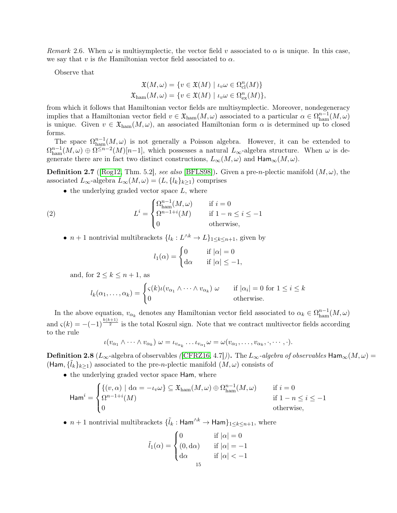Remark 2.6. When  $\omega$  is multisymplectic, the vector field v associated to  $\alpha$  is unique. In this case, we say that v is the Hamiltonian vector field associated to  $\alpha$ .

Observe that

$$
\mathfrak{X}(M,\omega) = \{ v \in \mathfrak{X}(M) \mid \iota_v \omega \in \Omega_{\text{cl}}^n(M) \}
$$
  

$$
\mathfrak{X}_{\text{ham}}(M,\omega) = \{ v \in \mathfrak{X}(M) \mid \iota_v \omega \in \Omega_{\text{ex}}^n(M) \},
$$

from which it follows that Hamiltonian vector fields are multisymplectic. Moreover, nondegeneracy implies that a Hamiltonian vector field  $v \in \mathfrak{X}_{\text{ham}}(M,\omega)$  associated to a particular  $\alpha \in \Omega_{\text{ham}}^{n-1}(M,\omega)$ is unique. Given  $v \in \mathfrak{X}_{\text{ham}}(M,\omega)$ , an associated Hamiltonian form  $\alpha$  is determined up to closed forms.

The space  $\Omega_{\text{ham}}^{n-1}(M,\omega)$  is not generally a Poisson algebra. However, it can be extended to  $\Omega_{\text{ham}}^{n-1}(M,\omega) \oplus \Omega^{\leq n-2}(M)[n-1]$ , which possesses a natural  $L_{\infty}$ -algebra structure. When  $\omega$  is degenerate there are in fact two distinct constructions,  $L_{\infty}(M,\omega)$  and  $\text{Ham}_{\infty}(M,\omega)$ .

<span id="page-16-0"></span>**Definition 2.7** ([\[Rog12,](#page-43-9) Thm. 5.2], see also [\[BFLS98\]](#page-42-19)). Given a pre-*n*-plectic manifold  $(M,\omega)$ , the associated  $L_{\infty}$ -algebra  $L_{\infty}(M, \omega) = (L, \{l_k\}_{k \geq 1})$  comprises

 $\bullet$  the underlying graded vector space  $L$ , where

(2) 
$$
L^{i} = \begin{cases} \Omega_{\text{ham}}^{n-1}(M, \omega) & \text{if } i = 0\\ \Omega^{n-1+i}(M) & \text{if } 1 - n \leq i \leq -1\\ 0 & \text{otherwise,} \end{cases}
$$

•  $n+1$  nontrivial multibrackets  $\{l_k: L^{\wedge k} \to L\}_{1 \leq k \leq n+1}$ , given by

$$
l_1(\alpha) = \begin{cases} 0 & \text{if } |\alpha| = 0\\ \mathrm{d}\alpha & \text{if } |\alpha| \le -1, \end{cases}
$$

and, for  $2 \leq k \leq n+1$ , as

$$
l_k(\alpha_1,\ldots,\alpha_k) = \begin{cases} \varsigma(k)\iota(v_{\alpha_1} \wedge \cdots \wedge v_{\alpha_k}) \; \omega & \text{if } |\alpha_i| = 0 \text{ for } 1 \le i \le k \\ 0 & \text{otherwise.} \end{cases}
$$

In the above equation,  $v_{\alpha_k}$  denotes any Hamiltonian vector field associated to  $\alpha_k \in \Omega_{\text{ham}}^{n-1}(M, \omega)$ and  $\varsigma(k) = -(-1)^{\frac{k(k+1)}{2}}$  is the total Koszul sign. Note that we contract multivector fields according to the rule

$$
\iota(v_{\alpha_1}\wedge\cdots\wedge v_{\alpha_k})\omega=\iota_{v_{\alpha_k}}\ldots\iota_{v_{\alpha_1}}\omega=\omega(v_{\alpha_1},\ldots,v_{\alpha_k},\cdot,\cdots,\cdot).
$$

<span id="page-16-1"></span>**Definition 2.8** ( $L_{\infty}$ -algebra of observables ([\[CFRZ16,](#page-42-11) 4.7])). The  $L_{\infty}$ -algebra of observables Ham<sub>∞</sub>( $M, \omega$ ) = (Ham,  $\{\tilde{l}_k\}_{k\geq1}$ ) associated to the pre-n-plectic manifold  $(M,\omega)$  consists of

• the underlying graded vector space Ham, where

$$
\operatorname{Ham}^{i} = \begin{cases} \{(v, \alpha) \mid \mathrm{d}\alpha = -\iota_{v}\omega\} \subseteq \mathfrak{X}_{\text{ham}}(M, \omega) \oplus \Omega_{\text{ham}}^{n-1}(M, \omega) & \text{if } i = 0\\ \Omega^{n-1+i}(M) & \text{if } 1 - n \leq i \leq -1\\ 0 & \text{otherwise,} \end{cases}
$$

•  $n+1$  nontrivial multibrackets  $\{\tilde{l}_k : \textsf{Ham}^{\wedge k} \to \textsf{Ham}\}_{1 \leq k \leq n+1}$ , where

$$
\tilde{l}_1(\alpha) = \begin{cases}\n0 & \text{if } |\alpha| = 0 \\
(0, \text{d}\alpha) & \text{if } |\alpha| = -1 \\
\text{d}\alpha & \text{if } |\alpha| < -1\n\end{cases}
$$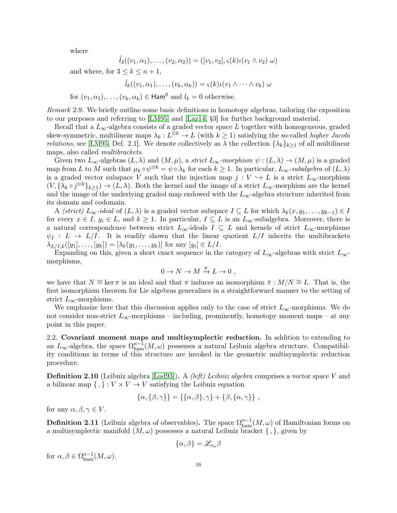where

$$
\tilde{l}_2((v_1,\alpha_1),\ldots,(v_2,\alpha_2)) = ([v_1,v_2], \varsigma(k)\iota(v_1 \wedge v_2) \omega)
$$

and where, for  $3 \leq k \leq n+1$ ,

$$
\tilde{l}_k((v_1,\alpha_1),\ldots,(v_k,\alpha_k))=\varsigma(k)\iota(v_1\wedge\cdots\wedge v_k)\omega
$$

for  $(v_1, \alpha_1), \ldots, (v_k, \alpha_k) \in \text{Ham}^0$  and  $l_k = 0$  otherwise.

Remark 2.9. We briefly outline some basic definitions in homotopy algebras, tailoring the exposition to our purposes and referring to [\[LM95\]](#page-43-18) and [\[Laz14,](#page-43-19) §3] for further background material.

Recall that a  $L_{\infty}$ -algebra consists of a graded vector space L together with homogeneous, graded skew-symmetric, multilinear maps  $\lambda_k : L^{\otimes k} \to L$  (with  $k \geq 1$ ) satisfying the so-called *higher Jacobi relations*, see [\[LM95,](#page-43-18) Def. 2.1]. We denote collectively as  $\lambda$  the collection  $\{\lambda_k\}_{k>1}$  of all multilinear maps, also called *multibrackets*.

Given two  $L_{\infty}$ -algebras  $(L, \lambda)$  and  $(M, \mu)$ , a strict  $L_{\infty}$ -morphism  $\psi : (L, \lambda) \to (M, \mu)$  is a graded map from L to M such that  $\mu_k \circ \psi^{\otimes k} = \psi \circ \lambda_k$  for each  $k \geq 1$ . In particular,  $L_\infty$ -subalgebra of  $(L, \lambda)$ is a graded vector subspace V such that the injection map  $j : V \hookrightarrow L$  is a strict  $L_{\infty}$ -morphism  $(V, {\{\lambda_k \circ j^{\otimes k}\}_{k\geq 1}}) \to (L, \lambda)$ . Both the kernel and the image of a strict  $L_{\infty}$ -morphism are the kernel and the image of the underlying graded map endowed with the  $L_{\infty}$ -algebra structure inherited from its domain and codomain.

A (strict)  $L_{\infty}$ -ideal of  $(L, \lambda)$  is a graded vector subspace  $I \subseteq L$  for which  $\lambda_k(x, y_1, \ldots, y_{k-1}) \in I$ for every  $x \in I$ ,  $y_i \in L$ , and  $k \geq 1$ . In particular,  $I \subseteq L$  is an  $L_{\infty}$ -subalgebra. Moreover, there is a natural correspondence between strict  $L_{\infty}$ -ideals  $I \subseteq L$  and kernels of strict  $L_{\infty}$ -morphisms  $\psi_I : L \to L/I$ . It is readily shown that the linear quotient  $L/I$  inherits the multibrackets  $\lambda_{L/I,k}([y_1], \ldots, [y_k]) = [\lambda_k(y_1, \ldots, y_k)]$  for any  $[y_i] \in L/I$ .

Expanding on this, given a short exact sequence in the category of  $L_{\infty}$ -algebras with strict  $L_{\infty}$ morphisms,

$$
0 \to N \to M \xrightarrow{\pi} L \to 0 ,
$$

we have that  $N \cong \ker \pi$  is an ideal and that  $\pi$  induces an isomorphism  $\bar{\pi} : M/N \cong L$ . That is, the first isomorphism theorem for Lie algebras generalizes in a straightforward manner to the setting of strict  $L_{\infty}$ -morphisms.

We emphasize here that this discussion applies only to the case of strict  $L_{\infty}$ -morphisms. We do not consider non-strict  $L_{\infty}$ -morphisms – including, prominently, homotopy moment maps – at any point in this paper.

<span id="page-17-1"></span>2.2. Covariant moment maps and multisymplectic reduction. In addition to extending to an  $L_{\infty}$ -algebra, the space  $\Omega_{\text{ham}}^{n-1}(M,\omega)$  possesses a natural Leibniz algebra structure. Compatibility conditions in terms of this structure are invoked in the geometric multisymplectic reduction procedure.

**Definition 2.10** (Leibniz algebra  $\text{[Lod93]}$  $\text{[Lod93]}$  $\text{[Lod93]}$ ). A *(left) Leibniz algebra* comprises a vector space V and a bilinear map  $\{ , \} : V \times V \to V$  satisfying the Leibniz equation

$$
\{\alpha,\{\beta,\gamma\}\}=\{\{\alpha,\beta\},\gamma\}+\{\beta,\{\alpha,\gamma\}\}\;
$$

for any  $\alpha, \beta, \gamma \in V$ .

<span id="page-17-0"></span>**Definition 2.11** (Leibniz algebra of observables). The space  $\Omega_{\text{ham}}^{n-1}(M,\omega)$  of Hamiltonian forms on a multisymplectic manifold  $(M, \omega)$  possesses a natural Leibniz bracket  $\{\, ,\}$ , given by

$$
\{\alpha,\beta\}=\mathscr{L}_{v_{\alpha}}\beta
$$

for  $\alpha, \beta \in \Omega_{\text{ham}}^{n-1}(M, \omega)$ .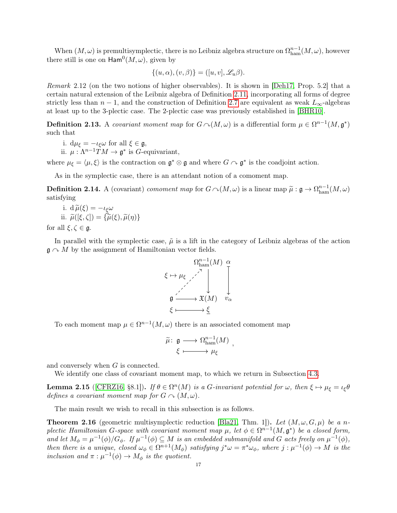When  $(M, \omega)$  is premultisymplectic, there is no Leibniz algebra structure on  $\Omega_{\text{ham}}^{n-1}(M, \omega)$ , however there still is one on  $\mathsf{Ham}^0(M,\omega)$ , given by

$$
\{(u, \alpha), (v, \beta)\} = ([u, v], \mathcal{L}_u \beta).
$$

Remark 2.12 (on the two notions of higher observables). It is shown in [\[Deh17,](#page-42-20) Prop. 5.2] that a certain natural extension of the Leibniz algebra of Definition [2.11,](#page-17-0) incorporating all forms of degree strictly less than  $n-1$ , and the construction of Definition [2.7](#page-16-0) are equivalent as weak  $L_{\infty}$ -algebras at least up to the 3-plectic case. The 2-plectic case was previously established in [\[BHR10\]](#page-42-21).

<span id="page-18-0"></span>**Definition 2.13.** A covariant moment map for  $G \sim (M, \omega)$  is a differential form  $\mu \in \Omega^{n-1}(M, \mathfrak{g}^*)$ such that

i. 
$$
d\mu_{\xi} = -\iota_{\xi}\omega
$$
 for all  $\xi \in \mathfrak{g}$ ,

ii.  $\mu : \Lambda^{n-1}TM \to \mathfrak{g}^*$  is *G*-equivariant,

where  $\mu_{\xi} = \langle \mu, \xi \rangle$  is the contraction on  $\mathfrak{g}^* \otimes \mathfrak{g}$  and where  $G \cap \mathfrak{g}^*$  is the coadjoint action.

As in the symplectic case, there is an attendant notion of a comoment map.

<span id="page-18-1"></span>**Definition 2.14.** A (covariant) comoment map for  $G \cap (M,\omega)$  is a linear map  $\widetilde{\mu}: \mathfrak{g} \to \Omega_{\text{ham}}^{n-1}(M,\omega)$ satisfying

i. 
$$
d\widetilde{\mu}(\xi) = -\iota_{\xi}\omega
$$
  
ii.  $\widetilde{\mu}([\xi, \zeta]) = {\widetilde{\mu}(\xi), \widetilde{\mu}(\eta)}$   
for all  $\xi, \zeta \in \mathfrak{g}$ .

In parallel with the symplectic case,  $\tilde{\mu}$  is a lift in the category of Leibniz algebras of the action  $\mathfrak{g} \cap M$  by the assignment of Hamiltonian vector fields.



To each moment map  $\mu \in \Omega^{n-1}(M, \omega)$  there is an associated comoment map

$$
\widetilde{\mu} \colon \mathfrak{g} \longrightarrow \Omega_{\text{ham}}^{n-1}(M) ,
$$
  

$$
\xi \longmapsto \mu_{\xi}
$$

and conversely when G is connected.

We identify one class of covariant moment map, to which we return in Subsection [4.3.](#page-37-0)

<span id="page-18-2"></span>**Lemma 2.15** ([\[CFRZ16,](#page-42-11) §8.1]). If  $\theta \in \Omega^n(M)$  is a *G*-invariant potential for  $\omega$ , then  $\xi \mapsto \mu_{\xi} = \iota_{\xi} \theta$ defines a covariant moment map for  $G \cap (M, \omega)$ .

The main result we wish to recall in this subsection is as follows.

<span id="page-18-3"></span>**Theorem 2.16** (geometric multisymplectic reduction [\[Bla21,](#page-42-9) Thm. 1]). Let  $(M, \omega, G, \mu)$  be a nplectic Hamiltonian G-space with covariant moment map  $\mu$ , let  $\phi \in \Omega^{n-1}(M, \mathfrak{g}^*)$  be a closed form, and let  $M_{\phi} = \mu^{-1}(\phi)/G_{\phi}$ . If  $\mu^{-1}(\phi) \subseteq M$  is an embedded submanifold and G acts freely on  $\mu^{-1}(\phi)$ , then there is a unique, closed  $\omega_{\phi} \in \Omega^{n+1}(M_{\phi})$  satisfying  $j^*\omega = \pi^*\omega_{\phi}$ , where  $j:\mu^{-1}(\phi) \to M$  is the inclusion and  $\pi : \mu^{-1}(\phi) \to M_\phi$  is the quotient.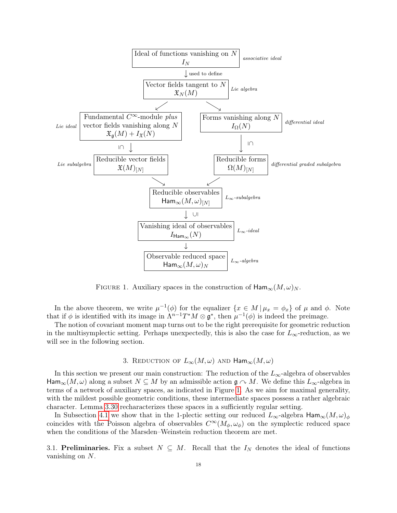

<span id="page-19-2"></span>FIGURE 1. Auxiliary spaces in the construction of  $\text{Ham}_{\infty}(M,\omega)_N$ .

In the above theorem, we write  $\mu^{-1}(\phi)$  for the equalizer  $\{x \in M \mid \mu_x = \phi_x\}$  of  $\mu$  and  $\phi$ . Note that if  $\phi$  is identified with its image in  $\Lambda^{n-1}T^*M \otimes \mathfrak{g}^*$ , then  $\mu^{-1}(\phi)$  is indeed the preimage.

The notion of covariant moment map turns out to be the right prerequisite for geometric reduction in the multisymplectic setting. Perhaps unexpectedly, this is also the case for  $L_{\infty}$ -reduction, as we will see in the following section.

# 3. REDUCTION OF  $L_{\infty}(M,\omega)$  AND  $\text{Ham}_{\infty}(M,\omega)$

<span id="page-19-0"></span>In this section we present our main construction: The reduction of the  $L_{\infty}$ -algebra of observables Ham<sub>∞</sub>(M,  $\omega$ ) along a subset  $N \subseteq M$  by an admissible action  $\mathfrak{g} \cap M$ . We define this  $L_{\infty}$ -algebra in terms of a network of auxiliary spaces, as indicated in Figure [1.](#page-19-2) As we aim for maximal generality, with the mildest possible geometric conditions, these intermediate spaces possess a rather algebraic character. Lemma [3.30](#page-26-0) recharacterizes these spaces in a sufficiently regular setting.

In Subsection [4.1](#page-29-1) we show that in the 1-plectic setting our reduced  $L_{\infty}$ -algebra  $\text{Ham}_{\infty}(M,\omega)_{\phi}$ coincides with the Poisson algebra of observables  $C^{\infty}(M_{\phi}, \omega_{\phi})$  on the symplectic reduced space when the conditions of the Marsden–Weinstein reduction theorem are met.

<span id="page-19-1"></span>3.1. Preliminaries. Fix a subset  $N \subseteq M$ . Recall that the  $I_N$  denotes the ideal of functions vanishing on N.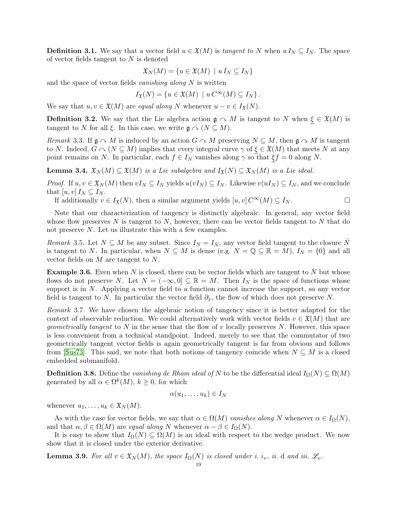<span id="page-20-0"></span>**Definition 3.1.** We say that a vector field  $u \in \mathfrak{X}(M)$  is tangent to N when  $u I_N \subseteq I_N$ . The space of vector fields tangent to  $N$  is denoted

$$
\mathfrak{X}_N(M) = \{ u \in \mathfrak{X}(M) \mid u I_N \subseteq I_N \}
$$

and the space of vector fields vanishing along  $N$  is written

$$
I_{\mathfrak{X}}(N) = \{ u \in \mathfrak{X}(M) \mid u C^{\infty}(M) \subseteq I_N \}.
$$

We say that  $u, v \in \mathfrak{X}(M)$  are equal along N whenever  $u - v \in I_{\mathfrak{X}}(N)$ .

<span id="page-20-1"></span>**Definition 3.2.** We say that the Lie algebra action  $\mathfrak{g} \cap M$  is tangent to N when  $\xi \in \mathfrak{X}(M)$  is tangent to N for all  $\xi$ . In this case, we write  $\mathfrak{g} \curvearrowright (N \subseteq M)$ .

<span id="page-20-5"></span>Remark 3.3. If  $\mathfrak{g} \cap M$  is induced by an action  $G \cap M$  preserving  $N \subseteq M$ , then  $\mathfrak{g} \cap M$  is tangent to N. Indeed,  $G \cap (N \subseteq M)$  implies that every integral curve  $\gamma$  of  $\xi \in \mathfrak{X}(M)$  that meets N at any point remains on N. In particular, each  $f \in I_N$  vanishes along  $\gamma$  so that  $\xi f = 0$  along N.

<span id="page-20-3"></span>**Lemma 3.4.**  $\mathfrak{X}_N(M) \subseteq \mathfrak{X}(M)$  is a Lie subalgebra and  $I_{\mathfrak{X}}(N) \subseteq \mathfrak{X}_N(M)$  is a Lie ideal.

*Proof.* If  $u, v \in \mathfrak{X}_N(M)$  then  $vI_N \subseteq I_N$  yields  $u(vI_N) \subseteq I_N$ . Likewise  $v(uI_N) \subseteq I_N$ , and we conclude that  $[u, v] I_N \subseteq I_N$ .

If additionally  $v \in I_{\mathfrak{X}}(N)$ , then a similar argument yields  $[u, v] C^{\infty}(M) \subseteq I_N$ .

Note that our characterization of tangency is distinctly algebraic. In general, any vector field whose flow preserves  $N$  is tangent to  $N$ , however, there can be vector fields tangent to  $N$  that do not preserve N. Let us illustrate this with a few examples.

Remark 3.5. Let  $N \subseteq M$  be any subset. Since  $I_N = I_{\bar{N}}$ , any vector field tangent to the closure  $\bar{N}$ is tangent to N. In particular, when  $N \subseteq M$  is dense (e.g.  $N = \mathbb{Q} \subseteq \mathbb{R} = M$ ),  $I_N = \{0\}$  and all vector fields on  $M$  are tangent to  $N$ .

**Example 3.6.** Even when N is closed, there can be vector fields which are tangent to N but whose flows do not preserve N. Let  $N = (-\infty, 0] \subseteq \mathbb{R} = M$ . Then  $I_N$  is the space of functions whose support is in  $N$ . Applying a vector field to a function cannot increase the support, so any vector field is tangent to N. In particular the vector field  $\partial_x$ , the flow of which does not preserve N.

Remark 3.7. We have chosen the algebraic notion of tangency since it is better adapted for the context of observable reduction. We could alternatively work with vector fields  $v \in \mathfrak{X}(M)$  that are *geometrically tangent* to N in the sense that the flow of v locally preserves N. However, this space is less convenient from a technical standpoint. Indeed, merely to see that the commutator of two geometrically tangent vector fields is again geometrically tangent is far from obvious and follows from [\[Sus73\]](#page-43-21). This said, we note that both notions of tangency coincide when  $N \subseteq M$  is a closed embedded submanifold.

<span id="page-20-2"></span>**Definition 3.8.** Define the vanishing de Rham ideal of N to be the differential ideal  $I_{\Omega}(N) \subseteq \Omega(M)$ generated by all  $\alpha \in \Omega^k(M)$ ,  $k \geq 0$ , for which

$$
\alpha(u_1,\ldots,u_k)\in I_N
$$

whenever  $u_1, \ldots, u_k \in \mathfrak{X}_N(M)$ .

As with the case for vector fields, we say that  $\alpha \in \Omega(M)$  vanishes along N whenever  $\alpha \in I_{\Omega}(N)$ , and that  $\alpha, \beta \in \Omega(M)$  are equal along N whenever  $\alpha - \beta \in I_{\Omega}(N)$ .

It is easy to show that  $I_{\Omega}(N) \subseteq \Omega(M)$  is an ideal with respect to the wedge product. We now show that it is closed under the exterior derivative.

<span id="page-20-4"></span>**Lemma 3.9.** For all  $v \in \mathfrak{X}_N(M)$ , the space  $I_\Omega(N)$  is closed under i.  $\iota_v$ , ii. d and iii.  $\mathscr{L}_v$ .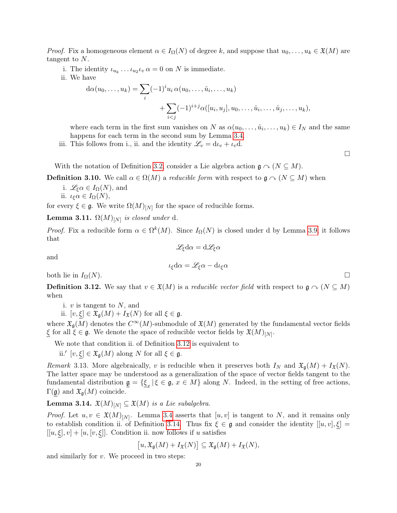*Proof.* Fix a homogeneous element  $\alpha \in I_{\Omega}(N)$  of degree k, and suppose that  $u_0, \ldots, u_k \in \mathfrak{X}(M)$  are tangent to N.

- i. The identity  $\iota_{u_k} \dots \iota_{u_2} \iota_v \alpha = 0$  on N is immediate.
- ii. We have

$$
d\alpha(u_0, ..., u_k) = \sum_i (-1)^i u_i \alpha(u_0, ..., \hat{u}_i, ..., u_k) + \sum_{i < j} (-1)^{i+j} \alpha([u_i, u_j], u_0, ..., \hat{u}_i, ..., \hat{u}_j, ..., u_k),
$$

where each term in the first sum vanishes on N as  $\alpha(u_0, \ldots, \hat{u}_i, \ldots, u_k) \in I_N$  and the same happens for each term in the second sum by Lemma [3.4.](#page-20-3)

iii. This follows from i., ii. and the identity  $\mathcal{L}_v = d\iota_v + \iota_v d$ .

With the notation of Definition [3.2,](#page-20-1) consider a Lie algebra action  $\mathfrak{g} \cap (N \subseteq M)$ .

<span id="page-21-0"></span>**Definition 3.10.** We call  $\alpha \in \Omega(M)$  a *reducible form* with respect to  $\mathfrak{g} \cap (N \subseteq M)$  when

i.  $\mathscr{L}_{\xi}\alpha \in I_{\Omega}(N)$ , and ii.  $\iota_{\xi}\alpha \in I_{\Omega}(N),$ 

for every  $\xi \in \mathfrak{g}$ . We write  $\Omega(M)_{[N]}$  for the space of reducible forms.

<span id="page-21-4"></span>**Lemma 3.11.**  $\Omega(M)_{[N]}$  is closed under d.

*Proof.* Fix a reducible form  $\alpha \in \Omega^k(M)$ . Since  $I_{\Omega}(N)$  is closed under d by Lemma [3.9,](#page-20-4) it follows that  $\mathscr{L}_{\xi}d\alpha = d\mathscr{L}_{\xi}\alpha$ 

and

$$
\iota_{\xi}d\alpha = \mathscr{L}_{\xi}\alpha - d\iota_{\xi}\alpha
$$

both lie in  $I_{\Omega}(N)$ .  $\square$ 

<span id="page-21-1"></span>**Definition 3.12.** We say that  $v \in \mathfrak{X}(M)$  is a *reducible vector field* with respect to  $\mathfrak{g} \cap (N \subseteq M)$ when

i.  $v$  is tangent to  $N$ , and

ii.  $[v, \xi] \in \mathfrak{X}_{\mathfrak{a}}(M) + I_{\mathfrak{X}}(N)$  for all  $\xi \in \mathfrak{g}$ .

where  $\mathfrak{X}_{\mathfrak{a}}(M)$  denotes the  $C^{\infty}(M)$ -submodule of  $\mathfrak{X}(M)$  generated by the fundamental vector fields  $\xi$  for all  $\xi \in \mathfrak{g}$ . We denote the space of reducible vector fields by  $\mathfrak{X}(M)_{[N]}$ .

We note that condition ii. of Definition [3.12](#page-21-1) is equivalent to

ii.'  $[v, \xi] \in \mathfrak{X}_{\mathfrak{g}}(M)$  along N for all  $\xi \in \mathfrak{g}$ .

<span id="page-21-2"></span>Remark 3.13. More algebraically, v is reducible when it preserves both  $I_N$  and  $\mathfrak{X}_{\mathfrak{q}}(M) + I_{\mathfrak{X}}(N)$ . The latter space may be understood as a generalization of the space of vector fields tangent to the fundamental distribution  $\underline{\mathfrak{g}} = {\underline{\xi}_x | \xi \in \mathfrak{g}, x \in M}$  along N. Indeed, in the setting of free actions,  $\Gamma(\mathfrak{g})$  and  $\mathfrak{X}_{\mathfrak{g}}(M)$  coincide.

<span id="page-21-3"></span>**Lemma 3.14.**  $\mathfrak{X}(M)_{[N]} \subseteq \mathfrak{X}(M)$  is a Lie subalgebra.

*Proof.* Let  $u, v \in \mathfrak{X}(M)_{[N]}$ . Lemma [3.4](#page-20-3) asserts that  $[u, v]$  is tangent to N, and it remains only to establish condition ii. of Definition [3.14.](#page-21-3) Thus fix  $\xi \in \mathfrak{g}$  and consider the identity  $[[u, v], \xi] =$  $[[u,\xi],v] + [u,[v,\xi]]$ . Condition ii. now follows if u satisfies

$$
[u,\mathfrak{X}_{\mathfrak{g}}(M)+I_{\mathfrak{X}}(N)]\subseteq \mathfrak{X}_{\mathfrak{g}}(M)+I_{\mathfrak{X}}(N),
$$

and similarly for  $v$ . We proceed in two steps:

□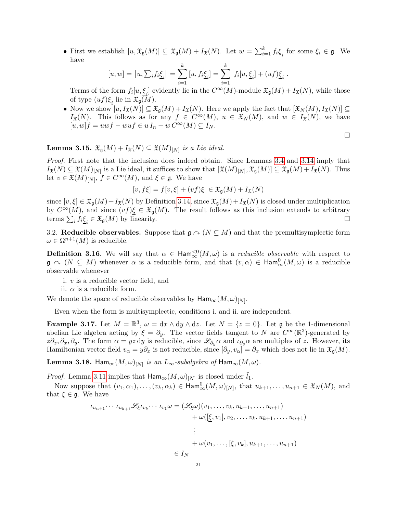• First we establish  $[u, \mathfrak{X}_{\mathfrak{g}}(M)] \subseteq \mathfrak{X}_{\mathfrak{g}}(M) + I_{\mathfrak{X}}(N)$ . Let  $w = \sum_{i=1}^k f_i \underline{\xi}_i$  for some  $\xi_i \in \mathfrak{g}$ . We have

$$
[u, w] = [u, \sum_i f_i \underline{\xi}_i] = \sum_{i=1}^k [u, f_i \underline{\xi}_i] = \sum_{i=1}^k f_i[u, \underline{\xi}_i] + (uf) \underline{\xi}_i.
$$

Terms of the form  $f_i[u, \underline{\xi}_i]$  evidently lie in the  $C^{\infty}(M)$ -module  $\mathfrak{X}_{\mathfrak{g}}(M) + I_{\mathfrak{X}}(N)$ , while those of type  $(uf)\underline{\xi}_i$  lie in  $\mathfrak{X}_{\mathfrak{g}}(M)$ .

• Now we show  $[u, I_{\mathfrak{X}}(N)] \subseteq \mathfrak{X}_{\mathfrak{g}}(M) + I_{\mathfrak{X}}(N)$ . Here we apply the fact that  $[\mathfrak{X}_{N}(M), I_{\mathfrak{X}}(N)] \subseteq$  $I_{\mathfrak{X}}(N)$ . This follows as for any  $f \in C^{\infty}(M)$ ,  $u \in \mathfrak{X}_N(M)$ , and  $w \in I_{\mathfrak{X}}(N)$ , we have  $[u, w]f = uwf - wuf \in uI_n - wC^{\infty}(M) \subseteq I_N$ .

<span id="page-22-1"></span>**Lemma 3.15.**  $\mathfrak{X}_{\mathfrak{g}}(M) + I_{\mathfrak{X}}(N) \subseteq \mathfrak{X}(M)_{[N]}$  is a Lie ideal.

Proof. First note that the inclusion does indeed obtain. Since Lemmas [3.4](#page-20-3) and [3.14](#page-21-3) imply that  $I_{\mathfrak{X}}(N) \subseteq \mathfrak{X}(M)_{[N]}$  is a Lie ideal, it suffices to show that  $[\mathfrak{X}(M)_{[N]}, \mathfrak{X}_{\mathfrak{g}}(M)] \subseteq \mathfrak{X}_{\mathfrak{g}}(M) + I_{\mathfrak{X}}(N)$ . Thus let  $v \in \mathfrak{X}(M)_{[N]}, f \in C^{\infty}(M)$ , and  $\xi \in \mathfrak{g}$ . We have

$$
[v, f\underline{\xi}] = f[v, \underline{\xi}] + (vf)\underline{\xi} \in \mathfrak{X}_{\mathfrak{g}}(M) + I_{\mathfrak{X}}(N)
$$

since  $[v,\xi] \in \mathfrak{X}_{\mathfrak{g}}(M) + I_{\mathfrak{X}}(N)$  by Definition [3.14,](#page-21-3) since  $\mathfrak{X}_{\mathfrak{g}}(M) + I_{\mathfrak{X}}(N)$  is closed under multiplication by  $C^{\infty}(M)$ , and since  $(vf)\xi \in \mathfrak{X}_{\mathfrak{a}}(M)$ . The result follows as this inclusion extends to arbitrary terms  $\sum_i f_i \underline{\xi}_i \in \mathfrak{X}_{\mathfrak{g}}(M)$  by linearity.

3.2. Reducible observables. Suppose that  $\mathfrak{g} \curvearrowright (N \subseteq M)$  and that the premultisymplectic form  $\omega \in \Omega^{n+1}(M)$  is reducible.

<span id="page-22-0"></span>**Definition 3.16.** We will say that  $\alpha \in \text{Ham}_{\infty}^{\leq 0}(M,\omega)$  is a *reducible observable* with respect to  $\mathfrak{g} \nightharpoonup (N \subseteq M)$  whenever  $\alpha$  is a reducible form, and that  $(v, \alpha) \in \text{Ham}_{\infty}^{0}(M, \omega)$  is a reducible observable whenever

- i.  $v$  is a reducible vector field, and
- ii.  $\alpha$  is a reducible form.

We denote the space of reducible observables by  $\mathsf{Ham}_{\infty}(M,\omega)_{[N]}$ .

Even when the form is multisymplectic, conditions i. and ii. are independent.

**Example 3.17.** Let  $M = \mathbb{R}^3$ ,  $\omega = dx \wedge dy \wedge dz$ . Let  $N = \{z = 0\}$ . Let g be the 1-dimensional abelian Lie algebra acting by  $\xi = \partial_y$ . The vector fields tangent to N are  $C^{\infty}(\mathbb{R}^3)$ -generated by  $z\partial_z, \partial_x, \partial_y$ . The form  $\alpha = yz \, dy$  is reducible, since  $\mathscr{L}_{\partial_y} \alpha$  and  $\iota_{\partial_y} \alpha$  are multiples of z. However, its Hamiltonian vector field  $v_{\alpha} = y\partial_x$  is not reducible, since  $[\partial_y, v_{\alpha}] = \partial_x$  which does not lie in  $\mathfrak{X}_{\mathfrak{g}}(M)$ .

 ${\rm \bf Lemma \ 3.18.}$  Ham ${}_{\infty} (M, \omega)_{[N]}$  is an  $L_{\infty}$ -subalgebra of  ${\rm Ham}_{\infty} (M, \omega).$ 

*Proof.* Lemma [3.11](#page-21-4) implies that  $\text{Ham}_{\infty}(M,\omega)_{[N]}$  is closed under  $\tilde{l}_1$ .

Now suppose that  $(v_1, \alpha_1), \ldots, (v_k, \alpha_k) \in \text{Ham}^0_{\infty}(M, \omega)_{[N]},$  that  $u_{k+1}, \ldots, u_{n+1} \in \mathfrak{X}_N(M)$ , and that  $\xi \in \mathfrak{g}$ . We have

$$
\iota_{u_{n+1}} \cdots \iota_{u_{k+1}} \mathcal{L}_{\xi} \iota_{v_k} \cdots \iota_{v_1} \omega = (\mathcal{L}_{\xi} \omega)(v_1, \dots, v_k, u_{k+1}, \dots, u_{n+1}) + \omega([\underline{\xi}, v_1], v_2, \dots, v_k, u_{k+1}, \dots, u_{n+1}) \vdots + \omega(v_1, \dots, [\underline{\xi}, v_k], u_{k+1}, \dots, u_{n+1}) \in I_N
$$

□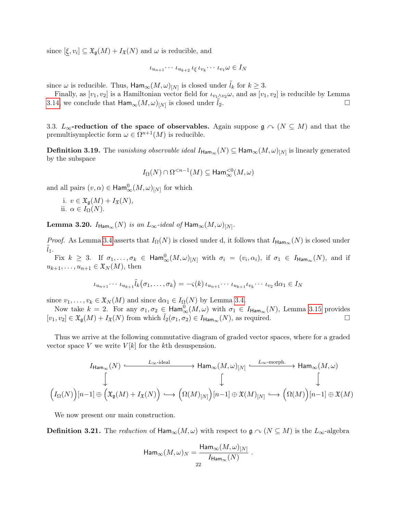since  $[\xi, v_i] \subseteq \mathfrak{X}_{\mathfrak{g}}(M) + I_{\mathfrak{X}}(N)$  and  $\omega$  is reducible, and

$$
\iota_{u_{n+1}}\cdots \iota_{u_{k+2}}\iota_{\xi}\iota_{v_k}\cdots \iota_{v_1}\omega\in I_N
$$

since  $\omega$  is reducible. Thus,  $\mathsf{Ham}_{\infty}(M,\omega)_{[N]}$  is closed under  $\tilde{l}_k$  for  $k\geq 3$ .

Finally, as  $[v_1, v_2]$  is a Hamiltonian vector field for  $\iota_{v_1 \wedge v_2} \omega$ , and as  $[v_1, v_2]$  is reducible by Lemma [3.14,](#page-21-3) we conclude that  $\text{Ham}_{\infty}(M,\omega)_{[N]}$  is closed under  $\tilde{l}_2$ .

3.3.  $L_{\infty}$ -reduction of the space of observables. Again suppose  $\mathfrak{g} \cap (N \subseteq M)$  and that the premultisymplectic form  $\omega \in \Omega^{n+1}(M)$  is reducible.

<span id="page-23-0"></span>**Definition 3.19.** The vanishing observable ideal  $I_{\text{Ham}_{\infty}}(N) \subseteq \text{Ham}_{\infty}(M,\omega)_{[N]}$  is linearly generated by the subspace

$$
I_\Omega(N)\cap\Omega^{
$$

and all pairs  $(v, \alpha) \in \text{Ham}^{0}_{\infty}(M, \omega)_{[N]}$  for which

i.  $v \in \mathfrak{X}_{\mathfrak{g}}(M) + I_{\mathfrak{X}}(N)$ , ii.  $\alpha \in I_{\Omega}(N)$ .

<span id="page-23-1"></span> ${\rm \bf Lemma~3.20.}$   $I_{\mathsf{Ham}_{\infty}}(N)$  is an  $L_{\infty}$ -ideal of  $\mathsf{Ham}_{\infty}(M,\omega)_{[N]}.$ 

*Proof.* As Lemma [3.4](#page-20-3) asserts that  $I_{\Omega}(N)$  is closed under d, it follows that  $I_{\text{Ham}_{\infty}}(N)$  is closed under  $l_1$ .

Fix  $k \geq 3$ . If  $\sigma_1,\ldots,\sigma_k \in \text{Ham}_{\infty}^0(M,\omega)_{[N]}$  with  $\sigma_i = (v_i,\alpha_i)$ , if  $\sigma_1 \in I_{\text{Ham}_{\infty}}(N)$ , and if  $u_{k+1}, \ldots, u_{n+1} \in \mathfrak{X}_N(M)$ , then

$$
\iota_{u_{n+1}}\cdots \iota_{u_{k+1}}\tilde{l}_k(\sigma_1,\ldots,\sigma_k)=-\varsigma(k)\iota_{u_{n+1}}\cdots \iota_{u_{k+1}}\iota_{v_k}\cdots \iota_{v_2}\,\mathrm{d}\alpha_1\in I_N
$$

since  $v_1, \ldots, v_k \in \mathfrak{X}_N(M)$  and since  $d\alpha_1 \in I_\Omega(N)$  by Lemma [3.4.](#page-20-3)

Now take  $k = 2$ . For any  $\sigma_1, \sigma_2 \in \text{Ham}_{\infty}^0(M, \omega)$  with  $\sigma_1 \in I_{\text{Ham}_{\infty}}(N)$ , Lemma [3.15](#page-22-1) provides  $[v_1, v_2] \in \mathfrak{X}_{\mathfrak{g}}(M) + I_{\mathfrak{X}}(N)$  from which  $\tilde{l}_2(\sigma_1, \sigma_2) \in I_{\text{Ham}_{\infty}}(N)$ , as required.  $\Box$ 

Thus we arrive at the following commutative diagram of graded vector spaces, where for a graded vector space V we write  $V[k]$  for the kth desuspension.

$$
\begin{CD} I_{\text{Ham}_{\infty}}(N) @>L_{\infty}\text{-ideal}>> \text{Ham}_{\infty}(M,\omega)_{[N]} @>L_{\infty}\text{-morph.}\\ \qquad \qquad \downarrow \qquad \qquad \downarrow \qquad \qquad \downarrow \\ \qquad \qquad \downarrow \qquad \qquad \downarrow \\ \Big(I_{\Omega}(N)\Big)[n-1] \oplus \Big(\mathfrak{X}_{\mathfrak{g}}(M)+I_{\mathfrak{X}}(N)\Big) @>L\left(\Omega(M)_{[N]}\right)[n-1] \oplus \mathfrak{X}(M)_{[N]} @>L\left(\Omega(M)\right)[n-1] \oplus \mathfrak{X}(M)\\ \qquad \qquad \downarrow \qquad \qquad \downarrow \qquad \qquad \downarrow
$$

We now present our main construction.

**Definition 3.21.** The reduction of  $\text{Ham}_{\infty}(M,\omega)$  with respect to  $\mathfrak{g} \cap (N \subseteq M)$  is the  $L_{\infty}$ -algebra

$$
\mathsf{Ham}_\infty(M,\omega)_N=\frac{\mathsf{Ham}_\infty(M,\omega)_{[N]}}{I_{\mathsf{Ham}_\infty}(N)}\ .
$$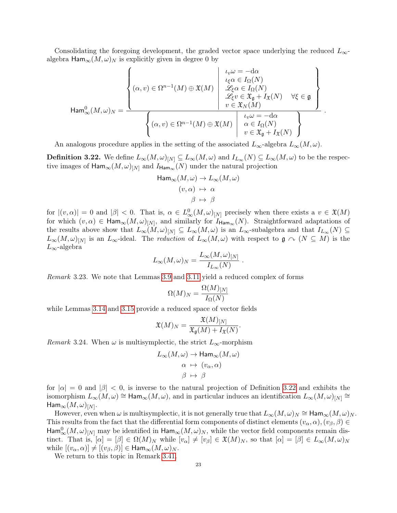Consolidating the foregoing development, the graded vector space underlying the reduced  $L_{\infty}$ algebra  $\text{Ham}_{\infty}(M,\omega)_N$  is explicitly given in degree 0 by

$$
\operatorname{Ham}_{\infty}^{0}(M,\omega)_{N} = \frac{\left\{ (\alpha,v) \in \Omega^{n-1}(M) \oplus \mathfrak{X}(M) \; \left| \; \begin{array}{l} \iota_{v}\omega = -d\alpha \\ \iota_{\xi}\alpha \in I_{\Omega}(N) \\ \mathscr{L}_{\xi}\alpha \in I_{\Omega}(N) \\ \mathscr{L}_{\xi}v \in \mathfrak{X}_{\mathfrak{g}} + I_{\mathfrak{X}}(N) \end{array} \right|}{\left\{ (\alpha,v) \in \Omega^{n-1}(M) \oplus \mathfrak{X}(M) \; \left| \; \begin{array}{l} \iota_{v}\omega = -d\alpha \\ \mathscr{L}_{\xi}\alpha \in I_{\Omega}(N) \\ v \in \mathfrak{X}_{\mathfrak{g}} + I_{\mathfrak{X}}(N) \end{array} \right. \right\}}.
$$

An analogous procedure applies in the setting of the associated  $L_{\infty}$ -algebra  $L_{\infty}(M,\omega)$ .

<span id="page-24-0"></span>**Definition 3.22.** We define  $L_{\infty}(M,\omega)_{[N]} \subseteq L_{\infty}(M,\omega)$  and  $I_{L_{\infty}}(N) \subseteq L_{\infty}(M,\omega)$  to be the respective images of  $\text{Ham}_{\infty}(M,\omega)_{[N]}$  and  $I_{\text{Ham}_{\infty}}(N)$  under the natural projection

$$
\mathsf{Ham}_{\infty}(M,\omega) \to L_{\infty}(M,\omega)
$$

$$
(v,\alpha) \mapsto \alpha
$$

$$
\beta \mapsto \beta
$$

for  $|(v,\alpha)| = 0$  and  $|\beta| < 0$ . That is,  $\alpha \in L^0_\infty(M,\omega)_{[N]}$  precisely when there exists a  $v \in \mathfrak{X}(M)$ for which  $(v, \alpha) \in \text{Ham}_{\infty}(M, \omega)_{[N]},$  and similarly for  $I_{\text{Ham}_{\infty}}(N)$ . Straightforward adaptations of the results above show that  $L_{\infty}(M,\omega)_{[N]} \subseteq L_{\infty}(M,\omega)$  is an  $L_{\infty}$ -subalgebra and that  $I_{L_{\infty}}(N) \subseteq$  $L_{\infty}(M,\omega)_{[N]}$  is an  $L_{\infty}$ -ideal. The reduction of  $L_{\infty}(M,\omega)$  with respect to  $\mathfrak{g} \curvearrowright (N \subseteq M)$  is the  $L_{\infty}$ -algebra

$$
L_{\infty}(M,\omega)_N = \frac{L_{\infty}(M,\omega)_{[N]}}{I_{L_{\infty}}(N)}.
$$

<span id="page-24-2"></span>Remark 3.23. We note that Lemmas [3.9](#page-20-4) and [3.11](#page-21-4) yield a reduced complex of forms

$$
\Omega(M)_N = \frac{\Omega(M)_{[N]}}{I_{\Omega}(N)}
$$

while Lemmas [3.14](#page-21-3) and [3.15](#page-22-1) provide a reduced space of vector fields

$$
\mathfrak{X}(M)_N = \frac{\mathfrak{X}(M)_{[N]}}{\mathfrak{X}_{\mathfrak{g}}(M) + I_{\mathfrak{X}}(N)}.
$$

<span id="page-24-1"></span>*Remark* 3.24. When  $\omega$  is multisymplectic, the strict  $L_{\infty}$ -morphism

$$
L_{\infty}(M,\omega) \to \text{Ham}_{\infty}(M,\omega)
$$

$$
\alpha \mapsto (v_{\alpha}, \alpha)
$$

$$
\beta \mapsto \beta
$$

for  $|\alpha| = 0$  and  $|\beta| < 0$ , is inverse to the natural projection of Definition [3.22](#page-24-0) and exhibits the isomorphism  $L_\infty(M,\omega) \cong \text{Ham}_\infty(M,\omega)$ , and in particular induces an identification  $L_\infty(M,\omega)_{[N]} \cong$  $\mathsf{Ham}_\infty(M,\omega)_{[N]}.$ 

However, even when  $\omega$  is multisymplectic, it is not generally true that  $L_{\infty}(M,\omega)_N \cong \text{Ham}_{\infty}(M,\omega)_N$ . This results from the fact that the differential form components of distinct elements  $(v_\alpha, \alpha), (v_\beta, \beta) \in$  ${\sf Ham}^0_\infty(M, \omega)_{[N]}$  may be identified in  ${\sf Ham}_\infty(M, \omega)_N,$  while the vector field components remain distinct. That is,  $[\alpha] = [\beta] \in \Omega(M)_N$  while  $[v_\alpha] \neq [v_\beta] \in \mathfrak{X}(M)_N$ , so that  $[\alpha] = [\beta] \in L_\infty(M, \omega)_N$ while  $[(v_{\alpha}, \alpha)] \neq [(v_{\beta}, \beta)] \in \text{Ham}_{\infty}(M, \omega)_N$ .

We return to this topic in Remark [3.41.](#page-28-0)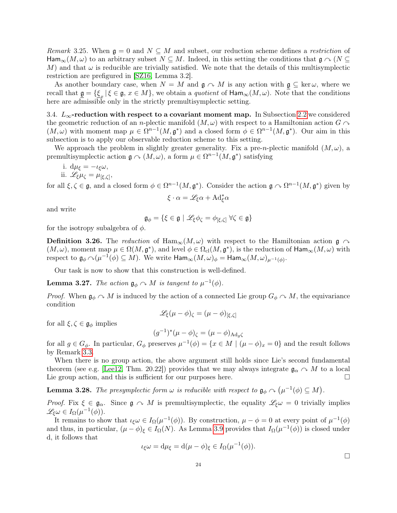Remark 3.25. When  $\mathfrak{g} = 0$  and  $N \subseteq M$  and subset, our reduction scheme defines a restriction of  $\text{Ham}_{\infty}(M,\omega)$  to an arbitrary subset  $N\subseteq M$ . Indeed, in this setting the conditions that  $\mathfrak{g}\curvearrowright (N\subseteq$ M) and that  $\omega$  is reducible are trivially satisfied. We note that the details of this multisymplectic restriction are prefigured in [\[SZ16,](#page-44-3) Lemma 3.2].

As another boundary case, when  $N = M$  and  $\mathfrak{g} \cap M$  is any action with  $\mathfrak{g} \subseteq \text{ker }\omega$ , where we recall that  $\underline{\mathfrak{g}} = {\{\underline{\xi}_x | \xi \in \mathfrak{g}, x \in M\}}$ , we obtain a *quotient* of  $\text{Ham}_{\infty}(M, \omega)$ . Note that the conditions here are admissible only in the strictly premultisymplectic setting.

<span id="page-25-3"></span>3.4.  $L_{\infty}$ -reduction with respect to a covariant moment map. In Subsection [2.2](#page-17-1) we considered the geometric reduction of an n-plectic manifold  $(M, \omega)$  with respect to a Hamiltonian action  $G \cap$  $(M,\omega)$  with moment map  $\mu \in \Omega^{n-1}(M,\mathfrak{g}^*)$  and a closed form  $\phi \in \Omega^{n-1}(M,\mathfrak{g}^*)$ . Our aim in this subsection is to apply our observable reduction scheme to this setting.

We approach the problem in slightly greater generality. Fix a pre-n-plectic manifold  $(M, \omega)$ , a premultisymplectic action  $\mathfrak{g} \curvearrowright (M, \omega)$ , a form  $\mu \in \Omega^{n-1}(M, \mathfrak{g}^*)$  satisfying

i. 
$$
d\mu_{\xi} = -\iota_{\xi}\omega
$$
,

ii.  $\mathscr{L}_{\xi}\mu_{\zeta} = \mu_{\{\xi,\zeta\}},$ 

for all  $\xi, \zeta \in \mathfrak{g}$ , and a closed form  $\phi \in \Omega^{n-1}(M, \mathfrak{g}^*)$ . Consider the action  $\mathfrak{g} \curvearrowright \Omega^{n-1}(M, \mathfrak{g}^*)$  given by

$$
\xi \cdot \alpha = \mathscr{L}_{\xi}\alpha + \mathrm{Ad}^*_{\xi}\alpha
$$

and write

$$
\mathfrak{g}_{\phi} = \{ \xi \in \mathfrak{g} \mid \mathscr{L}_{\xi} \phi_{\zeta} = \phi_{[\xi,\zeta]} \ \forall \zeta \in \mathfrak{g} \}
$$

for the isotropy subalgebra of  $\phi$ .

<span id="page-25-0"></span>**Definition 3.26.** The reduction of  $\text{Ham}_{\infty}(M,\omega)$  with respect to the Hamiltonian action  $\mathfrak{g} \cap \mathfrak{g}$  $(M,\omega)$ , moment map  $\mu \in \Omega(M, \mathfrak{g}^*)$ , and level  $\phi \in \Omega_{\text{cl}}(M, \mathfrak{g}^*)$ , is the reduction of  $\text{Ham}_{\infty}(M, \omega)$  with respect to  $\mathfrak{g}_{\phi} \curvearrowright (\mu^{-1}(\phi) \subseteq M)$ . We write  $\mathsf{Ham}_{\infty}(M,\omega)_{\phi} = \mathsf{Ham}_{\infty}(M,\omega)_{\mu^{-1}(\phi)}$ .

Our task is now to show that this construction is well-defined.

<span id="page-25-1"></span>**Lemma 3.27.** The action  $\mathfrak{g}_{\phi} \curvearrowright M$  is tangent to  $\mu^{-1}(\phi)$ .

*Proof.* When  $\mathfrak{g}_{\phi} \cap M$  is induced by the action of a connected Lie group  $G_{\phi} \cap M$ , the equivariance condition

$$
\mathscr{L}_{\xi}(\mu - \phi)_{\zeta} = (\mu - \phi)_{[\xi, \zeta]}
$$

for all  $\xi, \zeta \in \mathfrak{g}_{\phi}$  implies

$$
(g^{-1})^*(\mu - \phi)_{\zeta} = (\mu - \phi)_{\mathrm{Ad}_g\zeta}
$$

for all  $g \in G_{\phi}$ . In particular,  $G_{\phi}$  preserves  $\mu^{-1}(\phi) = \{x \in M \mid (\mu - \phi)_x = 0\}$  and the result follows by Remark [3.3.](#page-20-5)

When there is no group action, the above argument still holds since Lie's second fundamental theorem (see e.g. [\[Lee12,](#page-43-22) Thm. 20.22]) provides that we may always integrate  $\mathfrak{g}_{\alpha} \cap M$  to a local Lie group action, and this is sufficient for our purposes here.  $\Box$ 

<span id="page-25-2"></span>**Lemma 3.28.** The presymplectic form  $\omega$  is reducible with respect to  $\mathfrak{g}_{\phi} \curvearrowright (\mu^{-1}(\phi) \subseteq M)$ .

Proof. Fix  $\xi \in \mathfrak{g}_{\alpha}$ . Since  $\mathfrak{g} \cap M$  is premultisymplectic, the equality  $\mathscr{L}_{\xi}\omega = 0$  trivially implies  $\mathscr{L}_{\xi}\omega \in I_{\Omega}(\mu^{-1}(\phi)).$ 

It remains to show that  $\iota_{\xi}\omega \in I_{\Omega}(\mu^{-1}(\phi))$ . By construction,  $\mu - \phi = 0$  at every point of  $\mu^{-1}(\phi)$ and thus, in particular,  $(\mu - \phi)_{\xi} \in I_{\Omega}(N)$ . As Lemma [3.9](#page-20-4) provides that  $I_{\Omega}(\mu^{-1}(\phi))$  is closed under d, it follows that

$$
\iota_{\xi}\omega = d\mu_{\xi} = d(\mu - \phi)_{\xi} \in I_{\Omega}(\mu^{-1}(\phi)).
$$

□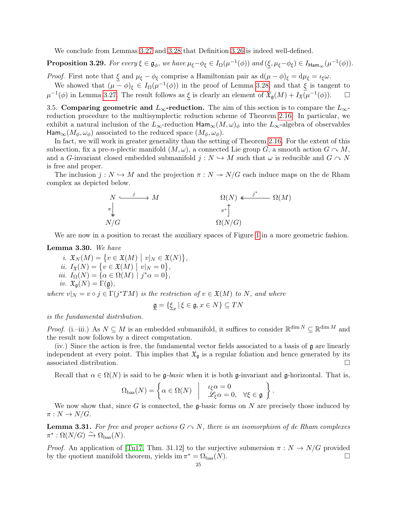We conclude from Lemmas [3.27](#page-25-1) and [3.28](#page-25-2) that Definition [3.26](#page-25-0) is indeed well-defined.

**Proposition 3.29.** For every  $\xi \in \mathfrak{g}_{\phi}$ , we have  $\mu_{\xi} - \phi_{\xi} \in I_{\Omega}(\mu^{-1}(\phi))$  and  $(\xi, \mu_{\xi} - \phi_{\xi}) \in I_{\text{Ham}_{\infty}}(\mu^{-1}(\phi))$ .

*Proof.* First note that  $\xi$  and  $\mu_{\xi} - \phi_{\xi}$  comprise a Hamiltonian pair as  $d(\mu - \phi)_{\xi} = d\mu_{\xi} = \iota_{\xi}\omega$ .

We showed that  $(\mu - \phi)_{\xi} \in I_{\Omega}(\mu^{-1}(\phi))$  in the proof of Lemma [3.28,](#page-25-2) and that  $\xi$  is tangent to  $\mu^{-1}(\phi)$  in Lemma [3.27.](#page-25-1) The result follows as  $\xi$  is clearly an element of  $\mathfrak{X}_{\mathfrak{g}}(M) + I_{\mathfrak{X}}(\mu^{-1}(\phi))$ .  $\Box$ 

3.5. Comparing geometric and  $L_{\infty}$ -reduction. The aim of this section is to compare the  $L_{\infty}$ reduction procedure to the multisymplectic reduction scheme of Theorem [2.16.](#page-18-3) In particular, we exhibit a natural inclusion of the  $L_{\infty}$ -reduction  $\text{Ham}_{\infty}(M,\omega)_{\phi}$  into the  $L_{\infty}$ -algebra of observables  $\text{Ham}_{\infty}(M_{\phi}, \omega_{\phi})$  associated to the reduced space  $(M_{\phi}, \omega_{\phi})$ .

In fact, we will work in greater generality than the setting of Theorem [2.16.](#page-18-3) For the extent of this subsection, fix a pre-n-plectic manifold  $(M, \omega)$ , a connected Lie group G, a smooth action  $G \cap M$ , and a G-invariant closed embedded submanifold  $j : N \hookrightarrow M$  such that  $\omega$  is reducible and  $G \cap N$ is free and proper.

The inclusion  $j: N \hookrightarrow M$  and the projection  $\pi: N \twoheadrightarrow N/G$  each induce maps on the de Rham complex as depicted below.

$$
\begin{array}{ccc}\nN & \xrightarrow{\quad} & M & \mathfrak{Q}(N) & \xrightarrow{\quad} & \mathfrak{Q}(M) \\
\pi & & & & \pi^* \int \\
N/G & & & & \Omega(N/G)\n\end{array}
$$

We are now in a position to recast the auxiliary spaces of Figure [1](#page-19-2) in a more geometric fashion.

#### <span id="page-26-0"></span>Lemma 3.30. We have

 $i. \mathfrak{X}_N(M) = \{ v \in \mathfrak{X}(M) \mid v|_N \in \mathfrak{X}(N) \},$ ii.  $I_{\mathfrak{X}}(N) = \{v \in \mathfrak{X}(M) \mid v|_{N} = 0\},\$ *iii.*  $I_{\Omega}(N) = \{ \alpha \in \Omega(M) \mid j^* \alpha = 0 \},\$ *iv.*  $\mathfrak{X}_{\mathfrak{a}}(N) = \Gamma(\mathfrak{g}),$ 

where  $v|_N = v \circ j \in \Gamma(j^*TM)$  is the restriction of  $v \in \mathfrak{X}(M)$  to N, and where

$$
\underline{\mathfrak{g}} = \{ \underline{\xi}_x \, | \, \xi \in \mathfrak{g}, x \in N \} \subseteq TN
$$

is the fundamental distribution.

*Proof.* (i.–iii.) As  $N \subseteq M$  is an embedded submanifold, it suffices to consider  $\mathbb{R}^{\dim N} \subseteq \mathbb{R}^{\dim M}$  and the result now follows by a direct computation.

(iv.) Since the action is free, the fundamental vector fields associated to a basis of  $\mathfrak g$  are linearly independent at every point. This implies that  $\mathfrak{X}_{\mathfrak{g}}$  is a regular foliation and hence generated by its associated distribution.  $\hfill \square$ 

Recall that  $\alpha \in \Omega(N)$  is said to be g-basic when it is both g-invariant and g-horizontal. That is,

$$
\Omega_{\text{bas}}(N) = \left\{ \alpha \in \Omega(N) \middle| \begin{array}{c} \iota_{\xi}\alpha = 0 \\ \mathscr{L}_{\xi}\alpha = 0, \quad \forall \xi \in \mathfrak{g} \end{array} \right\}.
$$

We now show that, since G is connected, the g-basic forms on N are precisely those induced by  $\pi: N \to N/G$ .

<span id="page-26-1"></span>**Lemma 3.31.** For free and proper actions  $G \cap N$ , there is an isomorphism of de Rham complexes  $\pi^* : \Omega(N/G) \xrightarrow{\sim} \Omega_{\text{bas}}(N)$ .

*Proof.* An application of [\[Tu17,](#page-44-5) Thm. 31.12] to the surjective submersion  $\pi : N \to N/G$  provided by the quotient manifold theorem, yields  $\text{im }\pi^* = \Omega_{\text{bas}}(N)$ .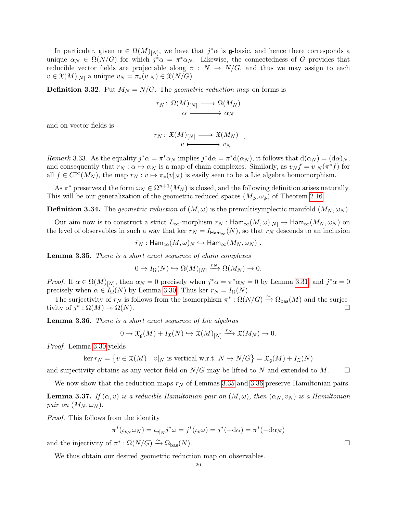In particular, given  $\alpha \in \Omega(M)_{[N]}$ , we have that  $j^*\alpha$  is g-basic, and hence there corresponds a unique  $\alpha_N \in \Omega(N/G)$  for which  $j^*\alpha = \pi^*\alpha_N$ . Likewise, the connectedness of G provides that reducible vector fields are projectable along  $\pi : N \to N/G$ , and thus we may assign to each  $v \in \mathfrak{X}(M)_{[N]}$  a unique  $v_N = \pi_*(v|_N) \in \mathfrak{X}(N/G)$ .

<span id="page-27-0"></span>**Definition 3.32.** Put  $M_N = N/G$ . The geometric reduction map on forms is

$$
r_N\colon\thinspace \Omega(M)_{[N]}\longrightarrow \Omega(M_N)\\ \alpha\longmapsto \alpha_N
$$

and on vector fields is

$$
r_N\colon\thinspace \mathfrak{X}(M)_{[N]}\longrightarrow \mathfrak{X}(M_N)\\ v\longmapsto v_N
$$

.

Remark 3.33. As the equality  $j^*\alpha = \pi^*\alpha_N$  implies  $j^*\alpha = \pi^*\alpha(\alpha_N)$ , it follows that  $d(\alpha_N) = (d\alpha)_N$ , and consequently that  $r_N : \alpha \mapsto \alpha_N$  is a map of chain complexes. Similarly, as  $v_N f = v|_N (\pi^* f)$  for all  $f \in C^{\infty}(M_N)$ , the map  $r_N : v \mapsto \pi_*(v|_N)$  is easily seen to be a Lie algebra homomorphism.

As  $\pi^*$  preserves d the form  $\omega_N \in \Omega^{n+1}(M_N)$  is closed, and the following definition arises naturally. This will be our generalization of the geometric reduced spaces  $(M_{\phi}, \omega_{\phi})$  of Theorem [2.16.](#page-18-3)

<span id="page-27-1"></span>**Definition 3.34.** The geometric reduction of  $(M, \omega)$  is the premultisymplectic manifold  $(M_N, \omega_N)$ .

Our aim now is to construct a strict  $L_{\infty}$ -morphism  $r_N$ :  $\text{Ham}_{\infty}(M,\omega)_{[N]} \to \text{Ham}_{\infty}(M_N,\omega_N)$  on the level of observables in such a way that ker  $r_N = I_{\text{Ham}_{\infty}}(N)$ , so that  $r_N$  descends to an inclusion

$$
\bar{r}_N: \mathsf{Ham}_{\infty}(M,\omega)_N \hookrightarrow \mathsf{Ham}_{\infty}(M_N,\omega_N) .
$$

<span id="page-27-2"></span>Lemma 3.35. There is a short exact sequence of chain complexes

$$
0 \to I_{\Omega}(N) \hookrightarrow \Omega(M)_{[N]} \xrightarrow{r_N} \Omega(M_N) \to 0.
$$

*Proof.* If  $\alpha \in \Omega(M)_{[N]}$ , then  $\alpha_N = 0$  precisely when  $j^* \alpha = \pi^* \alpha_N = 0$  by Lemma [3.31,](#page-26-1) and  $j^* \alpha = 0$ precisely when  $\alpha \in I_{\Omega}(N)$  by Lemma [3.30.](#page-26-0) Thus ker  $r_N = I_{\Omega}(N)$ .

The surjectivity of  $r_N$  is follows from the isomorphism  $\pi^*: \Omega(N/G) \to \Omega_{\text{bas}}(M)$  and the surjectivity of  $j^* : \Omega(M) \to \Omega(N)$ .

<span id="page-27-3"></span>Lemma 3.36. There is a short exact sequence of Lie algebras

$$
0 \to \mathfrak{X}_{\mathfrak{g}}(M) + I_{\mathfrak{X}}(N) \hookrightarrow \mathfrak{X}(M)_{[N]} \xrightarrow{r_N} \mathfrak{X}(M_N) \to 0.
$$

Proof. Lemma [3.30](#page-26-0) yields

 $\ker r_N = \{ v \in \mathfrak{X}(M) \mid v|_N \text{ is vertical w.r.t. } N \to N/G \} = \mathfrak{X}_{\mathfrak{g}}(M) + I_{\mathfrak{X}}(N)$ 

and surjectivity obtains as any vector field on  $N/G$  may be lifted to N and extended to M.  $\Box$ 

We now show that the reduction maps  $r_N$  of Lemmas [3.35](#page-27-2) and [3.36](#page-27-3) preserve Hamiltonian pairs.

**Lemma 3.37.** If  $(\alpha, v)$  is a reducible Hamiltonian pair on  $(M, \omega)$ , then  $(\alpha_N, v_N)$  is a Hamiltonian pair on  $(M_N, \omega_N)$ .

Proof. This follows from the identity

$$
\pi^*(\iota_{v_N}\omega_N) = \iota_{v|_N} j^*\omega = j^*(\iota_v\omega) = j^*(-d\alpha) = \pi^*(-d\alpha_N)
$$

and the injectivity of  $\pi^* : \Omega(N/G) \xrightarrow{\sim} \Omega_{\text{bas}}(N)$ .

We thus obtain our desired geometric reduction map on observables.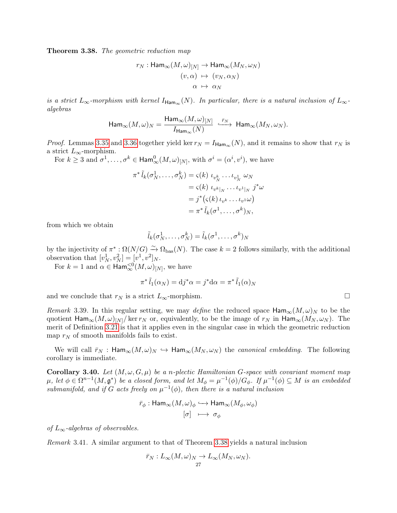Theorem 3.38. The geometric reduction map

$$
r_N: \text{Ham}_{\infty}(M, \omega)_{[N]} \to \text{Ham}_{\infty}(M_N, \omega_N)
$$

$$
(v, \alpha) \mapsto (v_N, \alpha_N)
$$

$$
\alpha \mapsto \alpha_N
$$

is a strict  $L_{\infty}$ -morphism with kernel  $I_{\text{Ham}_{\infty}}(N)$ . In particular, there is a natural inclusion of  $L_{\infty}$ algebras

$$
\text{Ham}_{\infty}(M,\omega)_N=\frac{\text{Ham}_{\infty}(M,\omega)_{[N]}}{I_{\text{Ham}_{\infty}}(N)}\ \stackrel{\bar{r}_N}{\longrightarrow}\ \text{Ham}_{\infty}(M_N,\omega_N).
$$

*Proof.* Lemmas [3.35](#page-27-2) and [3.36](#page-27-3) together yield ker  $r_N = I_{\text{Ham}_{\infty}}(N)$ , and it remains to show that  $r_N$  is a strict  $L_{\infty}$ -morphism.

For  $k \geq 3$  and  $\sigma^1, \ldots, \sigma^k \in \text{Ham}^0_{\infty}(M, \omega)_{[N]},$  with  $\sigma^i = (\alpha^i, v^i)$ , we have

$$
\pi^* \tilde{l}_k(\sigma_N^1, \dots, \sigma_N^k) = \varsigma(k) \iota_{v_N^k} \dots \iota_{v_N^1} \omega_N
$$
  
=  $\varsigma(k) \iota_{v^k|_N} \dots \iota_{v^1|_N} j^* \omega$   
=  $j^* (\varsigma(k) \iota_{v^k} \dots \iota_{v^1} \omega)$   
=  $\pi^* \tilde{l}_k(\sigma^1, \dots, \sigma^k)_N$ ,

from which we obtain

$$
\tilde{l}_k(\sigma_N^1,\ldots,\sigma_N^k)=\tilde{l}_k(\sigma^1,\ldots,\sigma^k)_N
$$

by the injectivity of  $\pi^*: \Omega(N/G) \stackrel{\sim}{\to} \Omega_{\text{bas}}(N)$ . The case  $k = 2$  follows similarly, with the additional observation that  $[v_N^1, v_N^2] = [v^1, v^2]_N$ .

For  $k = 1$  and  $\alpha \in \text{Ham}_{\infty}^{<0}(M, \omega)_{[N]}$ , we have

$$
\pi^* \tilde{l}_1(\alpha_N) = \mathrm{d} j^* \alpha = j^* \mathrm{d} \alpha = \pi^* \tilde{l}_1(\alpha)_N
$$

and we conclude that  $r_N$  is a strict  $L_{\infty}$ -morphism.  $\Box$ 

Remark 3.39. In this regular setting, we may define the reduced space  $\text{Ham}_{\infty}(M,\omega)_N$  to be the quotient  $\text{Ham}_{\infty}(M, \omega)_{[N]}/\text{ker }r_N$  or, equivalently, to be the image of  $r_N$  in  $\text{Ham}_{\infty}(M_N, \omega_N)$ . The merit of Definition [3.21](#page-5-1) is that it applies even in the singular case in which the geometric reduction map  $r_N$  of smooth manifolds fails to exist.

We will call  $\bar{r}_N$ : Ham<sub>∞</sub> $(M, \omega)_N \hookrightarrow$  Ham<sub>∞</sub> $(M_N, \omega_N)$  the *canonical embedding*. The following corollary is immediate.

**Corollary 3.40.** Let  $(M, \omega, G, \mu)$  be a n-plectic Hamiltonian G-space with covariant moment map  $\mu$ , let  $\phi \in \Omega^{n-1}(M, \mathfrak{g}^*)$  be a closed form, and let  $M_\phi = \mu^{-1}(\phi)/G_\phi$ . If  $\mu^{-1}(\phi) \subseteq M$  is an embedded submanifold, and if G acts freely on  $\mu^{-1}(\phi)$ , then there is a natural inclusion

$$
\bar{r}_{\phi} : \text{Ham}_{\infty}(M, \omega)_{\phi} \hookrightarrow \text{Ham}_{\infty}(M_{\phi}, \omega_{\phi})
$$

$$
[\sigma] \ \longmapsto \ \sigma_{\phi}
$$

of  $L_{\infty}$ -algebras of observables.

<span id="page-28-0"></span>Remark 3.41. A similar argument to that of Theorem [3.38](#page-5-0) yields a natural inclusion

$$
\bar{r}_N: L_{\infty}(M,\omega)_N \to L_{\infty}(M_N,\omega_N).
$$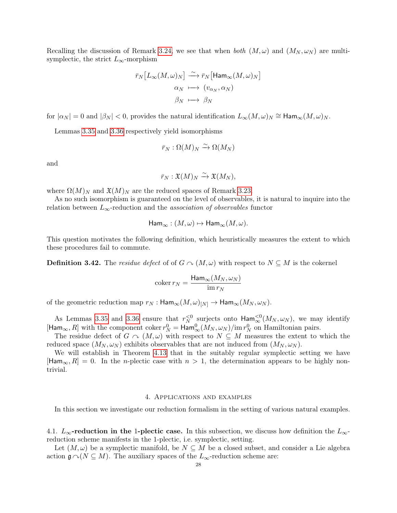Recalling the discussion of Remark [3.24,](#page-24-1) we see that when both  $(M, \omega)$  and  $(M_N, \omega_N)$  are multisymplectic, the strict  $L_{\infty}$ -morphism

$$
\begin{aligned} \bar{r}_N\big[L_\infty(M,\omega)_N\big] &\stackrel{\sim}{\longrightarrow} \bar{r}_N\big[\mathrm{Ham}_\infty(M,\omega)_N\big] \\ \alpha_N &\longmapsto (v_{\alpha_N},\alpha_N) \\ \beta_N &\longmapsto \beta_N \end{aligned}
$$

for  $|\alpha_N|=0$  and  $|\beta_N| < 0$ , provides the natural identification  $L_\infty(M,\omega)_N \cong \text{Ham}_{\infty}(M,\omega)_N$ .

Lemmas [3.35](#page-27-2) and [3.36](#page-27-3) respectively yield isomorphisms

$$
\bar{r}_N:\Omega(M)_N\xrightarrow{\sim}\Omega(M_N)
$$

and

$$
\bar{r}_N:\mathfrak{X}(M)_N\xrightarrow{\sim}\mathfrak{X}(M_N),
$$

where  $\Omega(M)_N$  and  $\mathfrak{X}(M)_N$  are the reduced spaces of Remark [3.23.](#page-24-2)

As no such isomorphism is guaranteed on the level of observables, it is natural to inquire into the relation between  $L_{\infty}$ -reduction and the *association of observables* functor

$$
\text{Ham}_{\infty} : (M, \omega) \mapsto \text{Ham}_{\infty}(M, \omega).
$$

This question motivates the following definition, which heuristically measures the extent to which these procedures fail to commute.

<span id="page-29-2"></span>**Definition 3.42.** The residue defect of of  $G \cap (M, \omega)$  with respect to  $N \subseteq M$  is the cokernel

$$
\operatorname{coker} r_N = \frac{\operatorname{Ham}_{\infty}(M_N, \omega_N)}{\operatorname{im} r_N}
$$

of the geometric reduction map  $r_N$ :  $\text{Ham}_{\infty}(M, \omega)_{[N]} \to \text{Ham}_{\infty}(M_N, \omega_N)$ .

As Lemmas [3.35](#page-27-2) and [3.36](#page-27-3) ensure that  $r_N^{<0}$  surjects onto  $\text{Ham}_{\infty}^{<0}(M_N, \omega_N)$ , we may identify  $[Ham_{\infty}, R]$  with the component coker  $r_N^0 = Ham_{\infty}^0(M_N, \omega_N)/\text{im } r_N^0$  on Hamiltonian pairs.

The residue defect of  $G \cap (M, \omega)$  with respect to  $N \subseteq M$  measures the extent to which the reduced space  $(M_N, \omega_N)$  exhibits observables that are not induced from  $(M_N, \omega_N)$ .

We will establish in Theorem [4.13](#page-5-2) that in the suitably regular symplectic setting we have  $[Ham_{\infty}, R] = 0$ . In the *n*-plectic case with  $n > 1$ , the determination appears to be highly nontrivial.

#### 4. Applications and examples

<span id="page-29-0"></span>In this section we investigate our reduction formalism in the setting of various natural examples.

<span id="page-29-1"></span>4.1.  $L_{\infty}$ -reduction in the 1-plectic case. In this subsection, we discuss how definition the  $L_{\infty}$ reduction scheme manifests in the 1-plectic, i.e. symplectic, setting.

Let  $(M, \omega)$  be a symplectic manifold, be  $N \subseteq M$  be a closed subset, and consider a Lie algebra action  $\mathfrak{g} \cap (N \subseteq M)$ . The auxiliary spaces of the  $L_{\infty}$ -reduction scheme are: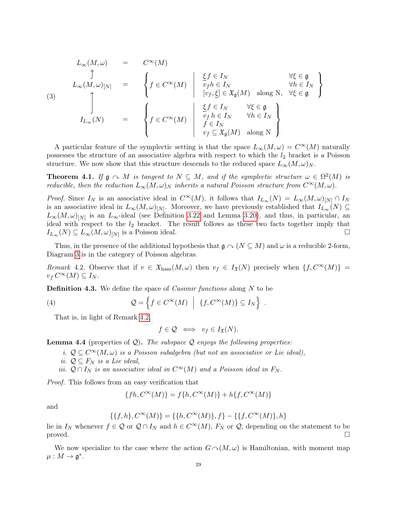<span id="page-30-1"></span>
$$
L_{\infty}(M,\omega) = C^{\infty}(M)
$$
  
\n
$$
\uparrow
$$
  
\n
$$
L_{\infty}(M,\omega)_{[N]} = \begin{cases} f \in C^{\infty}(M) & \frac{\xi f \in I_N}{v_f h \in I_N} & \forall \xi \in \mathfrak{g} \\ [v_f, \underline{\xi}] \in \mathfrak{X}_{\mathfrak{g}}(M) & \text{along } N, \forall \xi \in \mathfrak{g} \end{cases}
$$
  
\n
$$
I_{L_{\infty}}(N) = \begin{cases} f \in C^{\infty}(M) & \frac{\xi f \in I_N}{v_f h \in I_N} & \forall \xi \in \mathfrak{g} \\ f \in C^{\infty}(M) & \frac{\xi f \in I_N}{f \in I_N} & \forall h \in I_N \\ f \in I_N & \forall f \in \mathfrak{X}_{\mathfrak{g}}(M) \text{ along } N \end{cases}
$$

A particular feature of the symplectic setting is that the space  $L_{\infty}(M,\omega) = C^{\infty}(M)$  naturally possesses the structure of an associative algebra with respect to which the  $l_2$  bracket is a Poisson structure. We now show that this structure descends to the reduced space  $L_{\infty}(M,\omega)_N$ .

**Theorem 4.1.** If  $\mathfrak{g} \sim M$  is tangent to  $N \subseteq M$ , and if the symplectic structure  $\omega \in \Omega^2(M)$  is reducible, then the reduction  $L_{\infty}(M,\omega)_N$  inherits a natural Poisson structure from  $C^{\infty}(M,\omega)$ .

*Proof.* Since  $I_N$  is an associative ideal in  $C^{\infty}(M)$ , it follows that  $I_{L_{\infty}}(N) = L_{\infty}(M, \omega)_{[N]} \cap I_N$ is an associative ideal in  $L_{\infty}(M,\omega)_{[N]}$ . Moreover, we have previously established that  $I_{L_{\infty}}(N) \subseteq$  $L_{\infty}(M,\omega)_{[N]}$  is an  $L_{\infty}$ -ideal (see Definition [3.22](#page-24-0) and Lemma [3.20\)](#page-23-1), and thus, in particular, an ideal with respect to the  $l_2$  bracket. The result follows as these two facts together imply that  $I_{L_{\infty}}(N) \subseteq L_{\infty}(M,\omega)_{[N]}$  is a Poisson ideal.

Thus, in the presence of the additional hypothesis that  $\mathfrak{g} \curvearrowright (N \subseteq M)$  and  $\omega$  is a reducible 2-form, Diagram [3](#page-30-1) is in the category of Poisson algebras.

<span id="page-30-2"></span>Remark 4.2. Observe that if  $v \in \mathfrak{X}_{\text{ham}}(M,\omega)$  then  $v_f \in I_{\mathfrak{X}}(N)$  precisely when  $\{f, C^{\infty}(M)\}$  $v_f C^{\infty}(M) \subseteq I_N$ .

<span id="page-30-0"></span>**Definition 4.3.** We define the space of *Casimir functions* along  $N$  to be

(4) 
$$
Q = \left\{ f \in C^{\infty}(M) \mid \{f, C^{\infty}(M)\} \subseteq I_N \right\}
$$

That is, in light of Remark [4.2,](#page-30-2)

<span id="page-30-3"></span>
$$
f \in \mathcal{Q} \iff v_f \in I_{\mathfrak{X}}(N).
$$

.

<span id="page-30-4"></span>**Lemma 4.4** (properties of  $Q$ ). The subspace  $Q$  enjoys the following properties:

- i.  $\mathcal{Q} \subseteq C^{\infty}(M, \omega)$  is a Poisson subalgebra (but not an associative or Lie ideal),
- ii.  $\mathcal{Q} \subseteq F_N$  is a Lie ideal,
- iii.  $Q \cap I_N$  is an associative ideal in  $C^{\infty}(M)$  and a Poisson ideal in  $F_N$ .

Proof. This follows from an easy verification that

$$
\{fh, C^{\infty}(M)\} = f\{h, C^{\infty}(M)\} + h\{f, C^{\infty}(M)\}
$$

and

$$
\{\{f,h\},C^\infty(M)\}=\{\{h,C^\infty(M)\},f\}-\{\{f,C^\infty(M)\},h\}
$$

lie in  $I_N$  whenever  $f \in \mathcal{Q}$  or  $\mathcal{Q} \cap I_N$  and  $h \in C^{\infty}(M)$ ,  $F_N$  or  $\mathcal{Q}$ , depending on the statement to be proved.  $\Box$ 

We now specialize to the case where the action  $G \sim (M, \omega)$  is Hamiltonian, with moment map  $\mu: M \to \mathfrak{g}^*.$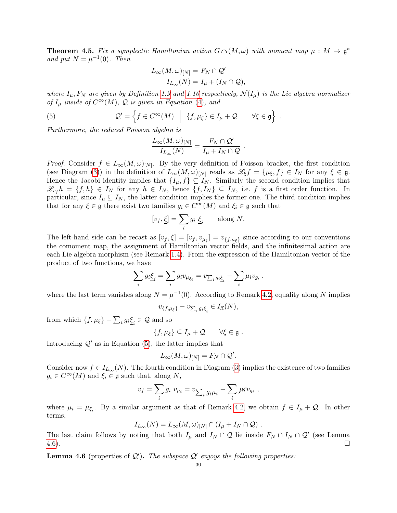<span id="page-31-2"></span>**Theorem 4.5.** Fix a symplectic Hamiltonian action  $G \cap (M,\omega)$  with moment map  $\mu : M \to \mathfrak{g}^*$ and put  $N = \mu^{-1}(0)$ . Then

$$
L_{\infty}(M,\omega)_{[N]} = F_N \cap \mathcal{Q}'
$$
  

$$
I_{L_{\infty}}(N) = I_{\mu} + (I_N \cap \mathcal{Q}),
$$

where  $I_{\mu}$ ,  $F_N$  are given by Definition [1.9](#page-10-0) and [1.16](#page-11-1) respectively,  $\mathcal{N}(I_{\mu})$  is the Lie algebra normalizer of  $I_{\mu}$  inside of  $C^{\infty}(M)$ ,  $\mathcal Q$  is given in Equation [\(4\)](#page-30-3), and

(5) 
$$
\mathcal{Q}' = \left\{ f \in C^{\infty}(M) \mid \{f, \mu_{\xi}\} \in I_{\mu} + \mathcal{Q} \qquad \forall \xi \in \mathfrak{g} \right\}.
$$

Furthermore, the reduced Poisson algebra is

<span id="page-31-0"></span>
$$
\frac{L_{\infty}(M,\omega)_{[N]}}{I_{L_{\infty}}(N)} = \frac{F_N \cap \mathcal{Q}'}{I_{\mu} + I_N \cap \mathcal{Q}}.
$$

*Proof.* Consider  $f \in L_{\infty}(M, \omega)_{[N]}$ . By the very definition of Poisson bracket, the first condition (see Diagram [\(3\)](#page-30-1)) in the definition of  $L_{\infty}(M,\omega)_{[N]}$  reads as  $\mathscr{L}_{\xi}f = {\mu_{\xi}, f} \in I_N$  for any  $\xi \in \mathfrak{g}$ . Hence the Jacobi identity implies that  $\{I_\mu, f\} \subseteq I_N$ . Similarly the second condition implies that  $\mathscr{L}_{v_f} h = \{f, h\} \in I_N$  for any  $h \in I_N$ , hence  $\{f, I_N\} \subseteq I_N$ , i.e. f is a first order function. In particular, since  $I_\mu \subseteq I_N$ , the latter condition implies the former one. The third condition implies that for any  $\xi \in \mathfrak{g}$  there exist two families  $g_i \in C^{\infty}(M)$  and  $\xi_i \in \mathfrak{g}$  such that

$$
[v_f, \underline{\xi}] = \sum_i g_i \underline{\xi}_i \quad \text{along } N.
$$

The left-hand side can be recast as  $[v_f, \underline{\xi}] = [v_f, v_{\mu_{\xi}}] = v_{\{f, \mu_{\xi}\}}$  since according to our conventions the comoment map, the assignment of Hamiltonian vector fields, and the infinitesimal action are each Lie algebra morphism (see Remark [1.4\)](#page-9-2). From the expression of the Hamiltonian vector of the product of two functions, we have

$$
\sum_i g_i \underline{\xi}_i = \sum_i g_i v_{\mu_{\xi_i}} = v_{\sum_i g_i \underline{\xi}_i} - \sum_i \mu_i v_{g_i}.
$$

where the last term vanishes along  $N = \mu^{-1}(0)$ . According to Remark [4.2,](#page-30-2) equality along N implies

$$
v_{\{f,\mu_{\xi}\}} - v_{\sum_{i} g_i \underline{\xi}_i} \in I_{\mathfrak{X}}(N),
$$

from which  $\{f, \mu_{\xi}\} - \sum_{i} g_{i} \underline{\xi}_{i} \in \mathcal{Q}$  and so

 ${f, \mu_{\xi} \} \subseteq I_{\mu} + \mathcal{Q} \quad \forall \xi \in \mathfrak{g}.$ 

Introducing  $\mathcal{Q}'$  as in Equation [\(5\)](#page-31-0), the latter implies that

$$
L_{\infty}(M,\omega)_{[N]} = F_N \cap \mathcal{Q}'.
$$

Consider now  $f \in I_{L_{\infty}}(N)$ . The fourth condition in Diagram [\(3\)](#page-30-1) implies the existence of two families  $g_i \in C^{\infty}(M)$  and  $\xi_i \in \mathfrak{g}$  such that, along N,

$$
v_f = \sum_i g_i v_{\mu_i} = v_{\sum_i g_i \mu_i} - \sum_i \mu_i v_{g_i} ,
$$

where  $\mu_i = \mu_{\xi_i}$ . By a similar argument as that of Remark [4.2,](#page-30-2) we obtain  $f \in I_{\mu} + \mathcal{Q}$ . In other terms,

$$
I_{L_{\infty}}(N) = L_{\infty}(M, \omega)_{[N]} \cap (I_{\mu} + I_N \cap \mathcal{Q}) .
$$

The last claim follows by noting that both  $I_\mu$  and  $I_N \cap \mathcal{Q}$  lie inside  $F_N \cap I_N \cap \mathcal{Q}'$  (see Lemma  $4.6$ ).

<span id="page-31-1"></span>**Lemma 4.6** (properties of  $Q'$ ). The subspace  $Q'$  enjoys the following properties: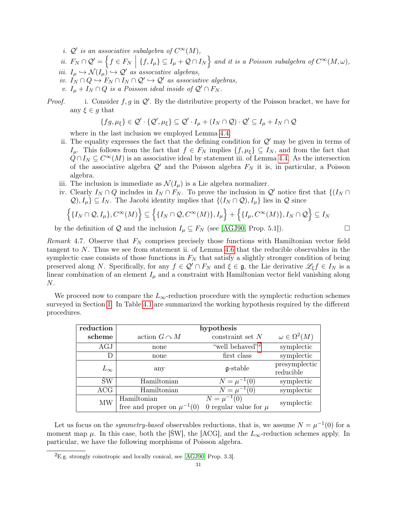- i.  $\mathcal{Q}'$  is an associative subalgebra of  $C^{\infty}(M)$ ,
- ii.  $F_N \cap \mathcal{Q}' = \left\{ f \in F_N \mid \{f, I_\mu\} \subseteq I_\mu + \mathcal{Q} \cap I_N \right\}$  and it is a Poisson subalgebra of  $C^\infty(M, \omega)$ , iii.  $I_{\mu} \hookrightarrow \mathcal{N}(I_{\mu}) \hookrightarrow \mathcal{Q}'$  as associative algebras,
- iv.  $I_N \cap Q \hookrightarrow F_N \cap I_N \cap Q' \hookrightarrow Q'$  as associative algebras,
- v.  $I_{\mu} + I_N \cap Q$  is a Poisson ideal inside of  $\mathcal{Q}' \cap F_N$ .
- *Proof.* i. Consider  $f, g$  in  $Q'$ . By the distributive property of the Poisson bracket, we have for any  $\xi \in g$  that

$$
\{fg,\mu_{\xi}\}\in\mathcal{Q}'\cdot\{\mathcal{Q}',\mu_{\xi}\}\subseteq\mathcal{Q}'\cdot I_{\mu}+(I_N\cap\mathcal{Q})\cdot\mathcal{Q}'\subseteq I_{\mu}+I_N\cap\mathcal{Q}
$$

where in the last inclusion we employed Lemma [4.4.](#page-30-4)

- ii. The equality expresses the fact that the defining condition for  $\mathcal{Q}'$  may be given in terms of  $I_\mu$ . This follows from the fact that  $f \in F_N$  implies  $\{f, \mu_\xi\} \subseteq I_N$ , and from the fact that  $Q \cap I_N \subseteq C^{\infty}(M)$  is an associative ideal by statement iii. of Lemma [4.4.](#page-30-4) As the intersection of the associative algebra  $\mathcal{Q}'$  and the Poisson algebra  $F_N$  it is, in particular, a Poisson algebra.
- iii. The inclusion is immediate as  $\mathcal{N}(I_{\mu})$  is a Lie algebra normalizer.
- iv. Clearly  $I_N \cap Q$  includes in  $I_N \cap F_N$ . To prove the inclusion in  $\mathcal{Q}'$  notice first that  $\{(I_N \cap$  $\mathcal{Q}, I_\mu$   $\subseteq I_N$ . The Jacobi identity implies that  $\{(I_N \cap \mathcal{Q}), I_\mu\}$  lies in  $\mathcal Q$  since

$$
\left\{\{I_N \cap \mathcal{Q}, I_\mu\}, C^\infty(M)\right\} \subseteq \left\{\{I_N \cap \mathcal{Q}, C^\infty(M)\}, I_\mu\right\} + \left\{\{I_\mu, C^\infty(M)\}, I_N \cap \mathcal{Q}\right\} \subseteq I_N
$$

by the definition of Q and the inclusion  $I_\mu \subseteq F_N$  (see [\[AGJ90,](#page-41-1) Prop. 5.1]).

<span id="page-32-0"></span>Remark 4.7. Observe that  $F_N$  comprises precisely those functions with Hamiltonian vector field tangent to  $N$ . Thus we see from statement ii. of Lemma [4.6](#page-31-1) that the reducible observables in the symplectic case consists of those functions in  $F<sub>N</sub>$  that satisfy a slightly stronger condition of being preserved along N. Specifically, for any  $f \in \mathcal{Q}' \cap F_N$  and  $\xi \in \mathfrak{g}$ , the Lie derivative  $\mathscr{L}_\xi f \in I_N$  is a linear combination of an element  $I_{\mu}$  and a constraint with Hamiltonian vector field vanishing along N.

We proceed now to compare the  $L_{\infty}$ -reduction procedure with the symplectic reduction schemes surveyed in Section [1.](#page-6-0) In Table [4.1](#page-32-0) are summarized the working hypothesis required by the different procedures.

| reduction    | hypothesis                                      |                                                |                            |
|--------------|-------------------------------------------------|------------------------------------------------|----------------------------|
| scheme       | action $G \cap M$                               | constraint set $N$                             | $\omega \in \Omega^2(M)$   |
| AGJ          | none                                            | "well behaved" <sup>2</sup>                    | symplectic                 |
| D            | none                                            | first class                                    | symplectic                 |
| $L_{\infty}$ | any                                             | $\mathfrak{g}\text{-stable}$                   | presymplectic<br>reducible |
| ŚW           | Hamiltonian                                     | $N = \mu^{-1}(0)$                              | symplectic                 |
| ACG          | Hamiltonian                                     | $N = \mu^{-1}(\overline{0})$                   | symplectic                 |
| MW           | Hamiltonian<br>free and proper on $\mu^{-1}(0)$ | $N = \mu^{-1}(0)$<br>0 regular value for $\mu$ | symplectic                 |

Let us focus on the *symmetry-based* observables reductions, that is, we assume  $N = \mu^{-1}(0)$  for a moment map  $\mu$ . In this case, both the [SW], the [ACG], and the  $L_{\infty}$ -reduction schemes apply. In particular, we have the following morphisms of Poisson algebra.

<span id="page-32-1"></span> ${}^{2}E.g.$  strongly coisotropic and locally conical, see [\[AGJ90,](#page-41-1) Prop. 3.3].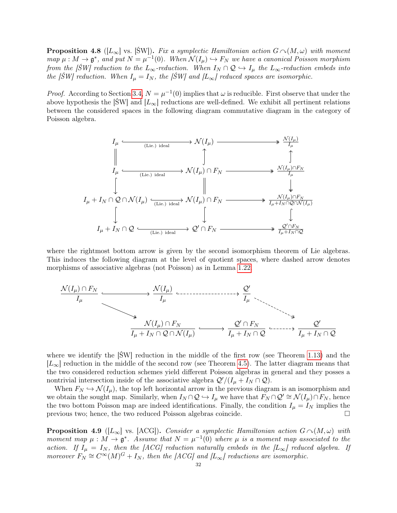<span id="page-33-1"></span>**Proposition 4.8** ([L<sub>∞</sub>] vs. [ŚW]). Fix a symplectic Hamiltonian action  $G \sim (M, \omega)$  with moment map  $\mu : M \to \mathfrak{g}^*$ , and put  $N = \mu^{-1}(0)$ . When  $\mathcal{N}(I_\mu) \hookrightarrow F_N$  we have a canonical Poisson morphism from the [ŚW] reduction to the  $L_{\infty}$ -reduction. When  $I_N \cap \mathcal{Q} \hookrightarrow I_{\mu}$  the  $L_{\infty}$ -reduction embeds into the [SW] reduction. When  $I_{\mu} = I_N$ , the [SW] and  $[L_{\infty}]$  reduced spaces are isomorphic.

*Proof.* According to Section [3.4,](#page-25-3)  $N = \mu^{-1}(0)$  implies that  $\omega$  is reducible. First observe that under the above hypothesis the [SW] and  $[L_{\infty}]$  reductions are well-defined. We exhibit all pertinent relations between the considered spaces in the following diagram commutative diagram in the category of Poisson algebra.



where the rightmost bottom arrow is given by the second isomorphism theorem of Lie algebras. This induces the following diagram at the level of quotient spaces, where dashed arrow denotes morphisms of associative algebras (not Poisson) as in Lemma [1.22.](#page-12-1)



where we identify the  $|SW|$  reduction in the middle of the first row (see Theorem [1.13\)](#page-11-0) and the  $[L_{\infty}]$  reduction in the middle of the second row (see Theorem [4.5\)](#page-31-2). The latter diagram means that the two considered reduction schemes yield different Poisson algebras in general and they posses a nontrivial intersection inside of the associative algebra  $\mathcal{Q}'/(I_{\mu} + I_N \cap \mathcal{Q})$ .

When  $F_N \hookrightarrow \mathcal{N}(I_\mu)$ , the top left horizontal arrow in the previous diagram is an isomorphism and we obtain the sought map. Similarly, when  $I_N \cap \mathcal{Q} \hookrightarrow I_\mu$  we have that  $F_N \cap \mathcal{Q}' \cong \mathcal{N}(I_\mu) \cap F_N$ , hence the two bottom Poisson map are indeed identifications. Finally, the condition  $I_{\mu} = I_N$  implies the previous two; hence, the two reduced Poisson algebras coincide. □

<span id="page-33-0"></span>**Proposition 4.9** ([L<sub>∞</sub>] vs. [ACG]). Consider a symplectic Hamiltonian action  $G \sim (M, \omega)$  with moment map  $\mu : M \to \mathfrak{g}^*$ . Assume that  $N = \mu^{-1}(0)$  where  $\mu$  is a moment map associated to the action. If  $I_{\mu} = I_N$ , then the [ACG] reduction naturally embeds in the [L<sub>∞</sub>] reduced algebra. If moreover  $F_N \cong C^\infty(M)^G + I_N$ , then the [ACG] and [L<sub>∞</sub>] reductions are isomorphic.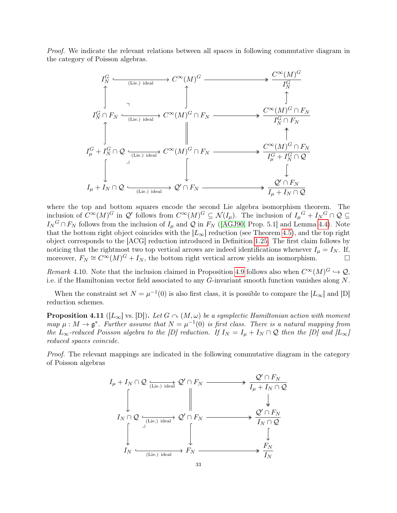Proof. We indicate the relevant relations between all spaces in following commutative diagram in the category of Poisson algebras.



where the top and bottom squares encode the second Lie algebra isomorphism theorem. The inclusion of  $C^{\infty}(M)^G$  in  $\mathcal{Q}'$  follows from  $C^{\infty}(M)^G \subseteq \mathcal{N}(I_{\mu})$ . The inclusion of  $I_{\mu}^G + I_N^G \cap \mathcal{Q} \subseteq$  $I_N^G \cap F_N$  follows from the inclusion of  $I_\mu$  and Q in  $F_N$  ([\[AGJ90,](#page-41-1) Prop. 5.1] and Lemma [4.4\)](#page-30-4). Note that the bottom right object coincides with the  $[L_{\infty}]$  reduction (see Theorem [4.5\)](#page-31-2), and the top right object corresponds to the [ACG] reduction introduced in Definition [1.25.](#page-13-2) The first claim follows by noticing that the rightmost two top vertical arrows are indeed identifications whenever  $I_{\mu} = I_N$ . If, moreover,  $F_N \cong C^{\infty}(M)^G + I_N$ , the bottom right vertical arrow yields an isomorphism.

Remark 4.10. Note that the inclusion claimed in Proposition [4.9](#page-33-0) follows also when  $C^{\infty}(M)^G \hookrightarrow \mathcal{Q}$ , i.e. if the Hamiltonian vector field associated to any G-invariant smooth function vanishes along N.

When the constraint set  $N = \mu^{-1}(0)$  is also first class, it is possible to compare the  $[L_{\infty}]$  and  $[D]$ reduction schemes.

<span id="page-34-0"></span>**Proposition 4.11** ([L<sub>∞</sub>] vs. [D]). Let  $G \n\sim (M, \omega)$  be a symplectic Hamiltonian action with moment map  $\mu : M \to \mathfrak{g}^*$ . Further assume that  $N = \mu^{-1}(0)$  is first class. There is a natural mapping from the L<sub>∞</sub>-reduced Poisson algebra to the [D] reduction. If  $I_N = I_\mu + I_N \cap \mathcal{Q}$  then the [D] and  $|L_\infty|$ reduced spaces coincide.

Proof. The relevant mappings are indicated in the following commutative diagram in the category of Poisson algebras

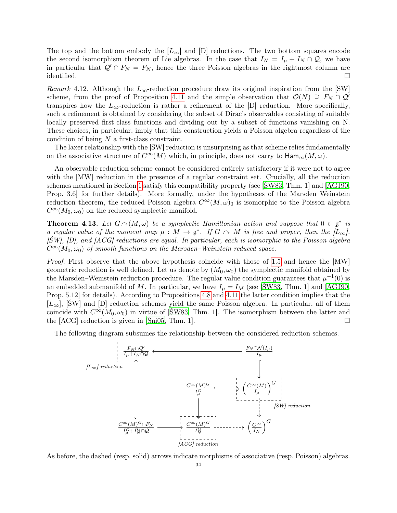The top and the bottom embody the  $[L_{\infty}]$  and  $[D]$  reductions. The two bottom squares encode the second isomorphism theorem of Lie algebras. In the case that  $I_N = I_\mu + I_N \cap \mathcal{Q}$ , we have in particular that  $\mathcal{Q}' \cap F_N = F_N$ , hence the three Poisson algebras in the rightmost column are identified.  $\Box$ 

Remark 4.12. Although the  $L_{\infty}$ -reduction procedure draw its original inspiration from the [SW] scheme, from the proof of Proposition [4.11](#page-34-0) and the simple observation that  $\mathcal{O}(N) \supseteq F_N \cap \mathcal{Q}'$ transpires how the  $L_{\infty}$ -reduction is rather a refinement of the [D] reduction. More specifically, such a refinement is obtained by considering the subset of Dirac's observables consisting of suitably locally preserved first-class functions and dividing out by a subset of functions vanishing on N. These choices, in particular, imply that this construction yields a Poisson algebra regardless of the condition of being N a first-class constraint.

The laxer relationship with the [SW] reduction is unsurprising as that scheme relies fundamentally on the associative structure of  $C^{\infty}(M)$  which, in principle, does not carry to  $\text{Ham}_{\infty}(M,\omega)$ .

An observable reduction scheme cannot be considered entirely satisfactory if it were not to agree with the [MW] reduction in the presence of a regular constraint set. Crucially, all the reduction schemes mentioned in Section [1](#page-6-0) satisfy this compatibility property (see [\[ŚW83,](#page-43-2) Thm. 1] and [\[AGJ90,](#page-41-1) Prop. 3.6] for further details). More formally, under the hypotheses of the Marsden–Weinstein reduction theorem, the reduced Poisson algebra  $C^{\infty}(M,\omega)_0$  is isomorphic to the Poisson algebra  $C^{\infty}(M_0, \omega_0)$  on the reduced symplectic manifold.

**Theorem 4.13.** Let  $G \cap (M, \omega)$  be a symplectic Hamiltonian action and suppose that  $0 \in \mathfrak{g}^*$  is a regular value of the moment map  $\mu : M \to \mathfrak{g}^*$ . If  $G \cap M$  is free and proper, then the  $\lbrack L_{\infty}\rbrack$ ,  $[\text{SW}]$ ,  $[D]$ , and  $[ACG]$  reductions are equal. In particular, each is isomorphic to the Poisson algebra  $C^{\infty}(M_0, \omega_0)$  of smooth functions on the Marsden–Weinstein reduced space.

Proof. First observe that the above hypothesis coincide with those of [1.5](#page-9-1) and hence the [MW] geometric reduction is well defined. Let us denote by  $(M_0, \omega_0)$  the symplectic manifold obtained by the Marsden–Weinstein reduction procedure. The regular value condition guarantees that  $\mu^{-1}(0)$  is an embedded submanifold of M. In particular, we have  $I_{\mu} = I_M$  (see [SW83, Thm. 1] and [\[AGJ90,](#page-41-1) Prop. 5.12] for details). According to Propositions [4.8](#page-33-1) and [4.11](#page-34-0) the latter condition implies that the  $[L_{\infty}]$ , [SW] and [D] reduction schemes yield the same Poisson algebra. In particular, all of them coincide with  $C^{\infty}(M_0, \omega_0)$  in virtue of [SW83, Thm. 1]. The isomorphism between the latter and the  $[ACG]$  reduction is given in  $[\text{Sini05}, \text{Thm. 1}]$ .

The following diagram subsumes the relationship between the considered reduction schemes.



As before, the dashed (resp. solid) arrows indicate morphisms of associative (resp. Poisson) algebras.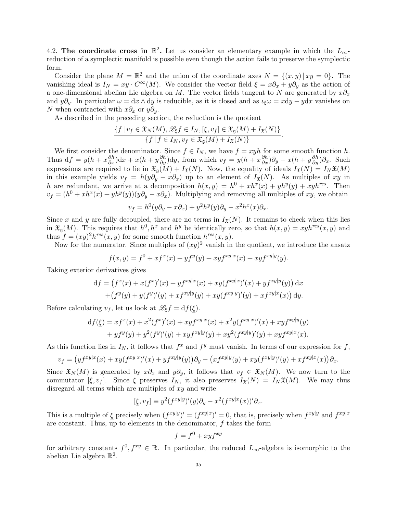<span id="page-36-0"></span>4.2. The coordinate cross in  $\mathbb{R}^2$ . Let us consider an elementary example in which the  $L_{\infty}$ reduction of a symplectic manifold is possible even though the action fails to preserve the symplectic form.

Consider the plane  $M = \mathbb{R}^2$  and the union of the coordinate axes  $N = \{(x, y) | xy = 0\}$ . The vanishing ideal is  $I_N = xy \cdot C^{\infty}(M)$ . We consider the vector field  $\xi = x\partial_x + y\partial_y$  as the action of a one-dimensional abelian Lie algebra on M. The vector fields tangent to N are generated by  $x\partial_x$ and  $y\partial_y$ . In particular  $\omega = dx \wedge dy$  is reducible, as it is closed and as  $\iota_{\xi}\omega = x\mathrm{d}y - y\mathrm{d}x$  vanishes on N when contracted with  $x\partial_x$  or  $y\partial_y$ .

As described in the preceding section, the reduction is the quotient

$$
\frac{\{f \mid v_f \in \mathfrak{X}_N(M), \mathscr{L}_\xi f \in I_N, [\underline{\xi}, v_f] \in \mathfrak{X}_{\mathfrak{g}}(M) + I_{\mathfrak{X}}(N)\}}{\{f \mid f \in I_N, v_f \in \mathfrak{X}_{\mathfrak{g}}(M) + I_{\mathfrak{X}}(N)\}}.
$$

We first consider the denominator. Since  $f \in I_N$ , we have  $f = xyh$  for some smooth function h. Thus  $df = y(h + x\frac{\partial h}{\partial x})dx + x(h + y\frac{\partial h}{\partial y})dy$ , from which  $v_f = y(h + x\frac{\partial h}{\partial x})\partial_y - x(h + y\frac{\partial h}{\partial y})\partial_x$ . Such expressions are required to lie in  $\mathfrak{X}_{\mathfrak{g}}(M) + I_{\mathfrak{X}}(N)$ . Now, the equality of ideals  $I_{\mathfrak{X}}(N) = I_N \mathfrak{X}(M)$ in this example yields  $v_f = h(y\partial_y - x\partial_x)$  up to an element of  $I_{\mathfrak{X}}(N)$ . As multiples of xy in h are redundant, we arrive at a decomposition  $h(x,y) = h^0 + xh^x(x) + yh^y(y) + xyh^{res}$ . Then  $v_f = (h^0 + xh^x(x) + yh^y(y))(y\partial_y - x\partial_x)$ . Multiplying and removing all multiples of xy, we obtain

$$
v_f = h^0(y\partial_y - x\partial_x) + y^2 h^y(y)\partial_y - x^2 h^x(x)\partial_x.
$$

Since x and y are fully decoupled, there are no terms in  $I_{\mathfrak{X}}(N)$ . It remains to check when this lies in  $\mathfrak{X}_{\mathfrak{g}}(M)$ . This requires that  $h^0, h^x$  and  $h^y$  be identically zero, so that  $h(x, y) = xyh^{res}(x, y)$  and thus  $f = (xy)^2 h^{res}(x, y)$  for some smooth function  $h^{res}(x, y)$ .

Now for the numerator. Since multiples of  $(xy)^2$  vanish in the quotient, we introduce the ansatz

$$
f(x,y) = f^{0} + xf^{x}(x) + yf^{y}(y) + xyf^{xy|x}(x) + xyf^{xy|y}(y).
$$

Taking exterior derivatives gives

$$
df = (f^x(x) + x(f^x)'(x) + yf^{xy|x}(x) + xy(f^{xy|x)'}(x) + yf^{xy|y}(y)) dx
$$
  
+ 
$$
(f^y(y) + y(f^y)'(y) + xf^{xy|y}(y) + xy(f^{xy|y)'}(y) + xf^{xy|x}(x)) dy.
$$

Before calculating  $v_f$ , let us look at  $\mathscr{L}_\xi f = df(\xi)$ .

$$
df(\underline{\xi}) = xf^{x}(x) + x^{2}(f^{x})'(x) + xyf^{xy|x}(x) + x^{2}y(f^{xy|x})'(x) + xyf^{xy|y}(y) + yf^{y}(y) + y^{2}(f^{y})'(y) + xyf^{xy|y}(y) + xy^{2}(f^{xy|y})'(y) + xyf^{xy|x}(x).
$$

As this function lies in  $I_N$ , it follows that  $f^x$  and  $f^y$  must vanish. In terms of our expression for f,

$$
v_f = (y f^{xy|x}(x) + xy(f^{xy|x})'(x) + yf^{xy|y}(y))\partial_y - (xf^{xy|y}(y) + xy(f^{xy|y})'(y) + xf^{xy|x}(x))\partial_x.
$$

Since  $\mathfrak{X}_N(M)$  is generated by  $x\partial_x$  and  $y\partial_y$ , it follows that  $v_f \in \mathfrak{X}_N(M)$ . We now turn to the commutator  $[\xi, v_f]$ . Since  $\xi$  preserves  $I_N$ , it also preserves  $I_{\mathfrak{X}}(N) = I_N \mathfrak{X}(M)$ . We may thus disregard all terms which are multiples of  $xy$  and write

$$
[\underline{\xi}, v_f] \equiv y^2 (f^{xy|y})'(y)\partial_y - x^2 (f^{xy|x}(x))'\partial_x.
$$

This is a multiple of  $\xi$  precisely when  $(f^{xy|y})' = (f^{xy|x})' = 0$ , that is, precisely when  $f^{xy|y}$  and  $f^{xy|x}$ are constant. Thus, up to elements in the denominator,  $f$  takes the form

$$
f = f^0 + xyf^{xy}
$$

for arbitrary constants  $f^0, f^{xy} \in \mathbb{R}$ . In particular, the reduced  $L_{\infty}$ -algebra is isomorphic to the abelian Lie algebra  $\mathbb{R}^2$ .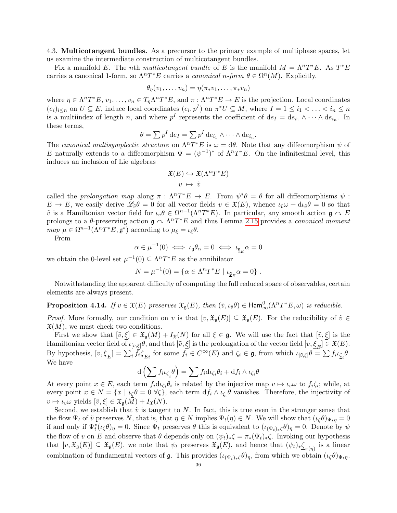<span id="page-37-0"></span>4.3. Multicotangent bundles. As a precursor to the primary example of multiphase spaces, let us examine the intermediate construction of multicotangent bundles.

Fix a manifold E. The nth multicotangent bundle of E is the manifold  $M = \Lambda^n T^*E$ . As  $T^*E$ carries a canonical 1-form, so  $\Lambda^n T^*E$  carries a *canonical n-form*  $\theta \in \Omega^n(M)$ . Explicitly,

$$
\theta_{\eta}(v_1,\ldots,v_n)=\eta(\pi_*v_1,\ldots,\pi_*v_n)
$$

where  $\eta \in \Lambda^n T^*E$ ,  $v_1, \ldots, v_n \in T_\eta \Lambda^n T^*E$ , and  $\pi : \Lambda^n T^*E \to E$  is the projection. Local coordinates  $(e_i)_{i\leq n}$  on  $U \subseteq E$ , induce local coordinates  $(e_i, p^I)$  on  $\pi^*U \subseteq M$ , where  $I = 1 \leq i_1 < \ldots < i_n \leq n$ is a multiindex of length n, and where  $p^I$  represents the coefficient of  $de_I = de_{i_1} \wedge \cdots \wedge de_{i_n}$ . In these terms,

$$
\theta = \sum p^I \, \mathrm{d} e_I = \sum p^I \, \mathrm{d} e_{i_1} \wedge \cdots \wedge \mathrm{d} e_{i_n}.
$$

The canonical multisymplectic structure on  $\Lambda^n T^*E$  is  $\omega = d\theta$ . Note that any diffeomorphism  $\psi$  of E naturally extends to a diffeomorphism  $\Psi = (\psi^{-1})^*$  of  $\Lambda^n T^*E$ . On the infinitesimal level, this induces an inclusion of Lie algebras

$$
\mathfrak{X}(E) \hookrightarrow \mathfrak{X}(\Lambda^n T^*E)
$$

$$
v \mapsto \tilde{v}
$$

called the prolongation map along  $\pi$ :  $\Lambda^n T^*E \to E$ . From  $\psi^*\theta = \theta$  for all diffeomorphisms  $\psi$ :  $E \to E$ , we easily derive  $\mathscr{L}_{\tilde{v}}\theta = 0$  for all vector fields  $v \in \mathfrak{X}(E)$ , whence  $\iota_{\tilde{v}}\omega + d\iota_{\tilde{v}}\theta = 0$  so that  $\tilde{v}$  is a Hamiltonian vector field for  $\iota_{\tilde{v}}\theta \in \Omega^{n-1}(\Lambda^n T^*E)$ . In particular, any smooth action  $\mathfrak{g} \curvearrowright E$ prolongs to a  $\theta$ -preserving action  $\mathfrak{g} \curvearrowright \Lambda^n T^*E$  and thus Lemma [2.15](#page-18-2) provides a *canonical moment* map  $\mu \in \Omega^{n-1}(\Lambda^n T^*E, \mathfrak{g}^*)$  according to  $\mu_{\xi} = \iota_{\xi} \theta$ .

From

$$
\alpha \in \mu^{-1}(0) \iff \iota_{\mathfrak{g}} \theta_{\alpha} = 0 \iff \iota_{\underline{\mathfrak{g}}_E} \alpha = 0
$$

we obtain the 0-level set  $\mu^{-1}(0) \subseteq \Lambda^n T^*E$  as the annihilator

$$
N = \mu^{-1}(0) = \{ \alpha \in \Lambda^n T^* E \mid \iota_{\mathfrak{g}_E} \alpha = 0 \} .
$$

Notwithstanding the apparent difficulty of computing the full reduced space of observables, certain elements are always present.

<span id="page-37-1"></span>**Proposition 4.14.** If  $v \in \mathfrak{X}(E)$  preserves  $\mathfrak{X}_{\mathfrak{g}}(E)$ , then  $(\tilde{v}, \iota_{\tilde{v}}\theta) \in \text{Ham}_{\infty}^{0}(\Lambda^{n}T^{*}E, \omega)$  is reducible.

*Proof.* More formally, our condition on v is that  $[v, \mathfrak{X}_{\mathfrak{g}}(E)] \subseteq \mathfrak{X}_{\mathfrak{g}}(E)$ . For the reducibility of  $\tilde{v} \in$  $\mathfrak{X}(M)$ , we must check two conditions.

First we show that  $[\tilde{v}, \xi] \in \mathfrak{X}_{\mathfrak{g}}(M) + I_{\mathfrak{X}}(N)$  for all  $\xi \in \mathfrak{g}$ . We will use the fact that  $[\tilde{v}, \xi]$  is the Hamiltonian vector field of  $\iota_{[\tilde{v},\underline{\xi}]} \theta$ , and that  $[\tilde{v},\underline{\xi}]$  is the prolongation of the vector field  $[v,\underline{\xi}_E] \in \mathfrak{X}(E)$ . By hypothesis,  $[v, \underline{\xi}_E] = \sum_i \overline{f_i} \underline{\zeta}_{Ei}$  for some  $f_i \in C^{\infty}(E)$  and  $\zeta_i \in \mathfrak{g}$ , from which  $\iota_{[\tilde{v}, \underline{\xi}]} \theta = \sum f_i \iota_{\underline{\zeta}_i} \theta$ . We have

$$
\mathrm{d}\left(\sum f_i\iota_{\underline{\zeta}_i}\theta\right) = \sum f_i\mathrm{d}\iota_{\zeta_i}\theta_i + \mathrm{d}f_i \wedge \iota_{\zeta_i}\theta
$$

At every point  $x \in E$ , each term  $f_i \mathrm{d} \iota_{\zeta_i} \theta_i$  is related by the injective map  $v \mapsto \iota_v \omega$  to  $f_i \zeta_i$ ; while, at every point  $x \in N = \{x \mid \iota_{\zeta}\theta = 0 \ \forall \zeta\}$ , each term  $df_i \wedge \iota_{\zeta_i}\theta$  vanishes. Therefore, the injectivity of  $v \mapsto \iota_v \omega$  yields  $[\tilde{v}, \xi] \in \mathfrak{X}_{\mathfrak{g}}(M) + I_{\mathfrak{X}}(N).$ 

Second, we establish that  $\tilde{v}$  is tangent to N. In fact, this is true even in the stronger sense that the flow  $\Psi_t$  of  $\tilde{v}$  preserves N, that is, that  $\eta \in N$  implies  $\Psi_t(\eta) \in N$ . We will show that  $(\iota_{\zeta}\theta)_{\Psi_t\eta} = 0$ if and only if  $\Psi_t^*(\iota_\zeta\theta)_\eta = 0$ . Since  $\Psi_t$  preserves  $\theta$  this is equivalent to  $(\iota_{(\Psi_t)_*\zeta}\theta)_\eta = 0$ . Denote by  $\psi$ the flow of v on E and observe that  $\theta$  depends only on  $(\psi_t)_*\zeta = \pi_*(\Psi_t)_*\zeta$ . Invoking our hypothesis that  $[v, \mathfrak{X}_{\mathfrak{g}}(E)] \subseteq \mathfrak{X}_{\mathfrak{g}}(E)$ , we note that  $\psi_t$  preserves  $\mathfrak{X}_{\mathfrak{g}}(E)$ , and hence that  $(\psi_t)_*\underline{\zeta}_{\pi(\eta)}$  is a linear combination of fundamental vectors of  $\mathfrak g$ . This provides  $(\iota_{(\Psi_t)_*\zeta}\theta)_\eta$ , from which we obtain  $(\iota_{\zeta}\theta)_{\Psi_t\eta}$ .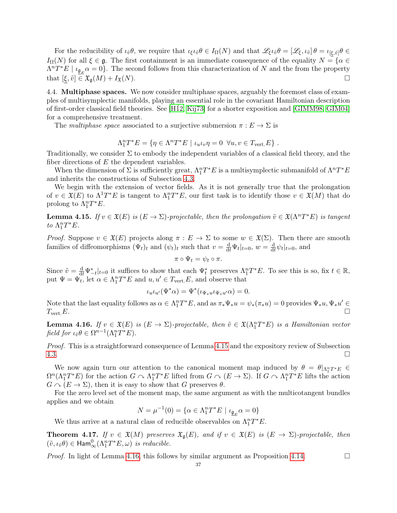For the reducibility of  $\iota_{\tilde{v}}\theta$ , we require that  $\iota_{\xi}\iota_{\tilde{v}}\theta \in I_{\Omega}(N)$  and that  $\mathscr{L}_{\xi}\iota_{\tilde{v}}\theta = [\mathscr{L}_{\xi}, \iota_{\tilde{v}}]\theta = \iota_{[\xi, \tilde{v}]} \theta \in$  $I_{\Omega}(N)$  for all  $\xi \in \mathfrak{g}$ . The first containment is an immediate consequence of the equality  $N = \{ \alpha \in \mathfrak{g} \}$  $\Lambda^n T^*E \mid \iota_{\underline{\mathfrak{g}}_E} \alpha = 0$ . The second follows from this characterization of N and the from the property that  $[\xi, \tilde{v}] \in \mathfrak{X}_{\mathfrak{g}}(M) + I_{\mathfrak{X}}(N)$ .

<span id="page-38-0"></span>4.4. Multiphase spaces. We now consider multiphase spaces, arguably the foremost class of examples of multisymplectic manifolds, playing an essential role in the covariant Hamiltonian description of first-order classical field theories. See [H $12,$  [Kij73\]](#page-43-4) for a shorter exposition and [\[GIMM98,](#page-42-2) [GIM04\]](#page-42-3) for a comprehensive treatment.

The multiphase space associated to a surjective submersion  $\pi : E \to \Sigma$  is

$$
\Lambda_1^n T^* E = \{ \eta \in \Lambda^n T^* E \mid \iota_u \iota_v \eta = 0 \ \forall u, v \in T_{\text{vert.}} E \} .
$$

Traditionally, we consider  $\Sigma$  to embody the independent variables of a classical field theory, and the fiber directions of  $E$  the dependent variables.

When the dimension of  $\Sigma$  is sufficiently great,  $\Lambda_1^n T^*E$  is a multisymplectic submanifold of  $\Lambda^n T^*E$ and inherits the constructions of Subsection [4.3.](#page-37-0)

We begin with the extension of vector fields. As it is not generally true that the prolongation of  $v \in \mathfrak{X}(E)$  to  $\Lambda^1T^*E$  is tangent to  $\Lambda^2_TT^*E$ , our first task is to identify those  $v \in \mathfrak{X}(M)$  that do prolong to  $\Lambda_1^n T^* E$ .

<span id="page-38-1"></span>**Lemma 4.15.** If  $v \in \mathfrak{X}(E)$  is  $(E \to \Sigma)$ -projectable, then the prolongation  $\tilde{v} \in \mathfrak{X}(\Lambda^n T^*E)$  is tangent to  $\Lambda_1^n T^* E$ .

*Proof.* Suppose  $v \in \mathfrak{X}(E)$  projects along  $\pi : E \to \Sigma$  to some  $w \in \mathfrak{X}(\Sigma)$ . Then there are smooth families of diffeomorphisms  $(\Psi_t)_t$  and  $(\psi_t)_t$  such that  $v = \frac{d}{dt} \Psi_t|_{t=0}$ ,  $w = \frac{d}{dt} \Psi_t|_{t=0}$  $\frac{\mathrm{d}}{\mathrm{d}t}\psi_t|_{t=0}$ , and

$$
\pi\circ\Psi_t=\psi_t\circ\pi.
$$

Since  $\tilde{v} = \frac{d}{dt} \Psi_{-t}^*|_{t=0}$  it suffices to show that each  $\Psi_t^*$  preserves  $\Lambda_1^n T^*E$ . To see this is so, fix  $t \in \mathbb{R}$ , put  $\Psi = \Psi_t^{\circ}$ , let  $\alpha \in \Lambda_1^n T^*E$  and  $u, u' \in T_{\text{vert}}E$ , and observe that

$$
\iota_u \iota_{u'}(\Psi^*\alpha) = \Psi^*(\iota_{\Psi_*u}\iota_{\Psi_*u'}\alpha) = 0.
$$

Note that the last equality follows as  $\alpha \in \Lambda_1^n T^*E$ , and as  $\pi_* \Psi_* u = \psi_* (\pi_* u) = 0$  provides  $\Psi_* u, \Psi_* u' \in$  $T_{\text{vert}}E$ .

<span id="page-38-2"></span>**Lemma 4.16.** If  $v \in \mathfrak{X}(E)$  is  $(E \to \Sigma)$ -projectable, then  $\tilde{v} \in \mathfrak{X}(\Lambda_1^n T^*E)$  is a Hamiltonian vector field for  $\iota_{\tilde{v}}\theta \in \Omega^{n-1}(\Lambda_1^n T^*E)$ .

Proof. This is a straightforward consequence of Lemma [4.15](#page-38-1) and the expository review of Subsection  $4.3.$ 

We now again turn our attention to the canonical moment map induced by  $\theta = \theta|_{\Lambda_1^n T^*E} \in$  $\Omega^n(\Lambda_1^n T^*E)$  for the action  $G \cap \Lambda_1^n T^*E$  lifted from  $G \cap (E \to \Sigma)$ . If  $G \cap \Lambda_1^n T^*E$  lifts the action  $G \cap (E \to \Sigma)$ , then it is easy to show that G preserves  $\theta$ .

For the zero level set of the moment map, the same argument as with the multicotangent bundles applies and we obtain

$$
N = \mu^{-1}(0) = \{ \alpha \in \Lambda_1^n T^* E \mid \iota_{\underline{\mathfrak{g}}_E} \alpha = 0 \}
$$

We thus arrive at a natural class of reducible observables on  $\Lambda_1^n T^*E$ .

**Theorem 4.17.** If  $v \in \mathfrak{X}(M)$  preserves  $\mathfrak{X}_{\mathfrak{g}}(E)$ , and if  $v \in \mathfrak{X}(E)$  is  $(E \to \Sigma)$ -projectable, then  $(\tilde{v}, \iota_{\tilde{v}}\theta) \in \text{Ham}^0_{\infty}(\Lambda_1^n T^*E, \omega)$  is reducible.

*Proof.* In light of Lemma [4.16,](#page-38-2) this follows by similar argument as Proposition [4.14.](#page-37-1)  $\Box$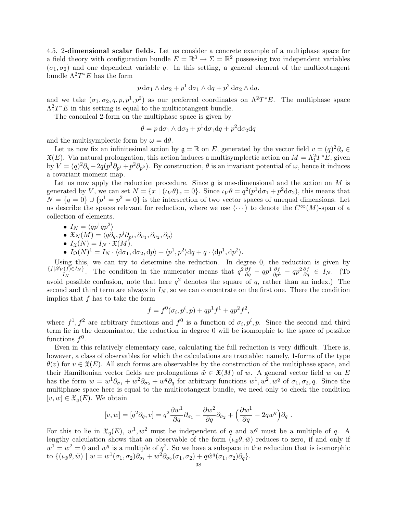<span id="page-39-0"></span>4.5. 2-dimensional scalar fields. Let us consider a concrete example of a multiphase space for a field theory with configuration bundle  $E = \mathbb{R}^3 \to \Sigma = \mathbb{R}^2$  possessing two independent variables  $(\sigma_1, \sigma_2)$  and one dependent variable q. In this setting, a general element of the multicotangent bundle  $\Lambda^2 T^* E$  has the form

$$
p \, \mathrm{d}\sigma_1 \wedge \mathrm{d}\sigma_2 + p^1 \, \mathrm{d}\sigma_1 \wedge \mathrm{d}q + p^2 \, \mathrm{d}\sigma_2 \wedge \mathrm{d}q.
$$

and we take  $(\sigma_1, \sigma_2, q, p, p^1, p^2)$  as our preferred coordinates on  $\Lambda^2 T^*E$ . The multiphase space  $\Lambda_1^2T^*E$  in this setting is equal to the multicotangent bundle.

The canonical 2-form on the multiphase space is given by

 $\theta = p \, d\sigma_1 \wedge d\sigma_2 + p^1 d\sigma_1 dq + p^2 d\sigma_2 dq$ 

and the multisymplectic form by  $\omega = d\theta$ .

Let us now fix an infinitesimal action by  $\mathfrak{g} = \mathbb{R}$  on E, generated by the vector field  $v = (q)^2 \partial_q \in \mathbb{R}$  $\mathfrak{X}(E)$ . Via natural prolongation, this action induces a multisymplectic action on  $M = \Lambda_1^2 T^* E$ , given by  $V = (q)^2 \partial_q - 2q(p^1 \partial_{p^1} + p^2 \partial_{p^2})$ . By construction,  $\theta$  is an invariant potential of  $\omega$ , hence it induces a covariant moment map.

Let us now apply the reduction procedure. Since  $\mathfrak g$  is one-dimensional and the action on M is generated by V, we can set  $N = \{x \mid (\iota_V \theta)_x = 0\}$ . Since  $\iota_V \theta = q^2 (p^1 d\sigma_1 + p^2 d\sigma_2)$ , this means that  $N = \{q = 0\} \cup \{p^1 = p^2 = 0\}$  is the intersection of two vector spaces of unequal dimensions. Let us describe the spaces relevant for reduction, where we use  $\langle \cdots \rangle$  to denote the  $C^{\infty}(M)$ -span of a collection of elements.

- $I_N = \langle qp^1qp^2\rangle$
- $\mathfrak{X}_N(M) = \langle q \partial_q, p^i \partial_{p^j}, \partial_{\sigma_1}, \partial_{\sigma_2}, \partial_p \rangle$
- $I_{\mathfrak{X}}(N) = I_N \cdot \mathfrak{X}(M)$ .
- $I_{\Omega}(N)^{1} = I_{N} \cdot \langle d\sigma_{1}, d\sigma_{2}, dp \rangle + \langle p^{1}, p^{2} \rangle dq + q \cdot \langle dp^{1}, dp^{2} \rangle.$

Using this, we can try to determine the reduction. In degree 0, the reduction is given by  $\{f|\mathscr{L}_V(f){\in}I_N\}$  $I_N^{(f)\in I_N}$ . The condition in the numerator means that  $q^2\frac{\partial f}{\partial q} - qp^1\frac{\partial f}{\partial p^1} - qp^2\frac{\partial f}{\partial q} \in I_N$ . (To avoid possible confusion, note that here  $q^2$  denotes the square of q, rather than an index.) The second and third term are always in  $I_N$ , so we can concentrate on the first one. There the condition implies that  $f$  has to take the form

$$
f = f^{0}(\sigma_{i}, p^{i}, p) + qp^{1}f^{1} + qp^{2}f^{2},
$$

where  $f^1, f^2$  are arbitrary functions and  $f^0$  is a function of  $\sigma_i, p^i, p$ . Since the second and third term lie in the denominator, the reduction in degree 0 will be isomorphic to the space of possible functions  $f^0$ .

Even in this relatively elementary case, calculating the full reduction is very difficult. There is, however, a class of observables for which the calculations are tractable: namely, 1-forms of the type  $\theta(v)$  for  $v \in \mathfrak{X}(E)$ . All such forms are observables by the construction of the multiphase space, and their Hamiltonian vector fields are prolongations  $\tilde{w} \in \mathfrak{X}(M)$  of w. A general vector field w on E has the form  $w = w^{1} \partial_{\sigma_1} + w^{2} \partial_{\sigma_2} + w^{q} \partial_q$  for arbitrary functions  $w^{1}, w^{2}, w^{q}$  of  $\sigma_1, \sigma_2, q$ . Since the multiphase space here is equal to the multicotangent bundle, we need only to check the condition  $[v, w] \in \mathfrak{X}_{\mathfrak{g}}(E)$ . We obtain

$$
[v, w] = [q^2 \partial_q, v] = q^2 \frac{\partial w^1}{\partial q} \partial_{\sigma_1} + \frac{\partial w^2}{\partial q} \partial_{\sigma_2} + \left(\frac{\partial w^1}{\partial q} - 2qw^q\right) \partial_q.
$$

For this to lie in  $\mathfrak{X}_{\mathfrak{g}}(E)$ ,  $w^1, w^2$  must be independent of q and  $w^q$  must be a multiple of q. A lengthy calculation shows that an observable of the form  $(\iota_{\tilde{w}}\theta, \tilde{w})$  reduces to zero, if and only if  $w^1 = w^2 = 0$  and  $w^q$  is a multiple of  $q^2$ . So we have a subspace in the reduction that is isomorphic to  $\{(\iota_{\tilde{w}}\theta, \tilde{w}) \mid w = w^1(\sigma_1, \sigma_2)\partial_{\sigma_1} + w^2\partial_{\sigma_2}(\sigma_1, \sigma_2) + q\hat{w}^q(\sigma_1, \sigma_2)\partial_q\}.$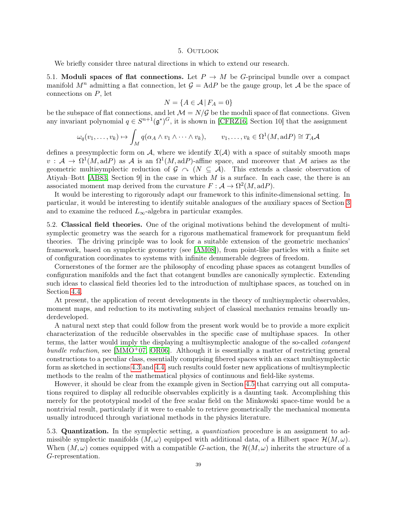#### 5. OUTLOOK

<span id="page-40-0"></span>We briefly consider three natural directions in which to extend our research.

5.1. Moduli spaces of flat connections. Let  $P \to M$  be G-principal bundle over a compact manifold  $M^n$  admitting a flat connection, let  $\mathcal{G} = \text{Ad}P$  be the gauge group, let A be the space of connections on P, let

$$
N = \{ A \in \mathcal{A} \mid F_A = 0 \}
$$

be the subspace of flat connections, and let  $\mathcal{M} = N/\mathcal{G}$  be the moduli space of flat connections. Given any invariant polynomial  $q \in S^{n+1}(\mathfrak{g}^*)^G$ , it is shown in [\[CFRZ16,](#page-42-11) Section 10] that the assignment

$$
\omega_q(v_1,\ldots,v_k)\mapsto \int_M q(\alpha_A\wedge v_1\wedge\cdots\wedge v_k),\qquad v_1,\ldots,v_k\in\Omega^1(M,\mathrm{ad}P)\cong T_A\mathcal{A}
$$

defines a presymplectic form on  $\mathcal{A}$ , where we identify  $\mathfrak{X}(\mathcal{A})$  with a space of suitably smooth maps  $v: \mathcal{A} \to \Omega^1(M, \mathrm{ad}P)$  as A is an  $\Omega^1(M, \mathrm{ad}P)$ -affine space, and moreover that M arises as the geometric multisymplectic reduction of  $\mathcal{G} \cap (N \subseteq \mathcal{A})$ . This extends a classic observation of Atiyah–Bott [\[AB83,](#page-41-5) Section 9] in the case in which  $M$  is a surface. In each case, the there is an associated moment map derived from the curvature  $F : A \to \Omega^2(M, \text{ad}P)$ .

It would be interesting to rigorously adapt our framework to this infinite-dimensional setting. In particular, it would be interesting to identify suitable analogues of the auxiliary spaces of Section [3](#page-19-0) and to examine the reduced  $L_{\infty}$ -algebra in particular examples.

5.2. Classical field theories. One of the original motivations behind the development of multisymplectic geometry was the search for a rigorous mathematical framework for prequantum field theories. The driving principle was to look for a suitable extension of the geometric mechanics' framework, based on symplectic geometry (see [\[AM08\]](#page-41-6)), from point-like particles with a finite set of configuration coordinates to systems with infinite denumerable degrees of freedom.

Cornerstones of the former are the philosophy of encoding phase spaces as cotangent bundles of configuration manifolds and the fact that cotangent bundles are canonically symplectic. Extending such ideas to classical field theories led to the introduction of multiphase spaces, as touched on in Section [4.4.](#page-38-0)

At present, the application of recent developments in the theory of multisymplectic observables, moment maps, and reduction to its motivating subject of classical mechanics remains broadly underdeveloped.

A natural next step that could follow from the present work would be to provide a more explicit characterization of the reducible observables in the specific case of multiphase spaces. In other terms, the latter would imply the displaying a multisymplectic analogue of the so-called cotangent bundle reduction, see  $[MMO^+07, OR06]$  $[MMO^+07, OR06]$  $[MMO^+07, OR06]$ . Although it is essentially a matter of restricting general constructions to a peculiar class, essentially comprising fibered spaces with an exact multisymplectic form as sketched in sections [4.3](#page-37-0) and [4.4,](#page-38-0) such results could foster new applications of multisymplectic methods to the realm of the mathematical physics of continuous and field-like systems.

However, it should be clear from the example given in Section [4.5](#page-39-0) that carrying out all computations required to display all reducible observables explicitly is a daunting task. Accomplishing this merely for the prototypical model of the free scalar field on the Minkowski space-time would be a nontrivial result, particularly if it were to enable to retrieve geometrically the mechanical momenta usually introduced through variational methods in the physics literature.

5.3. Quantization. In the symplectic setting, a quantization procedure is an assignment to admissible symplectic manifolds  $(M, \omega)$  equipped with additional data, of a Hilbert space  $\mathcal{H}(M, \omega)$ . When  $(M, \omega)$  comes equipped with a compatible G-action, the  $\mathcal{H}(M, \omega)$  inherits the structure of a G-representation.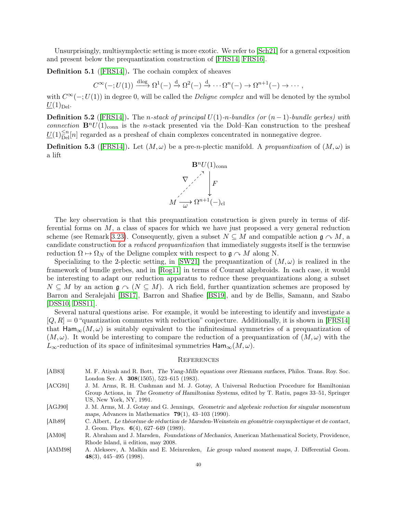Unsurprisingly, multisymplectic setting is more exotic. We refer to [\[Sch21\]](#page-43-25) for a general exposition and present below the prequantization construction of [\[FRS14,](#page-42-22) [FRS16\]](#page-42-23).

Definition 5.1 ([\[FRS14\]](#page-42-22)). The cochain complex of sheaves

$$
C^{\infty}(-;U(1)) \xrightarrow{\text{dlog}} \Omega^{1}(-) \xrightarrow{d} \Omega^{2}(-) \xrightarrow{d} \cdots \Omega^{n}(-) \to \Omega^{n+1}(-) \to \cdots,
$$

with  $C^{\infty}(-;U(1))$  in degree 0, will be called the *Deligne complex* and will be denoted by the symbol  $\underline{U}(1)_{\text{Del}}$ .

**Definition 5.2** ([\[FRS14\]](#page-42-22)). The *n*-stack of principal  $U(1)$ -*n*-bundles (or  $(n-1)$ -bundle gerbes) with connection  $\mathbf{B}^n U(1)_{\text{conn}}$  is the n-stack presented via the Dold–Kan construction to the presheaf  $\underline{U}(1)_{\text{Del}}^{\leq n}[n]$  regarded as a presheaf of chain complexes concentrated in nonnegative degree.

**Definition 5.3** ([\[FRS14\]](#page-42-22)). Let  $(M, \omega)$  be a pre-n-plectic manifold. A prequantization of  $(M, \omega)$  is a lift



The key observation is that this prequantization construction is given purely in terms of differential forms on  $M$ , a class of spaces for which we have just proposed a very general reduction scheme (see Remark [3.23\)](#page-24-2). Consequently, given a subset  $N \subseteq M$  and compatible action  $\mathfrak{g} \cap M$ , a candidate construction for a reduced prequantization that immediately suggests itself is the termwise reduction  $\Omega \mapsto \Omega_N$  of the Deligne complex with respect to  $\mathfrak{g} \cap M$  along N.

Specializing to the 2-plectic setting, in [\[SW21\]](#page-44-6) the prequantization of  $(M,\omega)$  is realized in the framework of bundle gerbes, and in [\[Rog11\]](#page-43-26) in terms of Courant algebroids. In each case, it would be interesting to adapt our reduction apparatus to reduce these prequantizations along a subset  $N \subseteq M$  by an action  $\mathfrak{g} \curvearrowright (N \subseteq M)$ . A rich field, further quantization schemes are proposed by Barron and Seralejahi [\[BS17\]](#page-42-24), Barron and Shafiee [\[BS19\]](#page-42-25), and by de Bellis, Samann, and Szabo [\[DSS10,](#page-42-26) [DSS11\]](#page-42-27).

Several natural questions arise. For example, it would be interesting to identify and investigate a  $[Q, R] = 0$  "quantization commutes with reduction" conjecture. Additionally, it is shown in [\[FRS14\]](#page-42-22) that Ham<sub>∞</sub> $(M, \omega)$  is suitably equivalent to the infinitesimal symmetries of a prequantization of  $(M, \omega)$ . It would be interesting to compare the reduction of a prequantization of  $(M, \omega)$  with the  $L_{\infty}$ -reduction of its space of infinitesimal symmetries  $\text{Ham}_{\infty}(M,\omega)$ .

#### <span id="page-41-0"></span>**REFERENCES**

- <span id="page-41-5"></span>[AB83] M. F. Atiyah and R. Bott, The Yang-Mills equations over Riemann surfaces, Philos. Trans. Roy. Soc. London Ser. A 308(1505), 523–615 (1983).
- <span id="page-41-2"></span>[ACG91] J. M. Arms, R. H. Cushman and M. J. Gotay, A Universal Reduction Procedure for Hamiltonian Group Actions, in The Geometry of Hamiltonian Systems, edited by T. Ratiu, pages 33–51, Springer US, New York, NY, 1991.

<span id="page-41-1"></span>[AGJ90] J. M. Arms, M. J. Gotay and G. Jennings, Geometric and algebraic reduction for singular momentum maps, Advances in Mathematics  $79(1)$ , 43-103 (1990).

<span id="page-41-3"></span>[Alb89] C. Albert, Le théorème de réduction de Marsden-Weinstein en géométrie cosymplectique et de contact, J. Geom. Phys. 6(4), 627–649 (1989).

- <span id="page-41-6"></span>[AM08] R. Abraham and J. Marsden, Foundations of Mechanics, American Mathematical Society, Providence, Rhode Island, ii edition, may 2008.
- <span id="page-41-4"></span>[AMM98] A. Alekseev, A. Malkin and E. Meinrenken, Lie group valued moment maps, J. Differential Geom. 48(3), 445–495 (1998).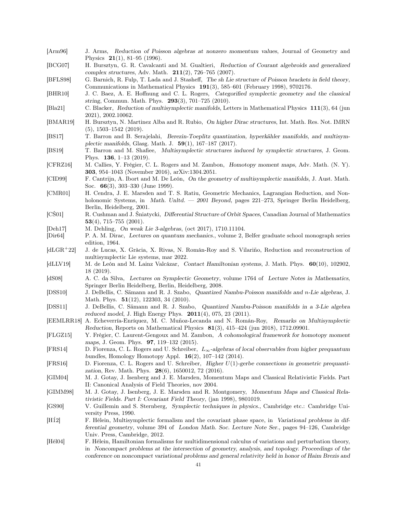- <span id="page-42-16"></span>[Arm96] J. Arms, Reduction of Poisson algebras at nonzero momentum values, Journal of Geometry and Physics 21(1), 81–95 (1996).
- <span id="page-42-7"></span>[BCG07] H. Bursztyn, G. R. Cavalcanti and M. Gualtieri, Reduction of Courant algebroids and generalized complex structures, Adv. Math. 211(2), 726–765 (2007).
- <span id="page-42-19"></span>[BFLS98] G. Barnich, R. Fulp, T. Lada and J. Stasheff, The sh Lie structure of Poisson brackets in field theory, Communications in Mathematical Physics 191(3), 585–601 (February 1998), 9702176.
- <span id="page-42-21"></span>[BHR10] J. C. Baez, A. E. Hoffnung and C. L. Rogers, Categorified symplectic geometry and the classical string, Commun. Math. Phys. 293(3), 701–725 (2010).
- <span id="page-42-9"></span>[Bla21] C. Blacker, Reduction of multisymplectic manifolds, Letters in Mathematical Physics 111(3), 64 (jun 2021), 2002.10062.
- <span id="page-42-6"></span>[BMAR19] H. Bursztyn, N. Martinez Alba and R. Rubio, On higher Dirac structures, Int. Math. Res. Not. IMRN (5), 1503–1542 (2019).
- <span id="page-42-24"></span>[BS17] T. Barron and B. Serajelahi, Berezin-Toeplitz quantization, hyperkähler manifolds, and multisymplectic manifolds, Glasg. Math. J. 59(1), 167–187 (2017).
- <span id="page-42-25"></span>[BS19] T. Barron and M. Shafiee, Multisymplectic structures induced by symplectic structures, J. Geom. Phys. 136, 1–13 (2019).
- <span id="page-42-11"></span>[CFRZ16] M. Callies, Y. Frégier, C. L. Rogers and M. Zambon, Homotopy moment maps, Adv. Math. (N. Y). 303, 954–1043 (November 2016), arXiv:1304.2051.
- <span id="page-42-17"></span>[CID99] F. Cantrijn, A. Ibort and M. De León, On the geometry of multisymplectic manifolds, J. Aust. Math. Soc. 66(3), 303–330 (June 1999).
- <span id="page-42-1"></span>[CMR01] H. Cendra, J. E. Marsden and T. S. Ratiu, Geometric Mechanics, Lagrangian Reduction, and Nonholonomic Systems, in Math. Unltd. — 2001 Beyond, pages 221-273, Springer Berlin Heidelberg, Berlin, Heidelberg, 2001.
- <span id="page-42-13"></span>[CŚ01] R. Cushman and J. Śniatycki, Differential Structure of Orbit Spaces, Canadian Journal of Mathematics 53(4), 715–755 (2001).
- <span id="page-42-20"></span>[Deh17] M. Dehling, On weak Lie 3-algebras, (oct 2017), 1710.11104.
- <span id="page-42-0"></span>[Dir64] P. A. M. Dirac, Lectures on quantum mechanics., volume 2, Belfer graduate school monograph series edition, 1964.
- <span id="page-42-10"></span>[dLGR<sup>+</sup>22] J. de Lucas, X. Gràcia, X. Rivas, N. Román-Roy and S. Vilariño, Reduction and reconstruction of multisymplectic Lie systems, mar 2022.
- <span id="page-42-5"></span>[dLLV19] M. de León and M. Lainz Valcázar, Contact Hamiltonian systems, J. Math. Phys. 60(10), 102902, 18 (2019).
- <span id="page-42-14"></span>[dS08] A. C. da Silva, Lectures on Symplectic Geometry, volume 1764 of Lecture Notes in Mathematics, Springer Berlin Heidelberg, Berlin, Heidelberg, 2008.
- <span id="page-42-26"></span>[DSS10] J. DeBellis, C. Sämann and R. J. Szabo, Quantized Nambu-Poisson manifolds and n-Lie algebras, J. Math. Phys. **51**(12), 122303, 34 (2010).
- <span id="page-42-27"></span>[DSS11] J. DeBellis, C. Sämann and R. J. Szabo, Quantized Nambu-Poisson manifolds in a 3-Lie algebra reduced model, J. High Energy Phys. 2011(4), 075, 23 (2011).
- <span id="page-42-8"></span>[EEMLRR18] A. Echeverría-Enríquez, M. C. Muñoz-Lecanda and N. Román-Roy, Remarks on Multisymplectic Reduction, Reports on Mathematical Physics 81(3), 415–424 (jun 2018), 1712.09901.
- <span id="page-42-12"></span>[FLGZ15] Y. Frégier, C. Laurent-Gengoux and M. Zambon, A cohomological framework for homotopy moment maps, J. Geom. Phys. 97, 119–132 (2015).
- <span id="page-42-22"></span>[FRS14] D. Fiorenza, C. L. Rogers and U. Schreiber, L∞-algebras of local observables from higher prequantum bundles, Homology Homotopy Appl. 16(2), 107–142 (2014).
- <span id="page-42-23"></span>[FRS16] D. Fiorenza, C. L. Rogers and U. Schreiber, Higher U(1)-gerbe connections in geometric prequantization, Rev. Math. Phys. 28(6), 1650012, 72 (2016).
- <span id="page-42-3"></span>[GIM04] M. J. Gotay, J. Isenberg and J. E. Marsden, Momentum Maps and Classical Relativistic Fields. Part II: Canonical Analysis of Field Theories, nov 2004.
- <span id="page-42-2"></span>[GIMM98] M. J. Gotay, J. Isenberg, J. E. Marsden and R. Montgomery, Momentum Maps and Classical Relativistic Fields. Part I: Covariant Field Theory, (jan 1998), 9801019.
- <span id="page-42-15"></span>[GS90] V. Guillemin and S. Sternberg, Symplectic techniques in physics., Cambridge etc.: Cambridge University Press, 1990.
- <span id="page-42-4"></span>[H $12$ ] F. Hélein, Multisymplectic formalism and the covariant phase space, in Variational problems in differential geometry, volume 394 of London Math. Soc. Lecture Note Ser., pages 94–126, Cambridge Univ. Press, Cambridge, 2012.
- <span id="page-42-18"></span>[Hél04] F. Hélein, Hamiltonian formalisms for multidimensional calculus of variations and perturbation theory, in Noncompact problems at the intersection of geometry, analysis, and topology. Proceedings of the conference on noncompact variational problems and general relativity held in honor of Haim Brezis and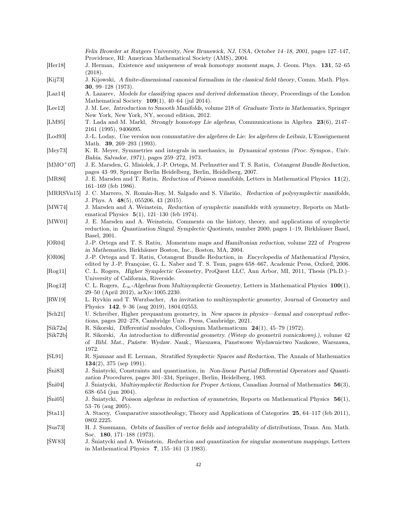<span id="page-43-26"></span><span id="page-43-25"></span><span id="page-43-24"></span><span id="page-43-23"></span><span id="page-43-22"></span><span id="page-43-21"></span><span id="page-43-20"></span><span id="page-43-19"></span><span id="page-43-18"></span><span id="page-43-17"></span><span id="page-43-16"></span><span id="page-43-15"></span><span id="page-43-14"></span><span id="page-43-13"></span><span id="page-43-12"></span><span id="page-43-11"></span><span id="page-43-10"></span><span id="page-43-9"></span><span id="page-43-8"></span><span id="page-43-7"></span><span id="page-43-6"></span><span id="page-43-5"></span><span id="page-43-4"></span><span id="page-43-3"></span><span id="page-43-2"></span><span id="page-43-1"></span><span id="page-43-0"></span>

|                  | Felix Browder at Rutgers University, New Brunswick, NJ, USA, October 14–18, 2001, pages 127–147,<br>Providence, RI: American Mathematical Society (AMS), 2004.                                                         |
|------------------|------------------------------------------------------------------------------------------------------------------------------------------------------------------------------------------------------------------------|
| [Her18]          | J. Herman, Existence and uniqueness of weak homotopy moment maps, J. Geom. Phys. 131, 52-65                                                                                                                            |
|                  | (2018).                                                                                                                                                                                                                |
| [Kij73]          | J. Kijowski, A finite-dimensional canonical formalism in the classical field theory, Comm. Math. Phys.<br><b>30</b> , 99–128 $(1973)$ .                                                                                |
| [Laz14]          | A. Lazarev, Models for classifying spaces and derived deformation theory, Proceedings of the London<br>Mathematical Society $109(1)$ , 40-64 (jul 2014).                                                               |
| [Lee12]          | J. M. Lee, Introduction to Smooth Manifolds, volume 218 of Graduate Texts in Mathematics, Springer<br>New York, New York, NY, second edition, 2012.                                                                    |
| [LM95]           | T. Lada and M. Markl, Strongly homotopy Lie algebras, Communications in Algebra 23(6), 2147–<br>2161 (1995), 9406095.                                                                                                  |
| $[L_{\rm od}93]$ | J.-L. Loday, Une version non commutative des algebres de Lie: les algebres de Leibniz, L'Enseignement<br>Math. <b>39</b> , 269–293 (1993).                                                                             |
| [Mey $73$ ]      | K. R. Meyer, Symmetries and integrals in mechanics, in Dynamical systems (Proc. Sympos., Univ.<br>Bahia, Salvador, 1971), pages 259-272, 1973.                                                                         |
| $[MMO+07]$       | J. E. Marsden, G. Misiolek, J.-P. Ortega, M. Perlmutter and T. S. Ratiu, Cotangent Bundle Reduction,<br>pages 43-99, Springer Berlin Heidelberg, Berlin, Heidelberg, 2007.                                             |
| [MR86]           | J. E. Marsden and T. Ratiu, Reduction of Poisson manifolds, Letters in Mathematical Physics 11(2),<br>$161-169$ (feb 1986).                                                                                            |
| [MRRSVn15]       | J. C. Marrero, N. Román-Roy, M. Salgado and S. Vilariño, Reduction of polysymplectic manifolds,<br>J. Phys. A $48(5)$ , 055206, 43 (2015).                                                                             |
| [MW74]           | J. Marsden and A. Weinstein, Reduction of symplectic manifolds with symmetry, Reports on Math-<br>ematical Physics $5(1)$ , 121-130 (feb 1974).                                                                        |
| [MW01]           | J. E. Marsden and A. Weinstein, Comments on the history, theory, and applications of symplectic<br>reduction, in Quantization Singul. Symplectic Quotients, number 2000, pages 1-19, Birkhäuser Basel,<br>Basel, 2001. |
| [OR04]           | J.-P. Ortega and T. S. Ratiu, Momentum maps and Hamiltonian reduction, volume 222 of Progress<br>in Mathematics, Birkhäuser Boston, Inc., Boston, MA, 2004.                                                            |
| [OR06]           | J.-P. Ortega and T. Ratiu, Cotangent Bundle Reduction, in Encyclopedia of Mathematical Physics,<br>edited by J.-P. Françoise, G. L. Naber and T. S. Tsun, pages 658–667, Academic Press, Oxford, 2006.                 |
| [Rog11]          | C. L. Rogers, Higher Symplectic Geometry, ProQuest LLC, Ann Arbor, MI, 2011, Thesis (Ph.D.)-<br>University of California, Riverside.                                                                                   |
| [Rog12]          | C. L. Rogers, $L_{\infty}$ -Algebras from Multisymplectic Geometry, Letters in Mathematical Physics 100(1),<br>29–50 (April 2012), arXiv:1005.2230.                                                                    |
| [RW19]           | L. Ryvkin and T. Wurzbacher, An invitation to multisymplectic geometry, Journal of Geometry and<br>Physics 142, 9-36 (aug 2019), 1804.02553.                                                                           |
| [Sch21]          | U. Schreiber, Higher prequantum geometry, in New spaces in physics—formal and conceptual reflec-<br>tions, pages 202-278, Cambridge Univ. Press, Cambridge, 2021.                                                      |
| [Sik72a]         | R. Sikorski, Differential modules, Colloquium Mathematicum $24(1)$ , 45-79 (1972).                                                                                                                                     |
| [Sik72b]         | R. Sikorski, An introduction to differential geometry. (Wstep do geometrii rozniczkowej.), volume 42<br>of Bibl. Mat., Państw. Wydaw. Nauk., Warszawa, Panstwowe Wydawnictwo Naukowe, Warszawa,                        |
| [SL91]           | 1972.<br>R. Sjamaar and E. Lerman, Stratified Symplectic Spaces and Reduction, The Annals of Mathematics<br>$134(2)$ , 375 (sep 1991).                                                                                 |
| $[\text{Sni83}]$ | J. Sniatycki, Constraints and quantization, in Non-linear Partial Differential Operators and Quanti-<br>zation Procedures, pages 301-334, Springer, Berlin, Heidelberg, 1983.                                          |
| $[\text{Sni04}]$ | J. Sniatycki, Multisymplectic Reduction for Proper Actions, Canadian Journal of Mathematics 56(3),<br>$638 - 654$ (jun 2004).                                                                                          |
| $[\text{Sni05}]$ | J. Śniatycki, Poisson algebras in reduction of symmetries, Reports on Mathematical Physics $56(1)$ ,<br>$53-76$ (aug 2005).                                                                                            |
| [Sta11]          | A. Stacey, Comparative smootheology, Theory and Applications of Categories 25, 64–117 (feb 2011),<br>0802.2225.                                                                                                        |
| [Sus73]          | H. J. Sussmann, Orbits of families of vector fields and integrability of distributions, Trans. Am. Math.<br>Soc. 180, 171–188 $(1973)$ .                                                                               |
| [SW83]           | J. Śniatycki and A. Weinstein, Reduction and quantization for singular momentum mappings, Letters<br>in Mathematical Physics $\,$ 7, 155–161 (3 1983).                                                                 |